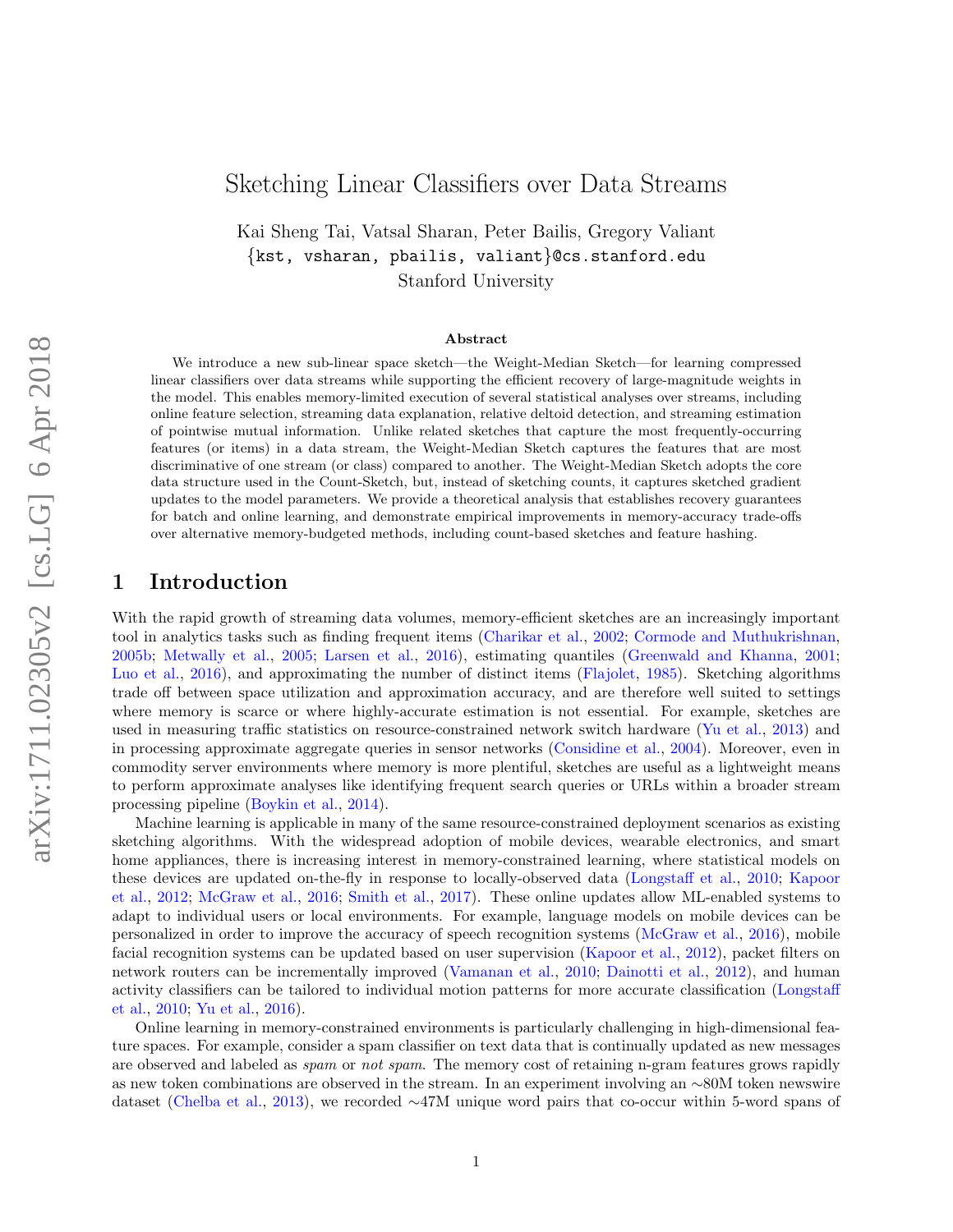# <span id="page-0-0"></span>Sketching Linear Classifiers over Data Streams

Kai Sheng Tai, Vatsal Sharan, Peter Bailis, Gregory Valiant {kst, vsharan, pbailis, valiant}@cs.stanford.edu Stanford University

#### Abstract

We introduce a new sub-linear space sketch—the Weight-Median Sketch—for learning compressed linear classifiers over data streams while supporting the efficient recovery of large-magnitude weights in the model. This enables memory-limited execution of several statistical analyses over streams, including online feature selection, streaming data explanation, relative deltoid detection, and streaming estimation of pointwise mutual information. Unlike related sketches that capture the most frequently-occurring features (or items) in a data stream, the Weight-Median Sketch captures the features that are most discriminative of one stream (or class) compared to another. The Weight-Median Sketch adopts the core data structure used in the Count-Sketch, but, instead of sketching counts, it captures sketched gradient updates to the model parameters. We provide a theoretical analysis that establishes recovery guarantees for batch and online learning, and demonstrate empirical improvements in memory-accuracy trade-offs over alternative memory-budgeted methods, including count-based sketches and feature hashing.

### 1 Introduction

With the rapid growth of streaming data volumes, memory-efficient sketches are an increasingly important tool in analytics tasks such as finding frequent items [\(Charikar et al.,](#page-20-0) [2002;](#page-20-0) [Cormode and Muthukrishnan,](#page-20-1) [2005b;](#page-20-1) [Metwally et al.,](#page-22-0) [2005;](#page-22-0) [Larsen et al.,](#page-21-0) [2016\)](#page-21-0), estimating quantiles [\(Greenwald and Khanna,](#page-20-2) [2001;](#page-20-2) [Luo et al.,](#page-21-1) [2016\)](#page-21-1), and approximating the number of distinct items [\(Flajolet,](#page-20-3) [1985\)](#page-20-3). Sketching algorithms trade off between space utilization and approximation accuracy, and are therefore well suited to settings where memory is scarce or where highly-accurate estimation is not essential. For example, sketches are used in measuring traffic statistics on resource-constrained network switch hardware [\(Yu et al.,](#page-23-0) [2013\)](#page-23-0) and in processing approximate aggregate queries in sensor networks [\(Considine et al.,](#page-20-4) [2004\)](#page-20-4). Moreover, even in commodity server environments where memory is more plentiful, sketches are useful as a lightweight means to perform approximate analyses like identifying frequent search queries or URLs within a broader stream processing pipeline [\(Boykin et al.,](#page-19-0) [2014\)](#page-19-0).

Machine learning is applicable in many of the same resource-constrained deployment scenarios as existing sketching algorithms. With the widespread adoption of mobile devices, wearable electronics, and smart home appliances, there is increasing interest in memory-constrained learning, where statistical models on these devices are updated on-the-fly in response to locally-observed data [\(Longstaff et al.,](#page-21-2) [2010;](#page-21-2) [Kapoor](#page-21-3) [et al.,](#page-21-3) [2012;](#page-21-3) [McGraw et al.,](#page-22-1) [2016;](#page-22-1) [Smith et al.,](#page-23-1) [2017\)](#page-23-1). These online updates allow ML-enabled systems to adapt to individual users or local environments. For example, language models on mobile devices can be personalized in order to improve the accuracy of speech recognition systems [\(McGraw et al.,](#page-22-1) [2016\)](#page-22-1), mobile facial recognition systems can be updated based on user supervision [\(Kapoor et al.,](#page-21-3) [2012\)](#page-21-3), packet filters on network routers can be incrementally improved [\(Vamanan et al.,](#page-23-2) [2010;](#page-23-2) [Dainotti et al.,](#page-20-5) [2012\)](#page-20-5), and human activity classifiers can be tailored to individual motion patterns for more accurate classification [\(Longstaff](#page-21-2) [et al.,](#page-21-2) [2010;](#page-21-2) [Yu et al.,](#page-23-3) [2016\)](#page-23-3).

Online learning in memory-constrained environments is particularly challenging in high-dimensional feature spaces. For example, consider a spam classifier on text data that is continually updated as new messages are observed and labeled as *spam* or *not spam*. The memory cost of retaining n-gram features grows rapidly as new token combinations are observed in the stream. In an experiment involving an ∼80M token newswire dataset [\(Chelba et al.,](#page-20-6) [2013\)](#page-20-6), we recorded ∼47M unique word pairs that co-occur within 5-word spans of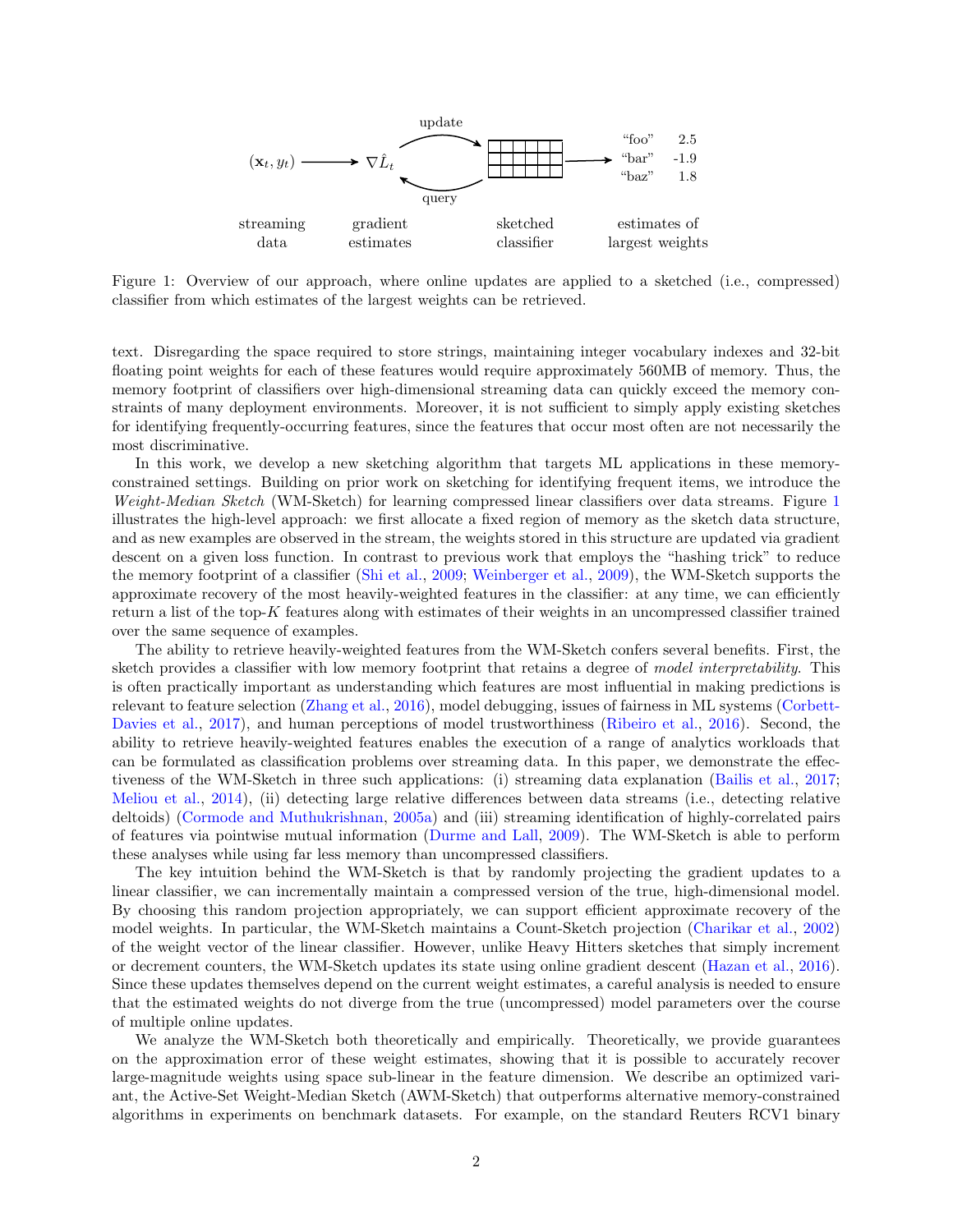<span id="page-1-0"></span>

Figure 1: Overview of our approach, where online updates are applied to a sketched (i.e., compressed) classifier from which estimates of the largest weights can be retrieved.

text. Disregarding the space required to store strings, maintaining integer vocabulary indexes and 32-bit floating point weights for each of these features would require approximately 560MB of memory. Thus, the memory footprint of classifiers over high-dimensional streaming data can quickly exceed the memory constraints of many deployment environments. Moreover, it is not sufficient to simply apply existing sketches for identifying frequently-occurring features, since the features that occur most often are not necessarily the most discriminative.

In this work, we develop a new sketching algorithm that targets ML applications in these memoryconstrained settings. Building on prior work on sketching for identifying frequent items, we introduce the Weight-Median Sketch (WM-Sketch) for learning compressed linear classifiers over data streams. Figure [1](#page-1-0) illustrates the high-level approach: we first allocate a fixed region of memory as the sketch data structure, and as new examples are observed in the stream, the weights stored in this structure are updated via gradient descent on a given loss function. In contrast to previous work that employs the "hashing trick" to reduce the memory footprint of a classifier [\(Shi et al.,](#page-23-4) [2009;](#page-23-4) [Weinberger et al.,](#page-23-5) [2009\)](#page-23-5), the WM-Sketch supports the approximate recovery of the most heavily-weighted features in the classifier: at any time, we can efficiently return a list of the top-K features along with estimates of their weights in an uncompressed classifier trained over the same sequence of examples.

The ability to retrieve heavily-weighted features from the WM-Sketch confers several benefits. First, the sketch provides a classifier with low memory footprint that retains a degree of *model interpretability*. This is often practically important as understanding which features are most influential in making predictions is relevant to feature selection [\(Zhang et al.,](#page-23-6) [2016\)](#page-23-6), model debugging, issues of fairness in ML systems [\(Corbett-](#page-20-7)[Davies et al.,](#page-20-7) [2017\)](#page-20-7), and human perceptions of model trustworthiness [\(Ribeiro et al.,](#page-22-2) [2016\)](#page-22-2). Second, the ability to retrieve heavily-weighted features enables the execution of a range of analytics workloads that can be formulated as classification problems over streaming data. In this paper, we demonstrate the effectiveness of the WM-Sketch in three such applications: (i) streaming data explanation [\(Bailis et al.,](#page-19-1) [2017;](#page-19-1) [Meliou et al.,](#page-22-3) [2014\)](#page-22-3), (ii) detecting large relative differences between data streams (i.e., detecting relative deltoids) [\(Cormode and Muthukrishnan,](#page-20-8) [2005a\)](#page-20-8) and (iii) streaming identification of highly-correlated pairs of features via pointwise mutual information [\(Durme and Lall,](#page-20-9) [2009\)](#page-20-9). The WM-Sketch is able to perform these analyses while using far less memory than uncompressed classifiers.

The key intuition behind the WM-Sketch is that by randomly projecting the gradient updates to a linear classifier, we can incrementally maintain a compressed version of the true, high-dimensional model. By choosing this random projection appropriately, we can support efficient approximate recovery of the model weights. In particular, the WM-Sketch maintains a Count-Sketch projection [\(Charikar et al.,](#page-20-0) [2002\)](#page-20-0) of the weight vector of the linear classifier. However, unlike Heavy Hitters sketches that simply increment or decrement counters, the WM-Sketch updates its state using online gradient descent [\(Hazan et al.,](#page-21-4) [2016\)](#page-21-4). Since these updates themselves depend on the current weight estimates, a careful analysis is needed to ensure that the estimated weights do not diverge from the true (uncompressed) model parameters over the course of multiple online updates.

We analyze the WM-Sketch both theoretically and empirically. Theoretically, we provide guarantees on the approximation error of these weight estimates, showing that it is possible to accurately recover large-magnitude weights using space sub-linear in the feature dimension. We describe an optimized variant, the Active-Set Weight-Median Sketch (AWM-Sketch) that outperforms alternative memory-constrained algorithms in experiments on benchmark datasets. For example, on the standard Reuters RCV1 binary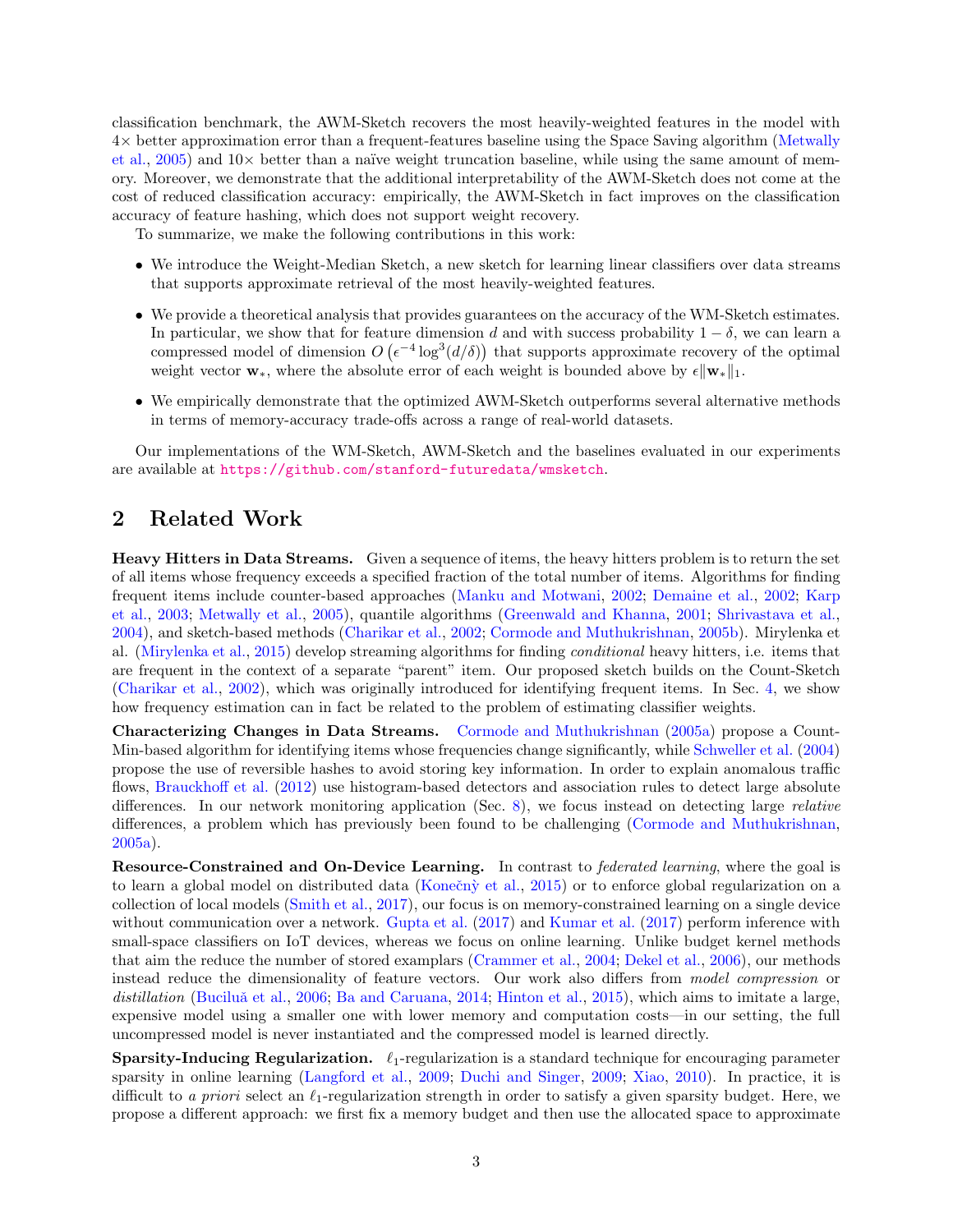classification benchmark, the AWM-Sketch recovers the most heavily-weighted features in the model with 4× better approximation error than a frequent-features baseline using the Space Saving algorithm [\(Metwally](#page-22-0) [et al.,](#page-22-0) [2005\)](#page-22-0) and  $10\times$  better than a naïve weight truncation baseline, while using the same amount of memory. Moreover, we demonstrate that the additional interpretability of the AWM-Sketch does not come at the cost of reduced classification accuracy: empirically, the AWM-Sketch in fact improves on the classification accuracy of feature hashing, which does not support weight recovery.

To summarize, we make the following contributions in this work:

- We introduce the Weight-Median Sketch, a new sketch for learning linear classifiers over data streams that supports approximate retrieval of the most heavily-weighted features.
- We provide a theoretical analysis that provides guarantees on the accuracy of the WM-Sketch estimates. In particular, we show that for feature dimension d and with success probability  $1 - \delta$ , we can learn a compressed model of dimension  $O(\epsilon^{-4} \log^3(d/\delta))$  that supports approximate recovery of the optimal weight vector  $\mathbf{w}_*,$  where the absolute error of each weight is bounded above by  $\epsilon \|\mathbf{w}_*\|_1$ .
- We empirically demonstrate that the optimized AWM-Sketch outperforms several alternative methods in terms of memory-accuracy trade-offs across a range of real-world datasets.

Our implementations of the WM-Sketch, AWM-Sketch and the baselines evaluated in our experiments are available at <https://github.com/stanford-futuredata/wmsketch>.

## 2 Related Work

Heavy Hitters in Data Streams. Given a sequence of items, the heavy hitters problem is to return the set of all items whose frequency exceeds a specified fraction of the total number of items. Algorithms for finding frequent items include counter-based approaches [\(Manku and Motwani,](#page-22-4) [2002;](#page-22-4) [Demaine et al.,](#page-20-10) [2002;](#page-20-10) [Karp](#page-21-5) [et al.,](#page-21-5) [2003;](#page-21-5) [Metwally et al.,](#page-22-0) [2005\)](#page-22-0), quantile algorithms [\(Greenwald and Khanna,](#page-20-2) [2001;](#page-20-2) [Shrivastava et al.,](#page-23-7) [2004\)](#page-23-7), and sketch-based methods [\(Charikar et al.,](#page-20-0) [2002;](#page-20-0) [Cormode and Muthukrishnan,](#page-20-1) [2005b\)](#page-20-1). Mirylenka et al. [\(Mirylenka et al.,](#page-22-5) [2015\)](#page-22-5) develop streaming algorithms for finding conditional heavy hitters, i.e. items that are frequent in the context of a separate "parent" item. Our proposed sketch builds on the Count-Sketch [\(Charikar et al.,](#page-20-0) [2002\)](#page-20-0), which was originally introduced for identifying frequent items. In Sec. [4,](#page-4-0) we show how frequency estimation can in fact be related to the problem of estimating classifier weights.

Characterizing Changes in Data Streams. [Cormode and Muthukrishnan](#page-20-8) [\(2005a\)](#page-20-8) propose a Count-Min-based algorithm for identifying items whose frequencies change significantly, while [Schweller et al.](#page-22-6) [\(2004\)](#page-22-6) propose the use of reversible hashes to avoid storing key information. In order to explain anomalous traffic flows, [Brauckhoff et al.](#page-19-2) [\(2012\)](#page-19-2) use histogram-based detectors and association rules to detect large absolute differences. In our network monitoring application (Sec. [8\)](#page-14-0), we focus instead on detecting large *relative* differences, a problem which has previously been found to be challenging [\(Cormode and Muthukrishnan,](#page-20-8) [2005a\)](#page-20-8).

Resource-Constrained and On-Device Learning. In contrast to *federated learning*, where the goal is to learn a global model on distributed data (Konečný et al., [2015\)](#page-21-6) or to enforce global regularization on a collection of local models [\(Smith et al.,](#page-23-1) [2017\)](#page-23-1), our focus is on memory-constrained learning on a single device without communication over a network. [Gupta et al.](#page-21-7) [\(2017\)](#page-21-7) and [Kumar et al.](#page-21-8) [\(2017\)](#page-21-8) perform inference with small-space classifiers on IoT devices, whereas we focus on online learning. Unlike budget kernel methods that aim the reduce the number of stored examplars [\(Crammer et al.,](#page-20-11) [2004;](#page-20-11) [Dekel et al.,](#page-20-12) [2006\)](#page-20-12), our methods instead reduce the dimensionality of feature vectors. Our work also differs from model compression or distillation (Buciluă et al., [2006;](#page-20-13) [Ba and Caruana,](#page-19-3) [2014;](#page-19-3) [Hinton et al.,](#page-21-9) [2015\)](#page-21-9), which aims to imitate a large. expensive model using a smaller one with lower memory and computation costs—in our setting, the full uncompressed model is never instantiated and the compressed model is learned directly.

**Sparsity-Inducing Regularization.**  $\ell_1$ -regularization is a standard technique for encouraging parameter sparsity in online learning [\(Langford et al.,](#page-21-10) [2009;](#page-21-10) [Duchi and Singer,](#page-20-14) [2009;](#page-20-14) [Xiao,](#page-23-8) [2010\)](#page-23-8). In practice, it is difficult to a priori select an  $\ell_1$ -regularization strength in order to satisfy a given sparsity budget. Here, we propose a different approach: we first fix a memory budget and then use the allocated space to approximate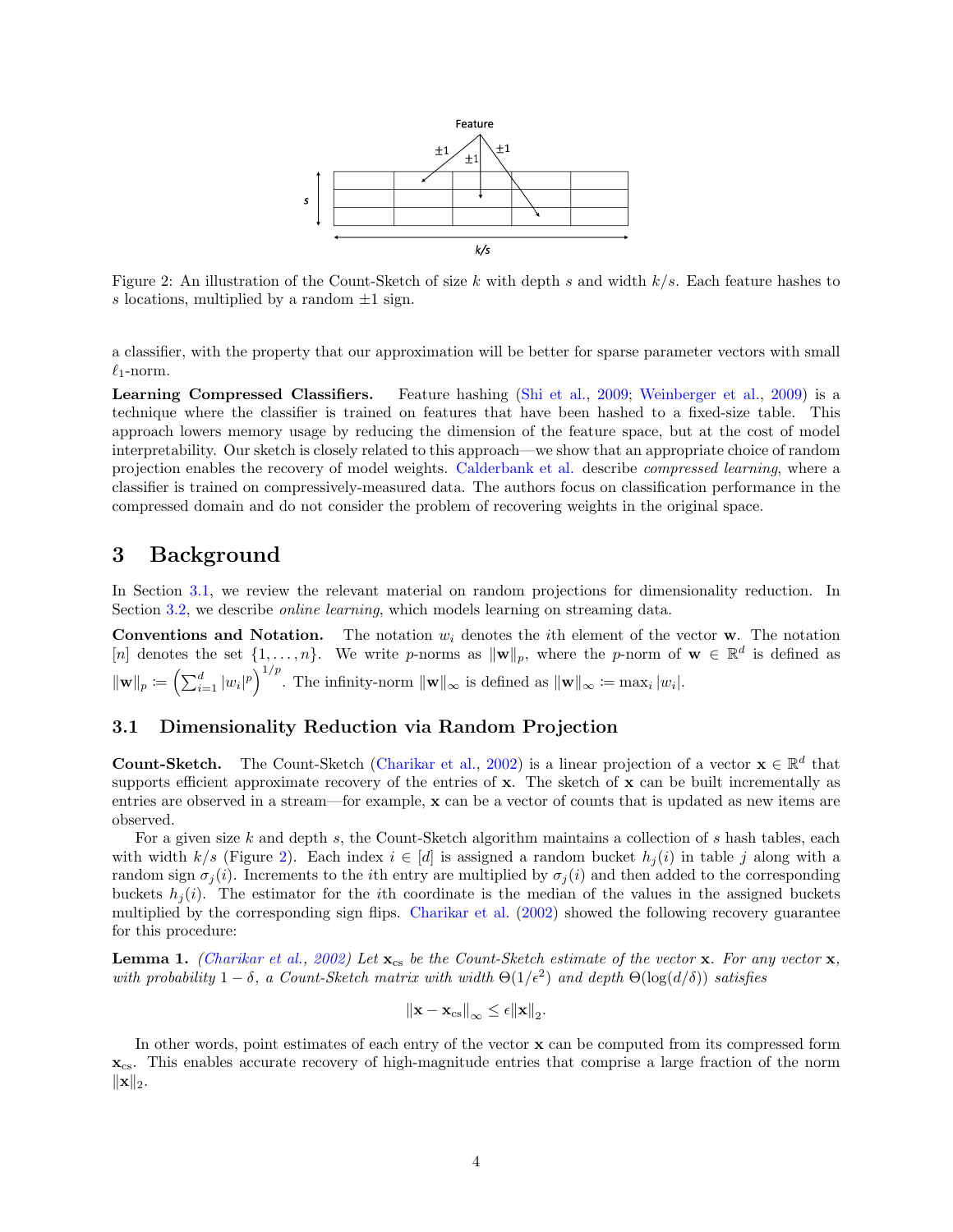

<span id="page-3-1"></span>Figure 2: An illustration of the Count-Sketch of size k with depth s and width  $k/s$ . Each feature hashes to s locations, multiplied by a random  $\pm 1$  sign.

a classifier, with the property that our approximation will be better for sparse parameter vectors with small  $\ell_1$ -norm.

Learning Compressed Classifiers. Feature hashing [\(Shi et al.,](#page-23-4) [2009;](#page-23-4) [Weinberger et al.,](#page-23-5) [2009\)](#page-23-5) is a technique where the classifier is trained on features that have been hashed to a fixed-size table. This approach lowers memory usage by reducing the dimension of the feature space, but at the cost of model interpretability. Our sketch is closely related to this approach—we show that an appropriate choice of random projection enables the recovery of model weights. [Calderbank et al.](#page-20-15) describe compressed learning, where a classifier is trained on compressively-measured data. The authors focus on classification performance in the compressed domain and do not consider the problem of recovering weights in the original space.

## 3 Background

In Section [3.1,](#page-3-0) we review the relevant material on random projections for dimensionality reduction. In Section [3.2,](#page-4-1) we describe *online learning*, which models learning on streaming data.

**Conventions and Notation.** The notation  $w_i$  denotes the *i*th element of the vector **w**. The notation [n] denotes the set  $\{1,\ldots,n\}$ . We write p-norms as  $\|\mathbf{w}\|_p$ , where the p-norm of  $\mathbf{w} \in \mathbb{R}^d$  is defined as  $\|\mathbf{w}\|_p \coloneqq \left(\sum_{i=1}^d |w_i|^p\right)^{1/p}$ . The infinity-norm  $\|\mathbf{w}\|_{\infty}$  is defined as  $\|\mathbf{w}\|_{\infty} \coloneqq \max_i |w_i|$ .

#### <span id="page-3-0"></span>3.1 Dimensionality Reduction via Random Projection

**Count-Sketch.** The Count-Sketch [\(Charikar et al.,](#page-20-0) [2002\)](#page-20-0) is a linear projection of a vector  $\mathbf{x} \in \mathbb{R}^d$  that supports efficient approximate recovery of the entries of  $x$ . The sketch of  $x$  can be built incrementally as entries are observed in a stream—for example, x can be a vector of counts that is updated as new items are observed.

For a given size  $k$  and depth  $s$ , the Count-Sketch algorithm maintains a collection of  $s$  hash tables, each with width k/s (Figure [2\)](#page-3-1). Each index  $i \in [d]$  is assigned a random bucket  $h_i(i)$  in table j along with a random sign  $\sigma_i(i)$ . Increments to the *i*th entry are multiplied by  $\sigma_i(i)$  and then added to the corresponding buckets  $h_i(i)$ . The estimator for the *i*th coordinate is the median of the values in the assigned buckets multiplied by the corresponding sign flips. [Charikar et al.](#page-20-0) [\(2002\)](#page-20-0) showed the following recovery guarantee for this procedure:

**Lemma 1.** [\(Charikar et al.,](#page-20-0) [2002\)](#page-20-0) Let  $\mathbf{x}_{cs}$  be the Count-Sketch estimate of the vector  $\mathbf{x}$ . For any vector  $\mathbf{x}$ , with probability  $1-\delta$ , a Count-Sketch matrix with width  $\Theta(1/\epsilon^2)$  and depth  $\Theta(\log(d/\delta))$  satisfies

$$
\|\mathbf{x} - \mathbf{x}_{\text{cs}}\|_{\infty} \leq \epsilon \|\mathbf{x}\|_{2}.
$$

In other words, point estimates of each entry of the vector  $\mathbf x$  can be computed from its compressed form  $\mathbf{x}_{\text{cs}}$ . This enables accurate recovery of high-magnitude entries that comprise a large fraction of the norm  $\|\mathbf{x}\|_2$ .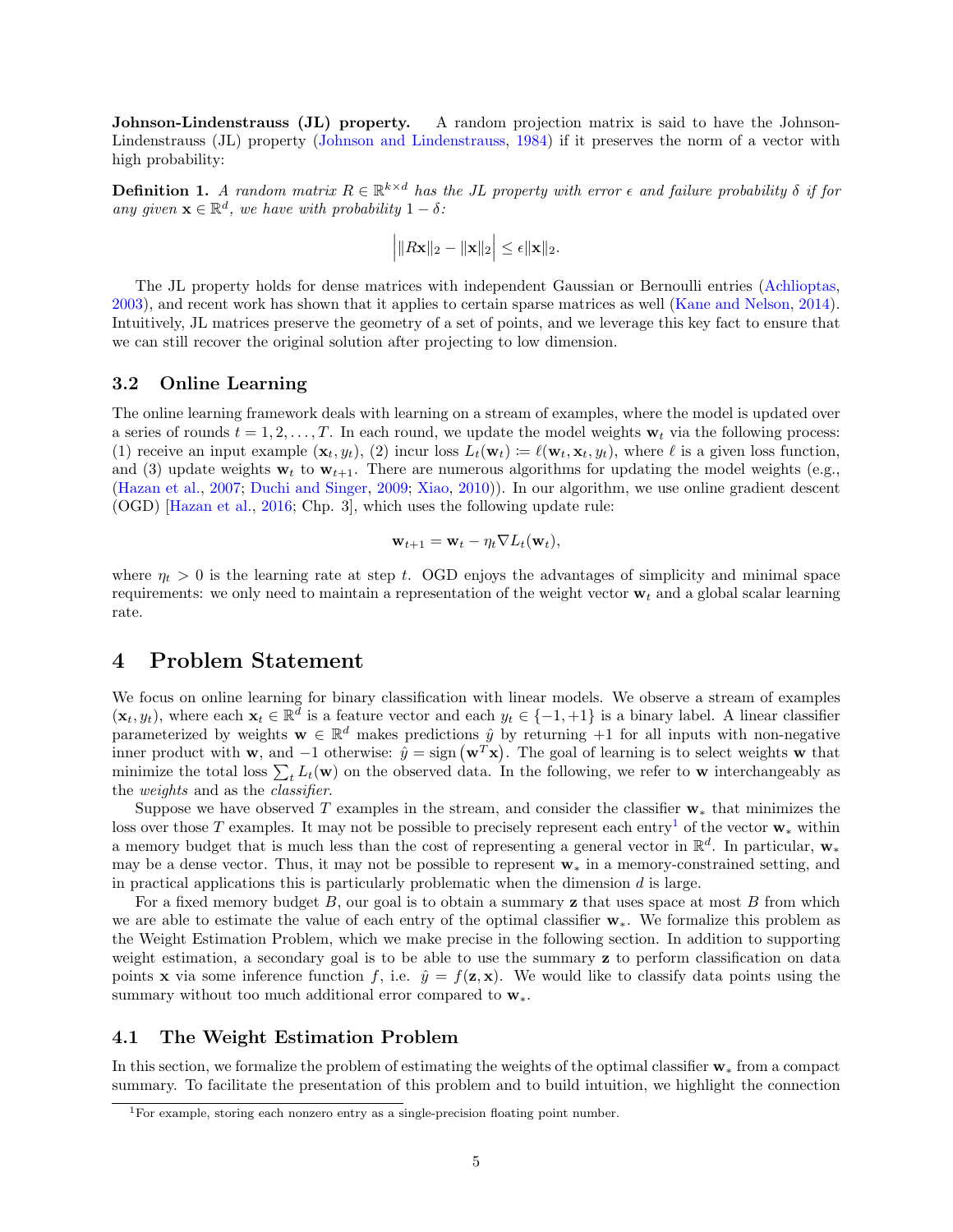Johnson-Lindenstrauss (JL) property. A random projection matrix is said to have the Johnson-Lindenstrauss (JL) property [\(Johnson and Lindenstrauss,](#page-21-11) [1984\)](#page-21-11) if it preserves the norm of a vector with high probability:

<span id="page-4-2"></span>**Definition 1.** A random matrix  $R \in \mathbb{R}^{k \times d}$  has the JL property with error  $\epsilon$  and failure probability  $\delta$  if for any given  $\mathbf{x} \in \mathbb{R}^d$ , we have with probability  $1 - \delta$ :

$$
\Big|\|R\mathbf{x}\|_2-\|\mathbf{x}\|_2\Big|\leq \epsilon \|\mathbf{x}\|_2.
$$

The JL property holds for dense matrices with independent Gaussian or Bernoulli entries [\(Achlioptas,](#page-19-4) [2003\)](#page-19-4), and recent work has shown that it applies to certain sparse matrices as well [\(Kane and Nelson,](#page-21-12) [2014\)](#page-21-12). Intuitively, JL matrices preserve the geometry of a set of points, and we leverage this key fact to ensure that we can still recover the original solution after projecting to low dimension.

#### <span id="page-4-1"></span>3.2 Online Learning

The online learning framework deals with learning on a stream of examples, where the model is updated over a series of rounds  $t = 1, 2, \ldots, T$ . In each round, we update the model weights  $\mathbf{w}_t$  via the following process: (1) receive an input example  $(\mathbf{x}_t, y_t)$ , (2) incur loss  $L_t(\mathbf{w}_t) := \ell(\mathbf{w}_t, \mathbf{x}_t, y_t)$ , where  $\ell$  is a given loss function, and (3) update weights  $\mathbf{w}_t$  to  $\mathbf{w}_{t+1}$ . There are numerous algorithms for updating the model weights (e.g., [\(Hazan et al.,](#page-21-13) [2007;](#page-21-13) [Duchi and Singer,](#page-20-14) [2009;](#page-20-14) [Xiao,](#page-23-8) [2010\)](#page-23-8)). In our algorithm, we use online gradient descent (OGD) [\[Hazan et al.,](#page-21-4) [2016;](#page-21-4) Chp. 3], which uses the following update rule:

$$
\mathbf{w}_{t+1} = \mathbf{w}_t - \eta_t \nabla L_t(\mathbf{w}_t),
$$

where  $\eta_t > 0$  is the learning rate at step t. OGD enjoys the advantages of simplicity and minimal space requirements: we only need to maintain a representation of the weight vector  $w_t$  and a global scalar learning rate.

## <span id="page-4-0"></span>4 Problem Statement

We focus on online learning for binary classification with linear models. We observe a stream of examples  $(\mathbf{x}_t, y_t)$ , where each  $\mathbf{x}_t \in \mathbb{R}^{\bar{d}}$  is a feature vector and each  $y_t \in \{-1, +1\}$  is a binary label. A linear classifier parameterized by weights  $\mathbf{w} \in \mathbb{R}^d$  makes predictions  $\hat{y}$  by returning +1 for all inputs with non-negative inner product with w, and  $-1$  otherwise:  $\hat{y} = \text{sign}(\mathbf{w}^T \mathbf{x})$ . The goal of learning is to select weights w that minimize the total loss  $\sum_t L_t(\mathbf{w})$  on the observed data. In the following, we refer to **w** interchangeably as the weights and as the classifier.

Suppose we have observed T examples in the stream, and consider the classifier  $w_*$  that minimizes the loss over those T examples. It may not be possible to precisely represent each entry<sup>[1](#page-0-0)</sup> of the vector  $w_*$  within a memory budget that is much less than the cost of representing a general vector in  $\mathbb{R}^d$ . In particular,  $\mathbf{w}_*$ may be a dense vector. Thus, it may not be possible to represent  $w_*$  in a memory-constrained setting, and in practical applications this is particularly problematic when the dimension  $d$  is large.

For a fixed memory budget  $B$ , our goal is to obtain a summary **z** that uses space at most  $B$  from which we are able to estimate the value of each entry of the optimal classifier w∗. We formalize this problem as the Weight Estimation Problem, which we make precise in the following section. In addition to supporting weight estimation, a secondary goal is to be able to use the summary **z** to perform classification on data points x via some inference function f, i.e.  $\hat{y} = f(z, x)$ . We would like to classify data points using the summary without too much additional error compared to  $w_*$ .

#### 4.1 The Weight Estimation Problem

In this section, we formalize the problem of estimating the weights of the optimal classifier w<sup>∗</sup> from a compact summary. To facilitate the presentation of this problem and to build intuition, we highlight the connection

<sup>1</sup>For example, storing each nonzero entry as a single-precision floating point number.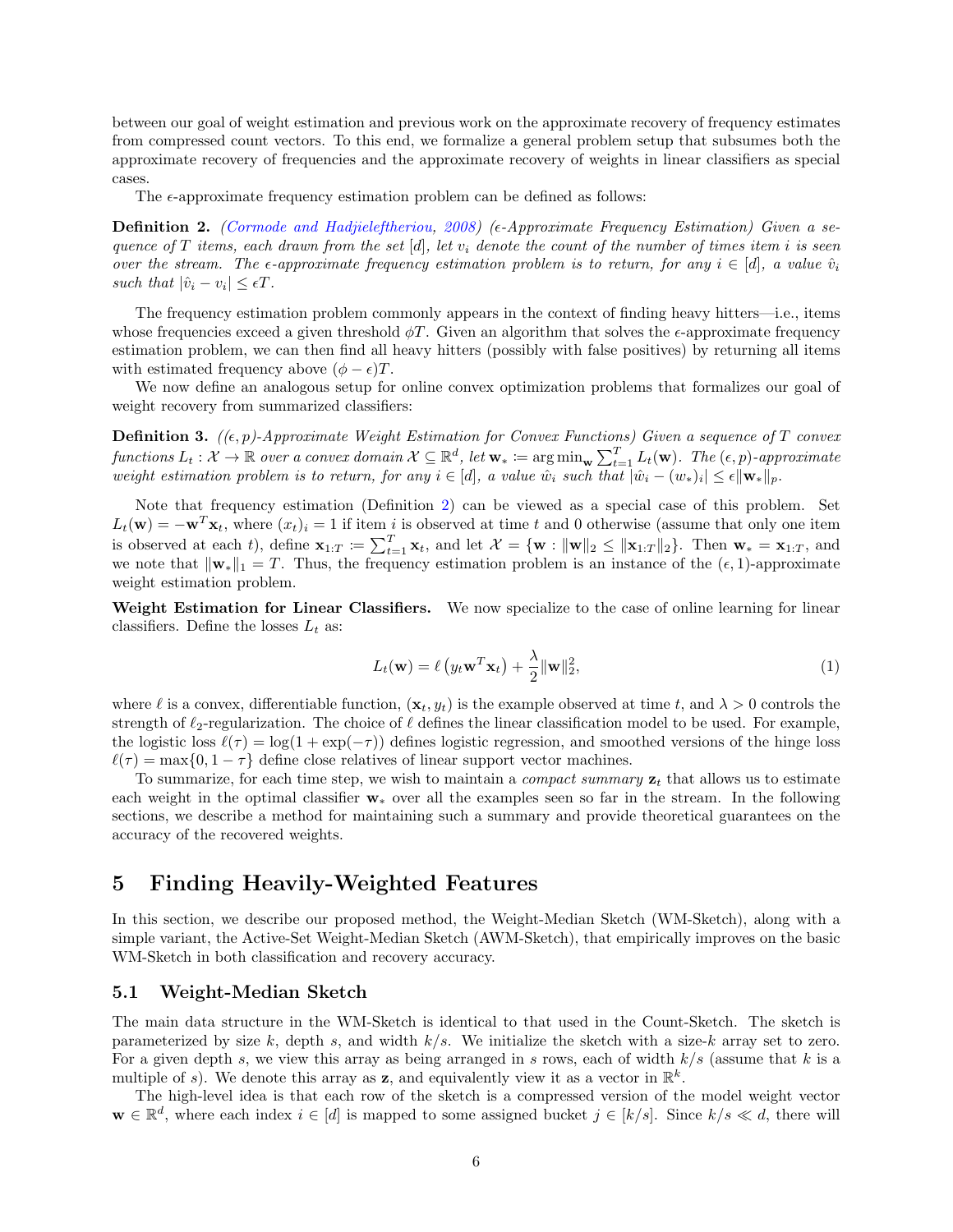between our goal of weight estimation and previous work on the approximate recovery of frequency estimates from compressed count vectors. To this end, we formalize a general problem setup that subsumes both the approximate recovery of frequencies and the approximate recovery of weights in linear classifiers as special cases.

The  $\epsilon$ -approximate frequency estimation problem can be defined as follows:

<span id="page-5-0"></span>**Definition 2.** [\(Cormode and Hadjieleftheriou,](#page-20-16) [2008\)](#page-20-16) (e-Approximate Frequency Estimation) Given a sequence of T items, each drawn from the set  $[d]$ , let  $v_i$  denote the count of the number of times item i is seen over the stream. The  $\epsilon$ -approximate frequency estimation problem is to return, for any  $i \in [d]$ , a value  $\hat{v}_i$ such that  $|\hat{v}_i - v_i| \leq \epsilon T$ .

The frequency estimation problem commonly appears in the context of finding heavy hitters—i.e., items whose frequencies exceed a given threshold  $\phi T$ . Given an algorithm that solves the  $\epsilon$ -approximate frequency estimation problem, we can then find all heavy hitters (possibly with false positives) by returning all items with estimated frequency above  $(\phi - \epsilon)T$ .

We now define an analogous setup for online convex optimization problems that formalizes our goal of weight recovery from summarized classifiers:

**Definition 3.** ( $(\epsilon, p)$ -Approximate Weight Estimation for Convex Functions) Given a sequence of T convex  $\textit{functions } L_t: \mathcal{X} \to \mathbb{R} \textit{ over a convex domain } \mathcal{X} \subseteq \mathbb{R}^d, \textit{ let } \mathbf{w}_* \coloneqq \argmin_{\mathbf{w}} \sum_{t=1}^T L_t(\mathbf{w}). \textit{ The } (\epsilon, p)\text{-approximate }$ weight estimation problem is to return, for any  $i \in [d]$ , a value  $\hat{w}_i$  such that  $|\hat{w}_i - (w_*)_i| \leq \epsilon ||\mathbf{w}_*||_p$ .

Note that frequency estimation (Definition [2\)](#page-5-0) can be viewed as a special case of this problem. Set  $L_t(\mathbf{w}) = -\mathbf{w}^T \mathbf{x}_t$ , where  $(x_t)_i = 1$  if item i is observed at time t and 0 otherwise (assume that only one item is observed at each t), define  $\mathbf{x}_{1:T} \coloneqq \sum_{t=1}^T \mathbf{x}_t$ , and let  $\mathcal{X} = \{\mathbf{w} : ||\mathbf{w}||_2 \le ||\mathbf{x}_{1:T}||_2\}$ . Then  $\mathbf{w}_* = \mathbf{x}_{1:T}$ , and we note that  $\|\mathbf{w}_*\|_1 = T$ . Thus, the frequency estimation problem is an instance of the  $(\epsilon, 1)$ -approximate weight estimation problem.

Weight Estimation for Linear Classifiers. We now specialize to the case of online learning for linear classifiers. Define the losses  $L_t$  as:

<span id="page-5-1"></span>
$$
L_t(\mathbf{w}) = \ell \left( y_t \mathbf{w}^T \mathbf{x}_t \right) + \frac{\lambda}{2} ||\mathbf{w}||_2^2, \tag{1}
$$

where  $\ell$  is a convex, differentiable function,  $(\mathbf{x}_t, y_t)$  is the example observed at time t, and  $\lambda > 0$  controls the strength of  $\ell_2$ -regularization. The choice of  $\ell$  defines the linear classification model to be used. For example, the logistic loss  $\ell(\tau) = \log(1 + \exp(-\tau))$  defines logistic regression, and smoothed versions of the hinge loss  $\ell(\tau) = \max\{0, 1 - \tau\}$  define close relatives of linear support vector machines.

To summarize, for each time step, we wish to maintain a *compact summary*  $z_t$  that allows us to estimate each weight in the optimal classifier w<sup>∗</sup> over all the examples seen so far in the stream. In the following sections, we describe a method for maintaining such a summary and provide theoretical guarantees on the accuracy of the recovered weights.

## 5 Finding Heavily-Weighted Features

In this section, we describe our proposed method, the Weight-Median Sketch (WM-Sketch), along with a simple variant, the Active-Set Weight-Median Sketch (AWM-Sketch), that empirically improves on the basic WM-Sketch in both classification and recovery accuracy.

#### <span id="page-5-2"></span>5.1 Weight-Median Sketch

The main data structure in the WM-Sketch is identical to that used in the Count-Sketch. The sketch is parameterized by size k, depth s, and width  $k/s$ . We initialize the sketch with a size-k array set to zero. For a given depth s, we view this array as being arranged in s rows, each of width  $k/s$  (assume that k is a multiple of s). We denote this array as **z**, and equivalently view it as a vector in  $\mathbb{R}^k$ .

The high-level idea is that each row of the sketch is a compressed version of the model weight vector  $\mathbf{w} \in \mathbb{R}^d$ , where each index  $i \in [d]$  is mapped to some assigned bucket  $j \in [k/s]$ . Since  $k/s \ll d$ , there will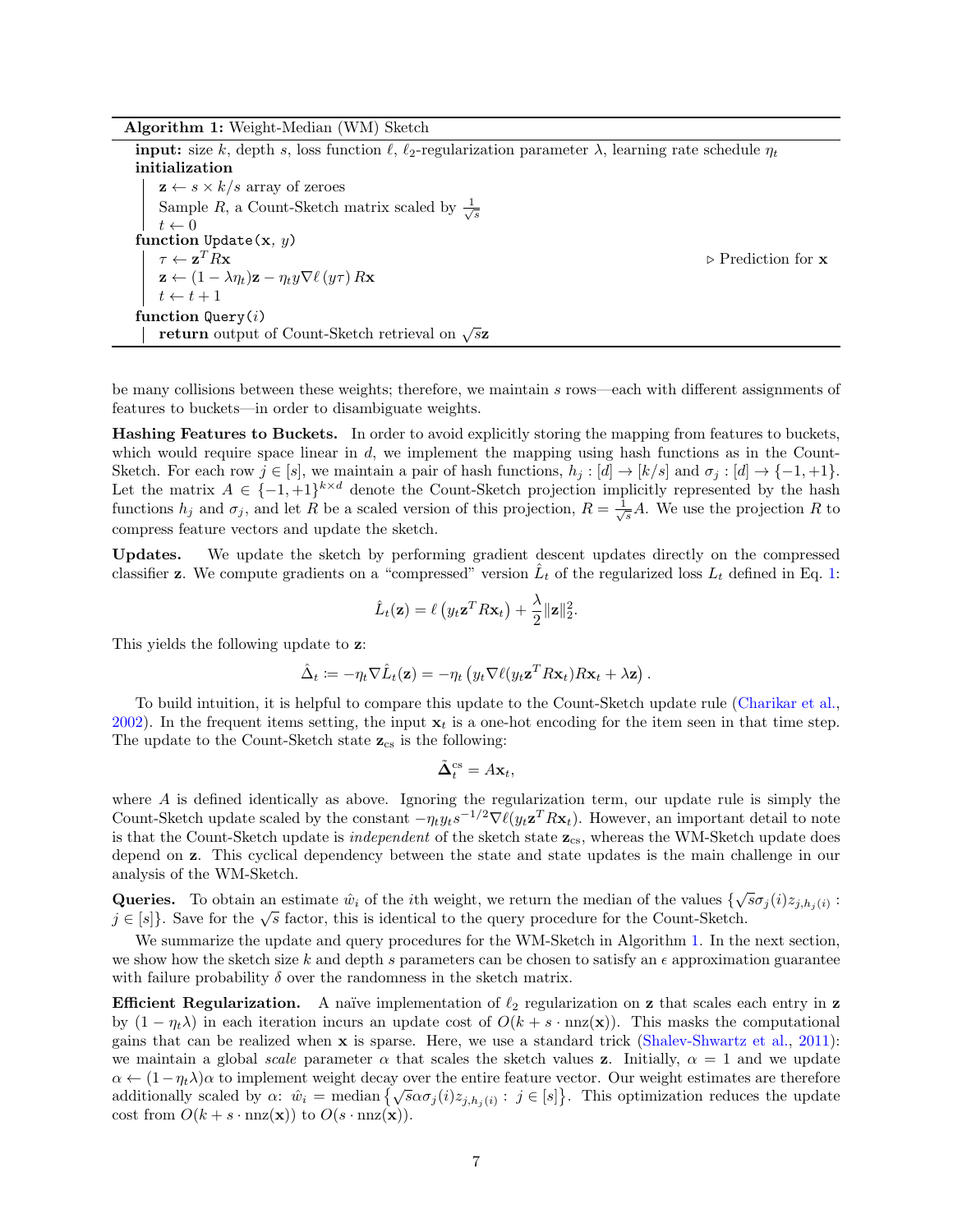Algorithm 1: Weight-Median (WM) Sketch

**input:** size k, depth s, loss function  $\ell$ ,  $\ell_2$ -regularization parameter  $\lambda$ , learning rate schedule  $\eta_t$ initialization  $z \leftarrow s \times k/s$  array of zeroes Sample R, a Count-Sketch matrix scaled by  $\frac{1}{\sqrt{s}}$  $t \leftarrow 0$ function Update(x,  $y$ )  $\tau \leftarrow \mathbf{z}^T R \mathbf{x}$  $\triangleright$  Prediction for  ${\bf x}$  $\mathbf{z} \leftarrow (1 - \lambda \eta_t)\mathbf{z} - \eta_t y \nabla \ell(y\tau) R\mathbf{x}$  $t \leftarrow t + 1$ function  $Q_{\text{uerv}}(i)$ ettion query (*t*)<br>return output of Count-Sketch retrieval on  $\sqrt{s}$ z

<span id="page-6-0"></span>be many collisions between these weights; therefore, we maintain s rows—each with different assignments of features to buckets—in order to disambiguate weights.

Hashing Features to Buckets. In order to avoid explicitly storing the mapping from features to buckets, which would require space linear in  $d$ , we implement the mapping using hash functions as in the Count-Sketch. For each row  $j \in [s]$ , we maintain a pair of hash functions,  $h_j : [d] \to [k/s]$  and  $\sigma_j : [d] \to \{-1, +1\}$ . Let the matrix  $A \in \{-1, +1\}^{k \times d}$  denote the Count-Sketch projection implicitly represented by the hash functions  $h_j$  and  $\sigma_j$ , and let R be a scaled version of this projection,  $R = \frac{1}{\sqrt{s}}A$ . We use the projection R to compress feature vectors and update the sketch.

Updates. We update the sketch by performing gradient descent updates directly on the compressed classifier z. We compute gradients on a "compressed" version  $\hat{L}_t$  of the regularized loss  $L_t$  defined in Eq. [1:](#page-5-1)

$$
\hat{L}_t(\mathbf{z}) = \ell \left( y_t \mathbf{z}^T R \mathbf{x}_t \right) + \frac{\lambda}{2} ||\mathbf{z}||_2^2.
$$

This yields the following update to z:

$$
\hat{\Delta}_t := -\eta_t \nabla \hat{L}_t(\mathbf{z}) = -\eta_t \left( y_t \nabla \ell (y_t \mathbf{z}^T R \mathbf{x}_t) R \mathbf{x}_t + \lambda \mathbf{z} \right).
$$

To build intuition, it is helpful to compare this update to the Count-Sketch update rule [\(Charikar et al.,](#page-20-0) [2002\)](#page-20-0). In the frequent items setting, the input  $x_t$  is a one-hot encoding for the item seen in that time step. The update to the Count-Sketch state  $\mathbf{z}_\mathrm{cs}$  is the following:

$$
\tilde{\mathbf{\Delta}}_t^{\text{cs}} = A\mathbf{x}_t,
$$

where  $A$  is defined identically as above. Ignoring the regularization term, our update rule is simply the Count-Sketch update scaled by the constant  $-\eta_t y_t s^{-1/2} \nabla \ell(y_t \mathbf{z}^T R \mathbf{x}_t)$ . However, an important detail to note is that the Count-Sketch update is *independent* of the sketch state  $z_{cs}$ , whereas the WM-Sketch update does depend on z. This cyclical dependency between the state and state updates is the main challenge in our analysis of the WM-Sketch.

**Queries.** To obtain an estimate  $\hat{w}_i$  of the *i*th weight, we return the median of the values  $\{\sqrt{s}\sigma_j(i)z_{j,h_j(i)}\}$ : **Queries.** To obtain an estimate  $w_i$  of the rth weight, we return the median of the values  $\{v \in [s]\}$ . Save for the  $\sqrt{s}$  factor, this is identical to the query procedure for the Count-Sketch.

We summarize the update and query procedures for the WM-Sketch in Algorithm [1.](#page-6-0) In the next section, we show how the sketch size k and depth s parameters can be chosen to satisfy an  $\epsilon$  approximation guarantee with failure probability  $\delta$  over the randomness in the sketch matrix.

**Efficient Regularization.** A naïve implementation of  $\ell_2$  regularization on **z** that scales each entry in **z** by  $(1 - \eta_t \lambda)$  in each iteration incurs an update cost of  $O(k + s \cdot \text{nnz}(\mathbf{x}))$ . This masks the computational gains that can be realized when x is sparse. Here, we use a standard trick [\(Shalev-Shwartz et al.,](#page-22-7) [2011\)](#page-22-7): we maintain a global scale parameter  $\alpha$  that scales the sketch values z. Initially,  $\alpha = 1$  and we update  $\alpha \leftarrow (1-\eta_t\lambda)\alpha$  to implement weight decay over the entire feature vector. Our weight estimates are therefore  $\alpha \leftarrow (1 - \eta_t \lambda) \alpha$  to implement weight decay over the entire leature vector. Our weight estimates are therefore additionally scaled by  $\alpha$ :  $\hat{w}_i$  = median  $\{\sqrt{s} \alpha \sigma_j(i) z_{j,h_j(i)} : j \in [s]\}.$  This optimization reduces the up cost from  $O(k + s \cdot \text{nnz}(\mathbf{x}))$  to  $O(s \cdot \text{nnz}(\mathbf{x}))$ .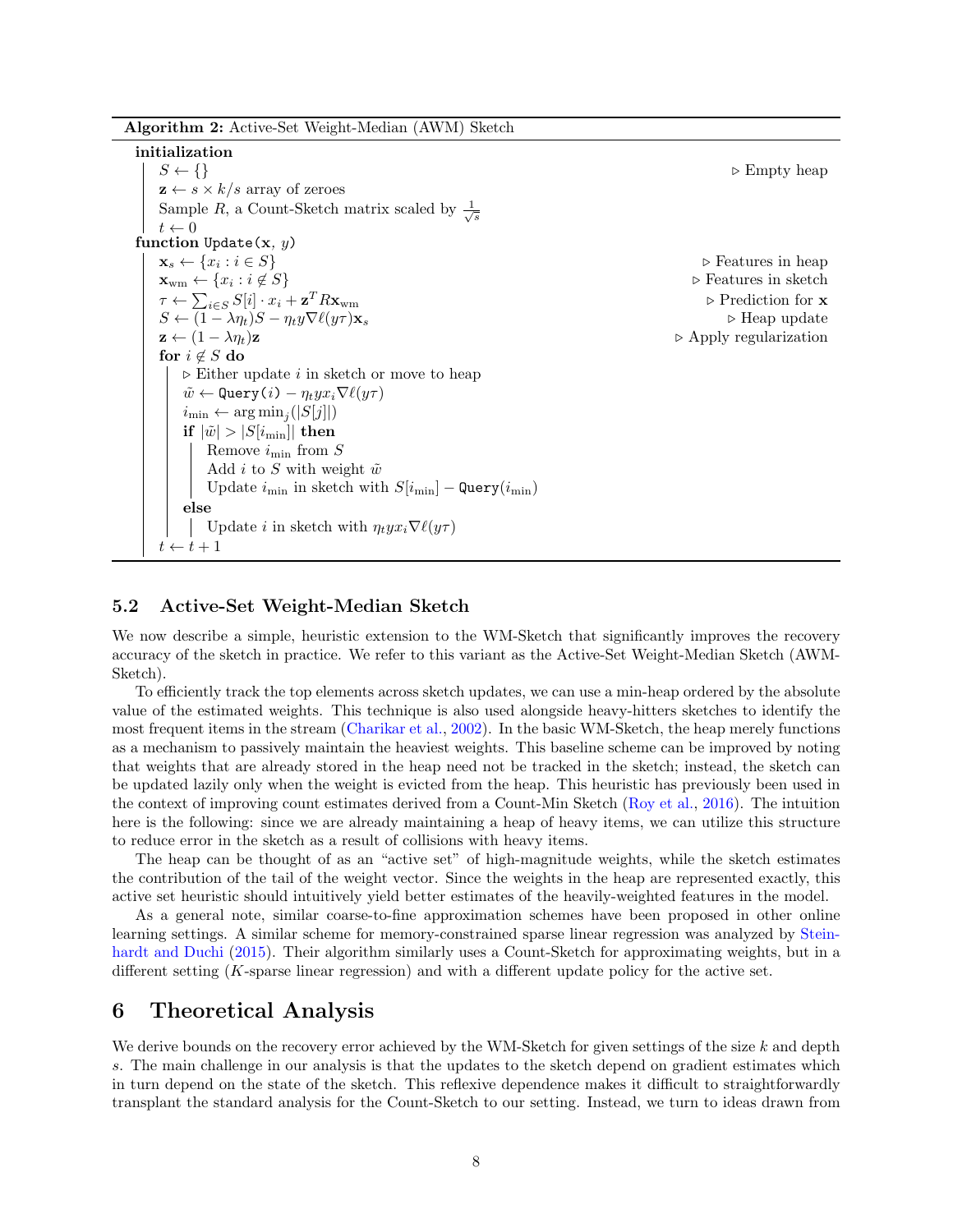Algorithm 2: Active-Set Weight-Median (AWM) Sketch

initialization  $S \leftarrow \{\}$  b Empty heap  $z \leftarrow s \times k/s$  array of zeroes Sample R, a Count-Sketch matrix scaled by  $\frac{1}{\sqrt{s}}$  $t \leftarrow 0$ function Update(x,  $y$ )  $\mathbf{x}_s \leftarrow \{x_i : i \in S\}$ ⊳ Features in heap  $\mathbf{x}_{\text{wm}} \leftarrow \{x_i : i \notin S\}$ ⊳ Features in sketch  $\tau \leftarrow \sum_{i \in S} S[i] \cdot x_i + \mathbf{z}$  $\triangleright$  Prediction for  ${\bf x}$  $S \leftarrow (1 - \lambda \eta_t)S - \eta_t y \nabla \ell(y\tau) \mathbf{x}_s$  . Heap update  $z \leftarrow (1 - \lambda \eta_t)z$  . Apply regularization for  $i \notin S$  do  $\triangleright$  Either update *i* in sketch or move to heap  $\tilde{w} \leftarrow$  Query $(i) - \eta_t y x_i \nabla \ell(y\tau)$  $i_{\min} \leftarrow \arg \min_j(|S[j]|)$ if  $|\tilde{w}| > |S[i_{\min}]|$  then Remove  $i_{\min}$  from S Add i to S with weight  $\tilde{w}$ Update  $i_{\min}$  in sketch with  $S[i_{\min}] -$  Query $(i_{\min})$ else Update *i* in sketch with  $\eta_t y x_i \nabla \ell(y\tau)$  $t \leftarrow t + 1$ 

### 5.2 Active-Set Weight-Median Sketch

We now describe a simple, heuristic extension to the WM-Sketch that significantly improves the recovery accuracy of the sketch in practice. We refer to this variant as the Active-Set Weight-Median Sketch (AWM-Sketch).

To efficiently track the top elements across sketch updates, we can use a min-heap ordered by the absolute value of the estimated weights. This technique is also used alongside heavy-hitters sketches to identify the most frequent items in the stream [\(Charikar et al.,](#page-20-0) [2002\)](#page-20-0). In the basic WM-Sketch, the heap merely functions as a mechanism to passively maintain the heaviest weights. This baseline scheme can be improved by noting that weights that are already stored in the heap need not be tracked in the sketch; instead, the sketch can be updated lazily only when the weight is evicted from the heap. This heuristic has previously been used in the context of improving count estimates derived from a Count-Min Sketch [\(Roy et al.,](#page-22-8) [2016\)](#page-22-8). The intuition here is the following: since we are already maintaining a heap of heavy items, we can utilize this structure to reduce error in the sketch as a result of collisions with heavy items.

The heap can be thought of as an "active set" of high-magnitude weights, while the sketch estimates the contribution of the tail of the weight vector. Since the weights in the heap are represented exactly, this active set heuristic should intuitively yield better estimates of the heavily-weighted features in the model.

As a general note, similar coarse-to-fine approximation schemes have been proposed in other online learning settings. A similar scheme for memory-constrained sparse linear regression was analyzed by [Stein](#page-23-9)[hardt and Duchi](#page-23-9) [\(2015\)](#page-23-9). Their algorithm similarly uses a Count-Sketch for approximating weights, but in a different setting (K-sparse linear regression) and with a different update policy for the active set.

### 6 Theoretical Analysis

We derive bounds on the recovery error achieved by the WM-Sketch for given settings of the size  $k$  and depth s. The main challenge in our analysis is that the updates to the sketch depend on gradient estimates which in turn depend on the state of the sketch. This reflexive dependence makes it difficult to straightforwardly transplant the standard analysis for the Count-Sketch to our setting. Instead, we turn to ideas drawn from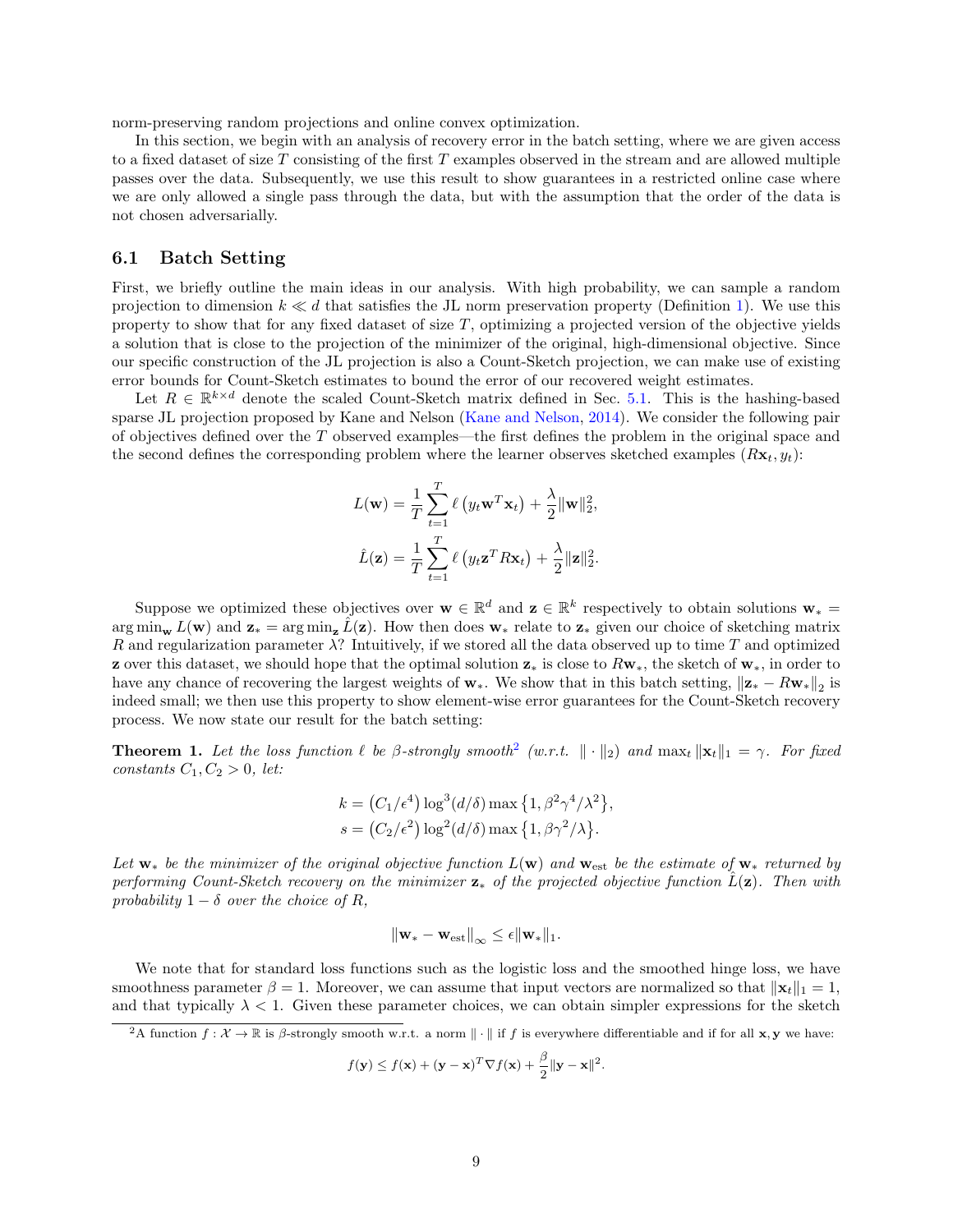norm-preserving random projections and online convex optimization.

In this section, we begin with an analysis of recovery error in the batch setting, where we are given access to a fixed dataset of size T consisting of the first T examples observed in the stream and are allowed multiple passes over the data. Subsequently, we use this result to show guarantees in a restricted online case where we are only allowed a single pass through the data, but with the assumption that the order of the data is not chosen adversarially.

#### 6.1 Batch Setting

First, we briefly outline the main ideas in our analysis. With high probability, we can sample a random projection to dimension  $k \ll d$  that satisfies the JL norm preservation property (Definition [1\)](#page-4-2). We use this property to show that for any fixed dataset of size T, optimizing a projected version of the objective yields a solution that is close to the projection of the minimizer of the original, high-dimensional objective. Since our specific construction of the JL projection is also a Count-Sketch projection, we can make use of existing error bounds for Count-Sketch estimates to bound the error of our recovered weight estimates.

Let  $R \in \mathbb{R}^{k \times d}$  denote the scaled Count-Sketch matrix defined in Sec. [5.1.](#page-5-2) This is the hashing-based sparse JL projection proposed by Kane and Nelson [\(Kane and Nelson,](#page-21-12) [2014\)](#page-21-12). We consider the following pair of objectives defined over the T observed examples—the first defines the problem in the original space and the second defines the corresponding problem where the learner observes sketched examples  $(Rx_t, y_t)$ :

$$
L(\mathbf{w}) = \frac{1}{T} \sum_{t=1}^{T} \ell (y_t \mathbf{w}^T \mathbf{x}_t) + \frac{\lambda}{2} ||\mathbf{w}||_2^2,
$$
  

$$
\hat{L}(\mathbf{z}) = \frac{1}{T} \sum_{t=1}^{T} \ell (y_t \mathbf{z}^T R \mathbf{x}_t) + \frac{\lambda}{2} ||\mathbf{z}||_2^2.
$$

Suppose we optimized these objectives over  $\mathbf{w} \in \mathbb{R}^d$  and  $\mathbf{z} \in \mathbb{R}^k$  respectively to obtain solutions  $\mathbf{w}_* =$  $\arg \min_{\mathbf{w}} L(\mathbf{w})$  and  $\mathbf{z}_* = \arg \min_{\mathbf{z}} \hat{L}(\mathbf{z})$ . How then does  $\mathbf{w}_*$  relate to  $\mathbf{z}_*$  given our choice of sketching matrix R and regularization parameter  $\lambda$ ? Intuitively, if we stored all the data observed up to time T and optimized **z** over this dataset, we should hope that the optimal solution  $z_*$  is close to  $Rw_*$ , the sketch of  $w_*$ , in order to have any chance of recovering the largest weights of  $w_*$ . We show that in this batch setting,  $\|\mathbf{z}_* - R\mathbf{w}_*\|_2$  is indeed small; we then use this property to show element-wise error guarantees for the Count-Sketch recovery process. We now state our result for the batch setting:

<span id="page-8-0"></span>**Theorem 1.** Let the loss function  $\ell$  be  $\beta$ -strongly smooth<sup>[2](#page-0-0)</sup> (w.r.t.  $\|\cdot\|_2$ ) and  $\max_t \|\mathbf{x}_t\|_1 = \gamma$ . For fixed constants  $C_1, C_2 > 0$ , let:

$$
k = (C_1/\epsilon^4) \log^3(d/\delta) \max\left\{1, \beta^2 \gamma^4/\lambda^2\right\},
$$
  

$$
s = (C_2/\epsilon^2) \log^2(d/\delta) \max\left\{1, \beta \gamma^2/\lambda\right\}.
$$

Let  $w_*$  be the minimizer of the original objective function  $L(w)$  and  $w_{est}$  be the estimate of  $w_*$  returned by performing Count-Sketch recovery on the minimizer  $z_*$  of the projected objective function  $\tilde{L}(z)$ . Then with probability  $1 - \delta$  over the choice of R,

$$
\|\mathbf{w}_* - \mathbf{w}_{\text{est}}\|_{\infty} \leq \epsilon \|\mathbf{w}_*\|_1.
$$

We note that for standard loss functions such as the logistic loss and the smoothed hinge loss, we have smoothness parameter  $\beta = 1$ . Moreover, we can assume that input vectors are normalized so that  $||\mathbf{x}_t||_1 = 1$ , and that typically  $\lambda < 1$ . Given these parameter choices, we can obtain simpler expressions for the sketch

$$
f(\mathbf{y}) \le f(\mathbf{x}) + (\mathbf{y} - \mathbf{x})^T \nabla f(\mathbf{x}) + \frac{\beta}{2} ||\mathbf{y} - \mathbf{x}||^2.
$$

<sup>&</sup>lt;sup>2</sup>A function  $f: \mathcal{X} \to \mathbb{R}$  is  $\beta$ -strongly smooth w.r.t. a norm  $\|\cdot\|$  if f is everywhere differentiable and if for all **x**, **y** we have: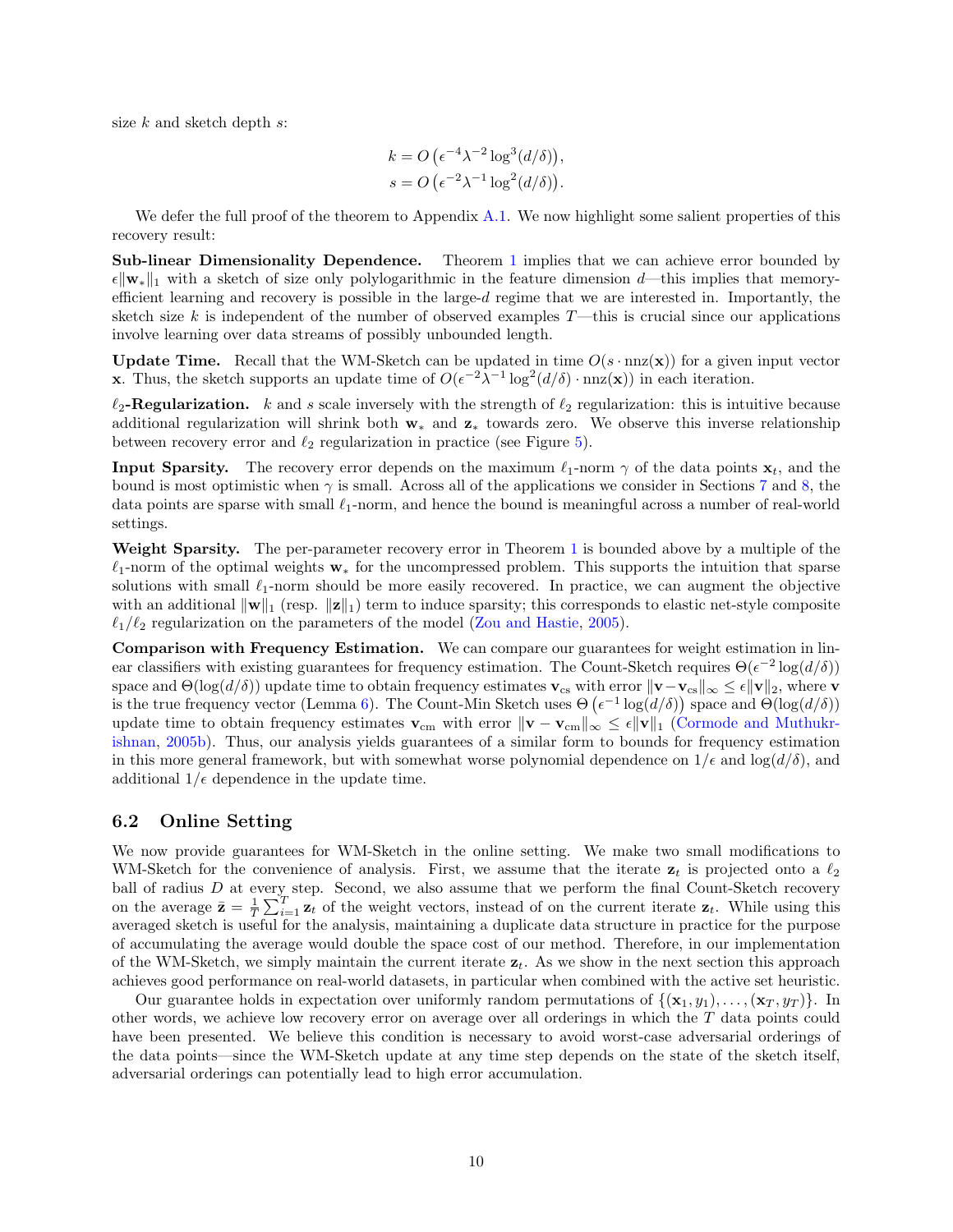size  $k$  and sketch depth  $s$ :

$$
k = O\left(\epsilon^{-4}\lambda^{-2}\log^3(d/\delta)\right),
$$
  
 
$$
s = O\left(\epsilon^{-2}\lambda^{-1}\log^2(d/\delta)\right).
$$

We defer the full proof of the theorem to Appendix [A.1.](#page-24-0) We now highlight some salient properties of this recovery result:

Sub-linear Dimensionality Dependence. Theorem [1](#page-8-0) implies that we can achieve error bounded by  $\epsilon \|\mathbf{w}_*\|_1$  with a sketch of size only polylogarithmic in the feature dimension d—this implies that memoryefficient learning and recovery is possible in the large- $d$  regime that we are interested in. Importantly, the sketch size k is independent of the number of observed examples  $T$ —this is crucial since our applications involve learning over data streams of possibly unbounded length.

**Update Time.** Recall that the WM-Sketch can be updated in time  $O(s \cdot \text{nnz}(\mathbf{x}))$  for a given input vector **x**. Thus, the sketch supports an update time of  $O(\epsilon^{-2}\lambda^{-1} \log^2(d/\delta) \cdot \text{nnz}(\mathbf{x}))$  in each iteration.

 $\ell_2$ -Regularization. k and s scale inversely with the strength of  $\ell_2$  regularization: this is intuitive because additional regularization will shrink both w<sup>∗</sup> and z<sup>∗</sup> towards zero. We observe this inverse relationship between recovery error and  $\ell_2$  regularization in practice (see Figure [5\)](#page-12-0).

**Input Sparsity.** The recovery error depends on the maximum  $\ell_1$ -norm  $\gamma$  of the data points  $\mathbf{x}_t$ , and the bound is most optimistic when  $\gamma$  is small. Across all of the applications we consider in Sections [7](#page-10-0) and [8,](#page-14-0) the data points are sparse with small  $\ell_1$ -norm, and hence the bound is meaningful across a number of real-world settings.

Weight Sparsity. The per-parameter recovery error in Theorem [1](#page-8-0) is bounded above by a multiple of the  $\ell_1$ -norm of the optimal weights  $\mathbf{w}_*$  for the uncompressed problem. This supports the intuition that sparse solutions with small  $\ell_1$ -norm should be more easily recovered. In practice, we can augment the objective with an additional  $\|\mathbf{w}\|_1$  (resp.  $\|\mathbf{z}\|_1$ ) term to induce sparsity; this corresponds to elastic net-style composite  $\ell_1/\ell_2$  regularization on the parameters of the model [\(Zou and Hastie,](#page-24-1) [2005\)](#page-24-1).

Comparison with Frequency Estimation. We can compare our guarantees for weight estimation in linear classifiers with existing guarantees for frequency estimation. The Count-Sketch requires  $\Theta(\epsilon^{-2} \log(d/\delta))$ space and  $\Theta(\log(d/\delta))$  update time to obtain frequency estimates  $\mathbf{v}_{cs}$  with error  $\|\mathbf{v}-\mathbf{v}_{cs}\|_{\infty} \leq \epsilon \|\mathbf{v}\|_{2}$ , where  $\mathbf{v}_{cs}$ is the true frequency vector (Lemma [6\)](#page-28-0). The Count-Min Sketch uses  $\Theta\left(\epsilon^{-1}\log(d/\delta)\right)$  space and  $\Theta(\log(d/\delta))$ update time to obtain frequency estimates  $\mathbf{v}_{cm}$  with error  $\|\mathbf{v} - \mathbf{v}_{cm}\|_{\infty} \leq \epsilon \|\mathbf{v}\|_{1}$  [\(Cormode and Muthukr](#page-20-1)[ishnan,](#page-20-1) [2005b\)](#page-20-1). Thus, our analysis yields guarantees of a similar form to bounds for frequency estimation in this more general framework, but with somewhat worse polynomial dependence on  $1/\epsilon$  and  $\log(d/\delta)$ , and additional  $1/\epsilon$  dependence in the update time.

#### 6.2 Online Setting

We now provide guarantees for WM-Sketch in the online setting. We make two small modifications to WM-Sketch for the convenience of analysis. First, we assume that the iterate  $z_t$  is projected onto a  $\ell_2$ ball of radius  $D$  at every step. Second, we also assume that we perform the final Count-Sketch recovery on the average  $\bar{\mathbf{z}} = \frac{1}{T} \sum_{i=1}^{T} \mathbf{z}_t$  of the weight vectors, instead of on the current iterate  $\mathbf{z}_t$ . While using this averaged sketch is useful for the analysis, maintaining a duplicate data structure in practice for the purpose of accumulating the average would double the space cost of our method. Therefore, in our implementation of the WM-Sketch, we simply maintain the current iterate  $\mathbf{z}_t$ . As we show in the next section this approach achieves good performance on real-world datasets, in particular when combined with the active set heuristic.

Our guarantee holds in expectation over uniformly random permutations of  $\{(\mathbf{x}_1, y_1), \ldots, (\mathbf{x}_T, y_T)\}\.$  In other words, we achieve low recovery error on average over all orderings in which the T data points could have been presented. We believe this condition is necessary to avoid worst-case adversarial orderings of the data points—since the WM-Sketch update at any time step depends on the state of the sketch itself, adversarial orderings can potentially lead to high error accumulation.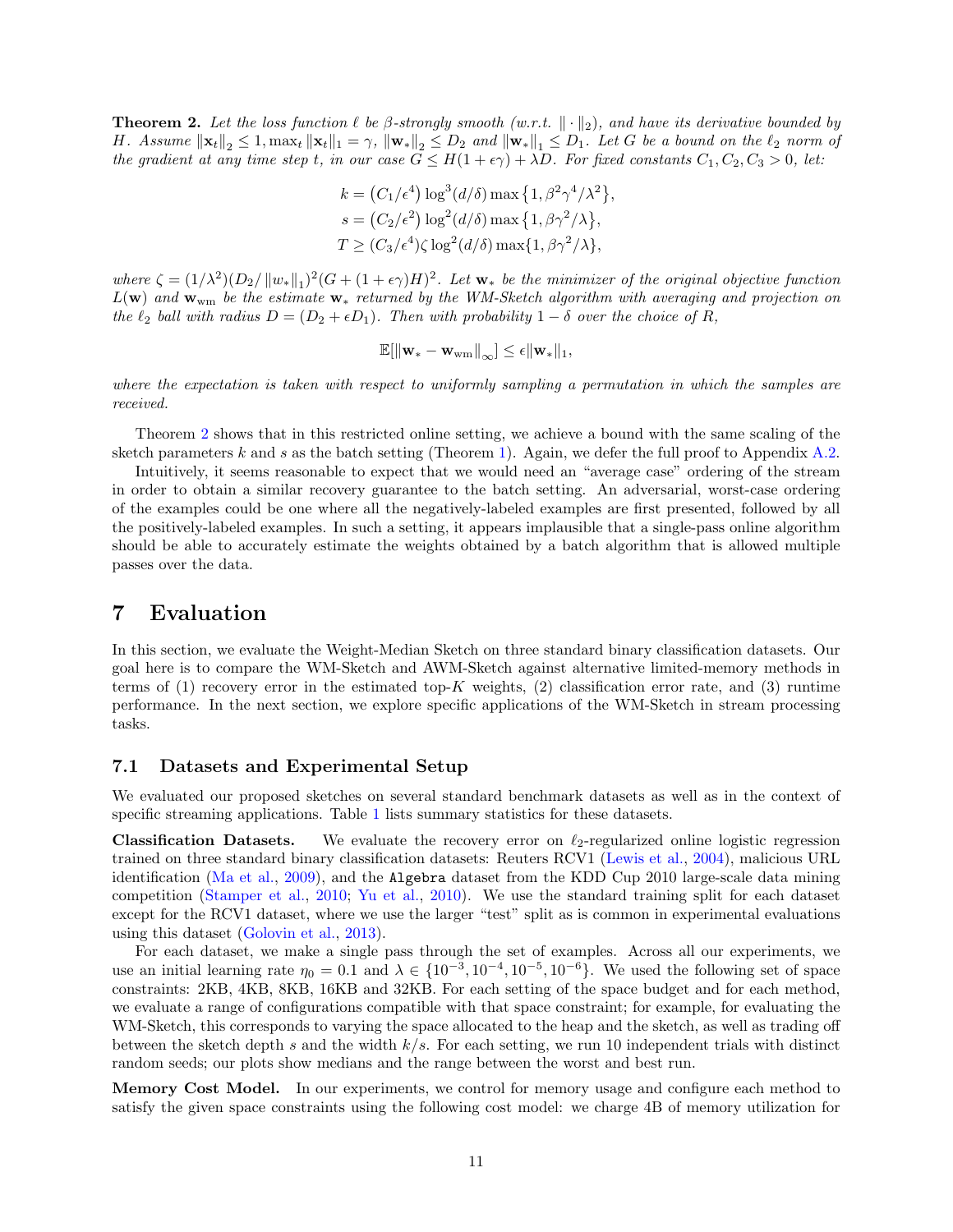<span id="page-10-1"></span>**Theorem 2.** Let the loss function  $\ell$  be  $\beta$ -strongly smooth  $(w.r.t. \|\cdot\|_2)$ , and have its derivative bounded by H. Assume  $\|\mathbf{x}_t\|_2 \leq 1$ ,  $\max_t \|\mathbf{x}_t\|_1 = \gamma$ ,  $\|\mathbf{w}_*\|_2 \leq D_2$  and  $\|\mathbf{w}_*\|_1 \leq D_1$ . Let G be a bound on the  $\ell_2$  norm of the gradient at any time step t, in our case  $G \leq H(1+\epsilon \gamma) + \lambda D$ . For fixed constants  $C_1, C_2, C_3 > 0$ , let:

$$
k = (C_1/\epsilon^4) \log^3(d/\delta) \max\left\{1, \beta^2 \gamma^4/\lambda^2\right\},
$$
  
\n
$$
s = (C_2/\epsilon^2) \log^2(d/\delta) \max\left\{1, \beta \gamma^2/\lambda\right\},
$$
  
\n
$$
T \ge (C_3/\epsilon^4) \zeta \log^2(d/\delta) \max\{1, \beta \gamma^2/\lambda\},
$$

where  $\zeta = (1/\lambda^2)(D_2/\|w_*\|_1)^2(G + (1+\epsilon\gamma)H)^2$ . Let  $\mathbf{w}_*$  be the minimizer of the original objective function  $L(\mathbf{w})$  and  $\mathbf{w}_{wm}$  be the estimate  $\mathbf{w}_{*}$  returned by the WM-Sketch algorithm with averaging and projection on the  $\ell_2$  ball with radius  $D = (D_2 + \epsilon D_1)$ . Then with probability  $1 - \delta$  over the choice of R,

$$
\mathbb{E}[\left\|\mathbf{w}_*-\mathbf{w}_{wm}\right\|_\infty]\leq \epsilon \|\mathbf{w}_*\|_1,
$$

where the expectation is taken with respect to uniformly sampling a permutation in which the samples are received.

Theorem [2](#page-10-1) shows that in this restricted online setting, we achieve a bound with the same scaling of the sketch parameters  $k$  and  $s$  as the batch setting (Theorem [1\)](#page-8-0). Again, we defer the full proof to Appendix [A.2.](#page-29-0)

Intuitively, it seems reasonable to expect that we would need an "average case" ordering of the stream in order to obtain a similar recovery guarantee to the batch setting. An adversarial, worst-case ordering of the examples could be one where all the negatively-labeled examples are first presented, followed by all the positively-labeled examples. In such a setting, it appears implausible that a single-pass online algorithm should be able to accurately estimate the weights obtained by a batch algorithm that is allowed multiple passes over the data.

### <span id="page-10-0"></span>7 Evaluation

In this section, we evaluate the Weight-Median Sketch on three standard binary classification datasets. Our goal here is to compare the WM-Sketch and AWM-Sketch against alternative limited-memory methods in terms of (1) recovery error in the estimated top-K weights, (2) classification error rate, and (3) runtime performance. In the next section, we explore specific applications of the WM-Sketch in stream processing tasks.

#### 7.1 Datasets and Experimental Setup

We evaluated our proposed sketches on several standard benchmark datasets as well as in the context of specific streaming applications. Table [1](#page-11-0) lists summary statistics for these datasets.

**Classification Datasets.** We evaluate the recovery error on  $\ell_2$ -regularized online logistic regression trained on three standard binary classification datasets: Reuters RCV1 [\(Lewis et al.,](#page-21-14) [2004\)](#page-21-14), malicious URL identification [\(Ma et al.,](#page-22-9) [2009\)](#page-22-9), and the Algebra dataset from the KDD Cup 2010 large-scale data mining competition [\(Stamper et al.,](#page-23-10) [2010;](#page-23-10) [Yu et al.,](#page-23-11) [2010\)](#page-23-11). We use the standard training split for each dataset except for the RCV1 dataset, where we use the larger "test" split as is common in experimental evaluations using this dataset [\(Golovin et al.,](#page-20-17) [2013\)](#page-20-17).

For each dataset, we make a single pass through the set of examples. Across all our experiments, we use an initial learning rate  $\eta_0 = 0.1$  and  $\lambda \in \{10^{-3}, 10^{-4}, 10^{-5}, 10^{-6}\}$ . We used the following set of space constraints: 2KB, 4KB, 8KB, 16KB and 32KB. For each setting of the space budget and for each method, we evaluate a range of configurations compatible with that space constraint; for example, for evaluating the WM-Sketch, this corresponds to varying the space allocated to the heap and the sketch, as well as trading off between the sketch depth s and the width  $k/s$ . For each setting, we run 10 independent trials with distinct random seeds; our plots show medians and the range between the worst and best run.

Memory Cost Model. In our experiments, we control for memory usage and configure each method to satisfy the given space constraints using the following cost model: we charge 4B of memory utilization for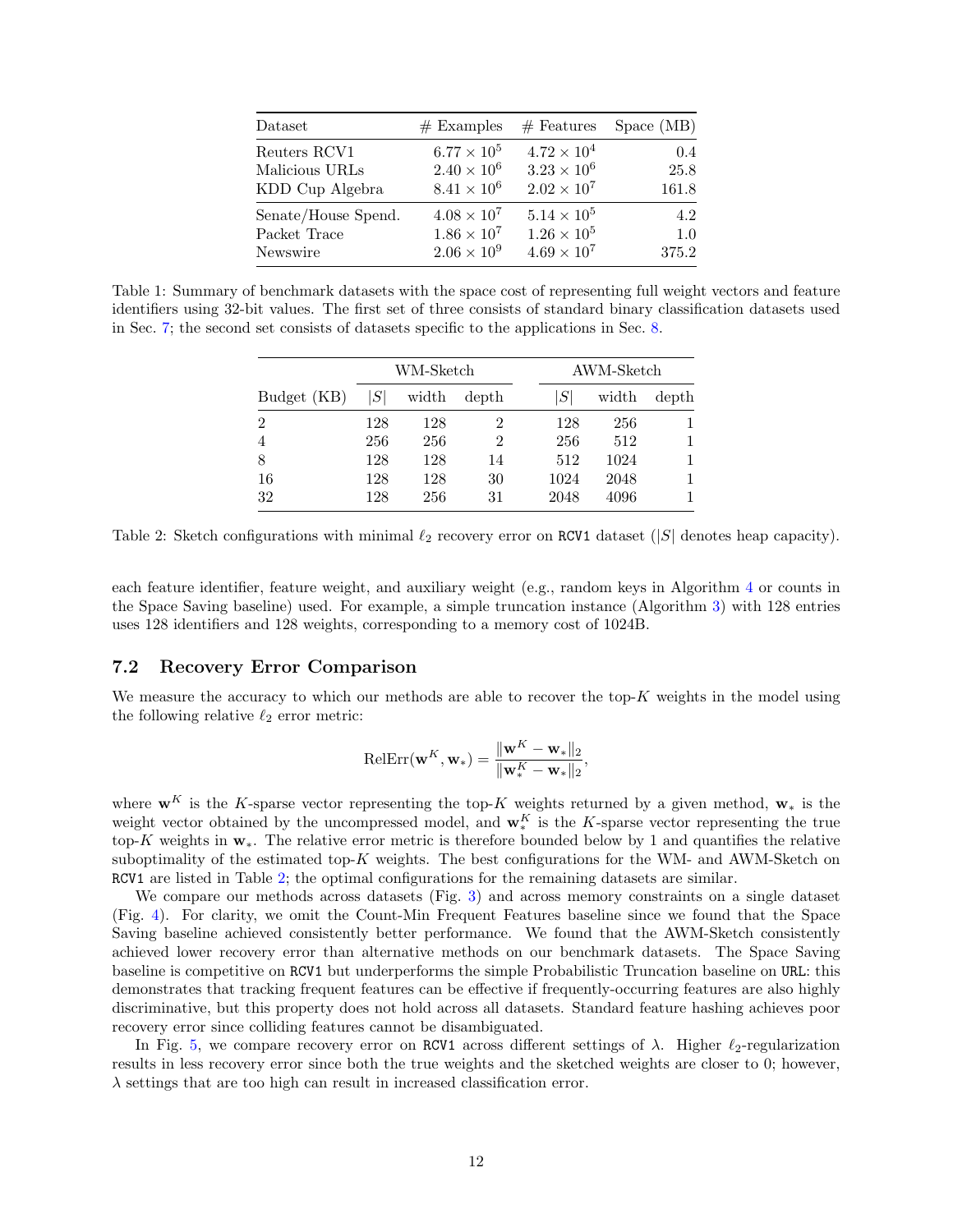<span id="page-11-0"></span>

| Dataset             | $#$ Examples         | $#$ Features         | Space(MB) |
|---------------------|----------------------|----------------------|-----------|
| Reuters RCV1        | $6.77 \times 10^{5}$ | $4.72 \times 10^{4}$ | 0.4       |
| Malicious URLs      | $2.40 \times 10^{6}$ | $3.23 \times 10^{6}$ | 25.8      |
| KDD Cup Algebra     | $8.41 \times 10^{6}$ | $2.02 \times 10^{7}$ | 161.8     |
| Senate/House Spend. | $4.08 \times 10^{7}$ | $5.14 \times 10^{5}$ | 4.2       |
| Packet Trace        | $1.86 \times 10^{7}$ | $1.26 \times 10^{5}$ | 1.0       |
| Newswire            | $2.06 \times 10^{9}$ | $4.69 \times 10^{7}$ | 375.2     |

<span id="page-11-1"></span>Table 1: Summary of benchmark datasets with the space cost of representing full weight vectors and feature identifiers using 32-bit values. The first set of three consists of standard binary classification datasets used in Sec. [7;](#page-10-0) the second set consists of datasets specific to the applications in Sec. [8.](#page-14-0)

|                | WM-Sketch |       |                | AWM-Sketch |       |       |  |
|----------------|-----------|-------|----------------|------------|-------|-------|--|
| Budget (KB)    | S         | width | depth          | S          | width | depth |  |
| $\overline{2}$ | 128       | 128   | $\overline{2}$ | 128        | 256   |       |  |
| 4              | 256       | 256   | 2              | 256        | 512   |       |  |
| 8              | 128       | 128   | 14             | 512        | 1024  |       |  |
| 16             | 128       | 128   | 30             | 1024       | 2048  |       |  |
| 32             | 128       | 256   | 31             | 2048       | 4096  |       |  |

Table 2: Sketch configurations with minimal  $\ell_2$  recovery error on RCV1 dataset (|S| denotes heap capacity).

each feature identifier, feature weight, and auxiliary weight (e.g., random keys in Algorithm [4](#page-32-0) or counts in the Space Saving baseline) used. For example, a simple truncation instance (Algorithm [3\)](#page-32-1) with 128 entries uses 128 identifiers and 128 weights, corresponding to a memory cost of 1024B.

#### 7.2 Recovery Error Comparison

We measure the accuracy to which our methods are able to recover the top- $K$  weights in the model using the following relative  $\ell_2$  error metric:

$$
\text{RelErr}(\mathbf{w}^K, \mathbf{w}_*) = \frac{\|\mathbf{w}^K - \mathbf{w}_*\|_2}{\|\mathbf{w}^K_* - \mathbf{w}_*\|_2},
$$

where  $\mathbf{w}^K$  is the K-sparse vector representing the top-K weights returned by a given method,  $\mathbf{w}_*$  is the weight vector obtained by the uncompressed model, and  $\mathbf{w}_*^K$  is the K-sparse vector representing the true top-K weights in  $\mathbf{w}_*$ . The relative error metric is therefore bounded below by 1 and quantifies the relative suboptimality of the estimated top- $K$  weights. The best configurations for the WM- and AWM-Sketch on RCV1 are listed in Table [2;](#page-11-1) the optimal configurations for the remaining datasets are similar.

We compare our methods across datasets (Fig. [3\)](#page-12-1) and across memory constraints on a single dataset (Fig. [4\)](#page-12-2). For clarity, we omit the Count-Min Frequent Features baseline since we found that the Space Saving baseline achieved consistently better performance. We found that the AWM-Sketch consistently achieved lower recovery error than alternative methods on our benchmark datasets. The Space Saving baseline is competitive on RCV1 but underperforms the simple Probabilistic Truncation baseline on URL: this demonstrates that tracking frequent features can be effective if frequently-occurring features are also highly discriminative, but this property does not hold across all datasets. Standard feature hashing achieves poor recovery error since colliding features cannot be disambiguated.

In Fig. [5,](#page-12-0) we compare recovery error on RCV1 across different settings of  $\lambda$ . Higher  $\ell_2$ -regularization results in less recovery error since both the true weights and the sketched weights are closer to 0; however,  $\lambda$  settings that are too high can result in increased classification error.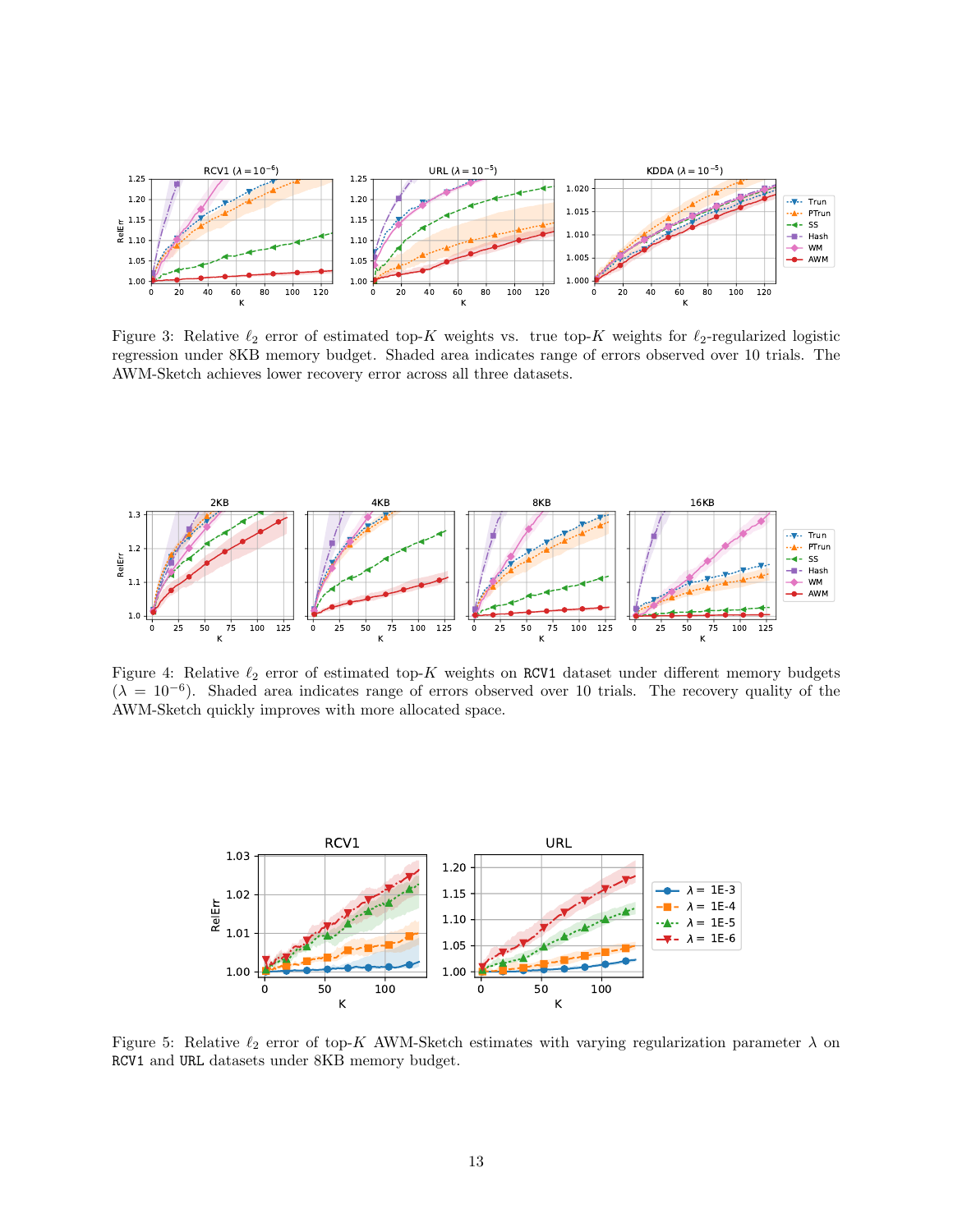<span id="page-12-1"></span>

Figure 3: Relative  $\ell_2$  error of estimated top-K weights vs. true top-K weights for  $\ell_2$ -regularized logistic regression under 8KB memory budget. Shaded area indicates range of errors observed over 10 trials. The AWM-Sketch achieves lower recovery error across all three datasets.

<span id="page-12-2"></span>

Figure 4: Relative  $\ell_2$  error of estimated top-K weights on RCV1 dataset under different memory budgets  $(\lambda = 10^{-6})$ . Shaded area indicates range of errors observed over 10 trials. The recovery quality of the AWM-Sketch quickly improves with more allocated space.

<span id="page-12-0"></span>

Figure 5: Relative  $\ell_2$  error of top-K AWM-Sketch estimates with varying regularization parameter  $\lambda$  on RCV1 and URL datasets under 8KB memory budget.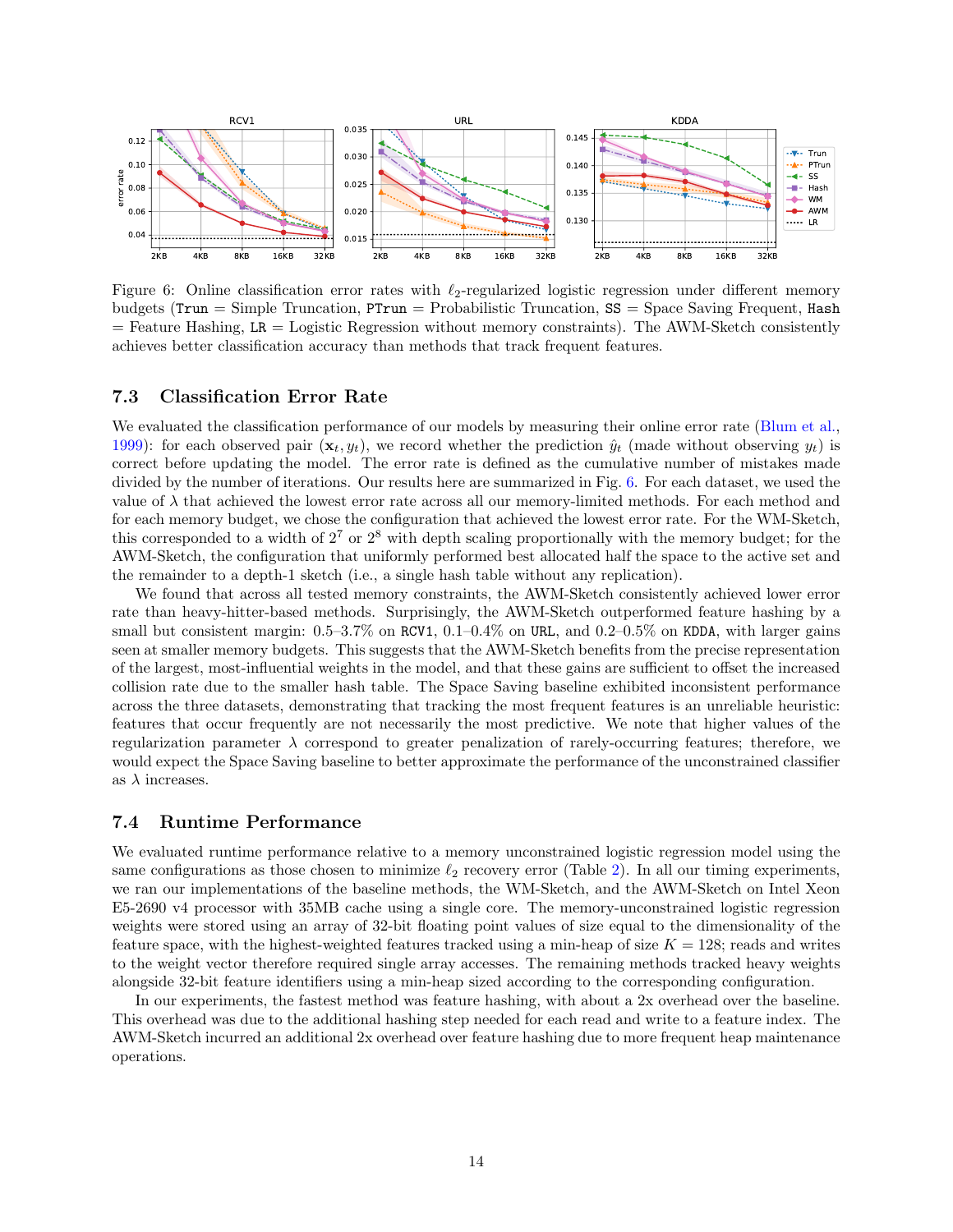<span id="page-13-0"></span>

Figure 6: Online classification error rates with  $\ell_2$ -regularized logistic regression under different memory budgets ( $Trun = Simple Truncation$ ,  $PTrun = Probabilistic Truncation$ ,  $SS = Space Saving Frequent$ , Hash  $=$  Feature Hashing, LR  $=$  Logistic Regression without memory constraints). The AWM-Sketch consistently achieves better classification accuracy than methods that track frequent features.

#### 7.3 Classification Error Rate

We evaluated the classification performance of our models by measuring their online error rate [\(Blum et al.,](#page-19-5) [1999\)](#page-19-5): for each observed pair  $(\mathbf{x}_t, y_t)$ , we record whether the prediction  $\hat{y}_t$  (made without observing  $y_t$ ) is correct before updating the model. The error rate is defined as the cumulative number of mistakes made divided by the number of iterations. Our results here are summarized in Fig. [6.](#page-13-0) For each dataset, we used the value of  $\lambda$  that achieved the lowest error rate across all our memory-limited methods. For each method and for each memory budget, we chose the configuration that achieved the lowest error rate. For the WM-Sketch, this corresponded to a width of  $2^7$  or  $2^8$  with depth scaling proportionally with the memory budget; for the AWM-Sketch, the configuration that uniformly performed best allocated half the space to the active set and the remainder to a depth-1 sketch (i.e., a single hash table without any replication).

We found that across all tested memory constraints, the AWM-Sketch consistently achieved lower error rate than heavy-hitter-based methods. Surprisingly, the AWM-Sketch outperformed feature hashing by a small but consistent margin:  $0.5-3.7\%$  on RCV1,  $0.1-0.4\%$  on URL, and  $0.2-0.5\%$  on KDDA, with larger gains seen at smaller memory budgets. This suggests that the AWM-Sketch benefits from the precise representation of the largest, most-influential weights in the model, and that these gains are sufficient to offset the increased collision rate due to the smaller hash table. The Space Saving baseline exhibited inconsistent performance across the three datasets, demonstrating that tracking the most frequent features is an unreliable heuristic: features that occur frequently are not necessarily the most predictive. We note that higher values of the regularization parameter  $\lambda$  correspond to greater penalization of rarely-occurring features; therefore, we would expect the Space Saving baseline to better approximate the performance of the unconstrained classifier as  $\lambda$  increases.

#### 7.4 Runtime Performance

We evaluated runtime performance relative to a memory unconstrained logistic regression model using the same configurations as those chosen to minimize  $\ell_2$  recovery error (Table [2\)](#page-11-1). In all our timing experiments, we ran our implementations of the baseline methods, the WM-Sketch, and the AWM-Sketch on Intel Xeon E5-2690 v4 processor with 35MB cache using a single core. The memory-unconstrained logistic regression weights were stored using an array of 32-bit floating point values of size equal to the dimensionality of the feature space, with the highest-weighted features tracked using a min-heap of size  $K = 128$ ; reads and writes to the weight vector therefore required single array accesses. The remaining methods tracked heavy weights alongside 32-bit feature identifiers using a min-heap sized according to the corresponding configuration.

In our experiments, the fastest method was feature hashing, with about a 2x overhead over the baseline. This overhead was due to the additional hashing step needed for each read and write to a feature index. The AWM-Sketch incurred an additional 2x overhead over feature hashing due to more frequent heap maintenance operations.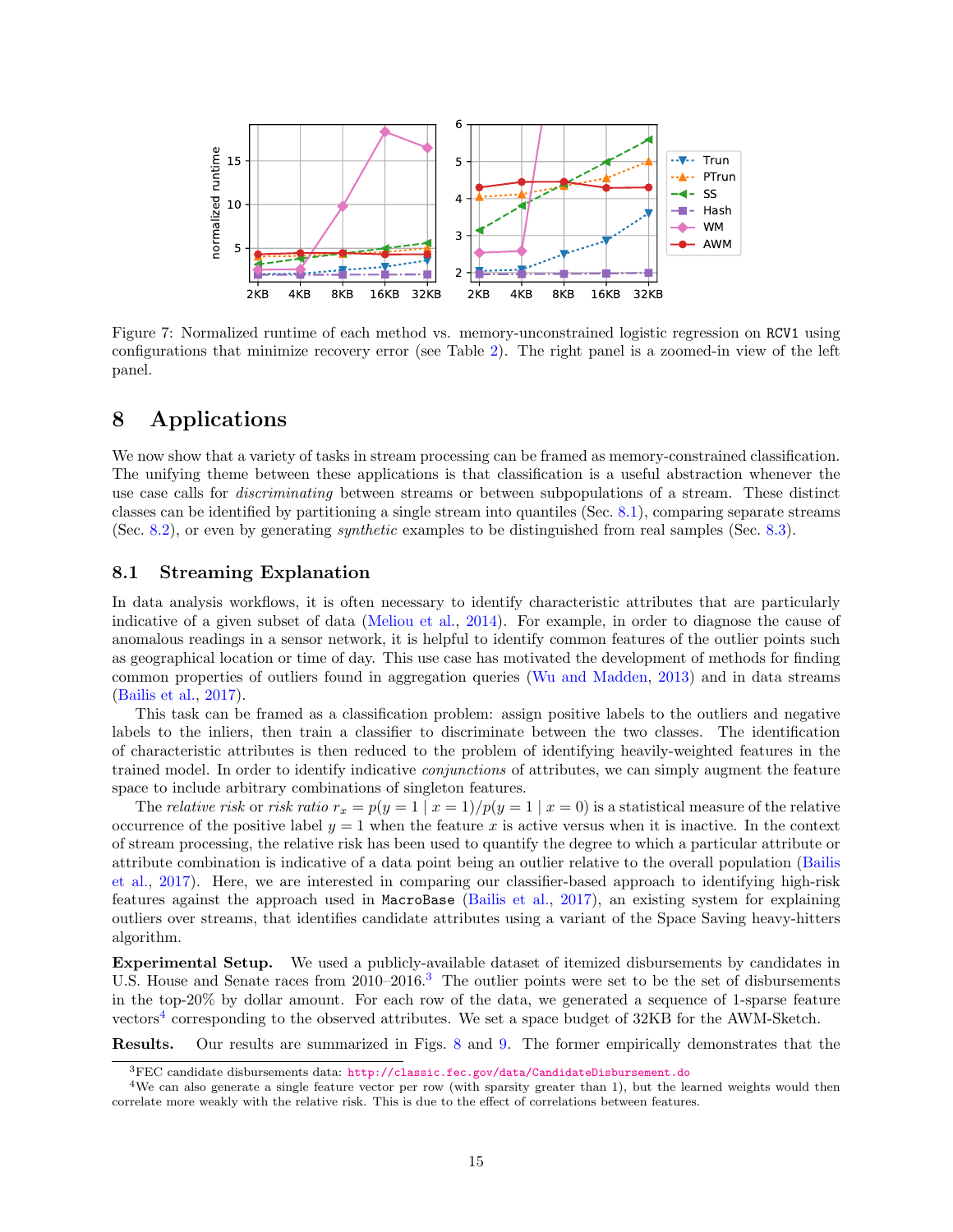

Figure 7: Normalized runtime of each method vs. memory-unconstrained logistic regression on RCV1 using configurations that minimize recovery error (see Table [2\)](#page-11-1). The right panel is a zoomed-in view of the left panel.

## <span id="page-14-0"></span>8 Applications

We now show that a variety of tasks in stream processing can be framed as memory-constrained classification. The unifying theme between these applications is that classification is a useful abstraction whenever the use case calls for discriminating between streams or between subpopulations of a stream. These distinct classes can be identified by partitioning a single stream into quantiles (Sec. [8.1\)](#page-14-1), comparing separate streams (Sec. [8.2\)](#page-16-0), or even by generating synthetic examples to be distinguished from real samples (Sec. [8.3\)](#page-17-0).

### <span id="page-14-1"></span>8.1 Streaming Explanation

In data analysis workflows, it is often necessary to identify characteristic attributes that are particularly indicative of a given subset of data [\(Meliou et al.,](#page-22-3) [2014\)](#page-22-3). For example, in order to diagnose the cause of anomalous readings in a sensor network, it is helpful to identify common features of the outlier points such as geographical location or time of day. This use case has motivated the development of methods for finding common properties of outliers found in aggregation queries [\(Wu and Madden,](#page-23-12) [2013\)](#page-23-12) and in data streams [\(Bailis et al.,](#page-19-1) [2017\)](#page-19-1).

This task can be framed as a classification problem: assign positive labels to the outliers and negative labels to the inliers, then train a classifier to discriminate between the two classes. The identification of characteristic attributes is then reduced to the problem of identifying heavily-weighted features in the trained model. In order to identify indicative conjunctions of attributes, we can simply augment the feature space to include arbitrary combinations of singleton features.

The relative risk or risk ratio  $r_x = p(y = 1 | x = 1) / p(y = 1 | x = 0)$  is a statistical measure of the relative occurrence of the positive label  $y = 1$  when the feature x is active versus when it is inactive. In the context of stream processing, the relative risk has been used to quantify the degree to which a particular attribute or attribute combination is indicative of a data point being an outlier relative to the overall population [\(Bailis](#page-19-1) [et al.,](#page-19-1) [2017\)](#page-19-1). Here, we are interested in comparing our classifier-based approach to identifying high-risk features against the approach used in MacroBase [\(Bailis et al.,](#page-19-1) [2017\)](#page-19-1), an existing system for explaining outliers over streams, that identifies candidate attributes using a variant of the Space Saving heavy-hitters algorithm.

Experimental Setup. We used a publicly-available dataset of itemized disbursements by candidates in U.S. House and Senate races from 2010–2016.<sup>[3](#page-0-0)</sup> The outlier points were set to be the set of disbursements in the top-20% by dollar amount. For each row of the data, we generated a sequence of 1-sparse feature vectors<sup>[4](#page-0-0)</sup> corresponding to the observed attributes. We set a space budget of  $32KB$  for the AWM-Sketch.

Results. Our results are summarized in Figs. [8](#page-15-0) and [9.](#page-15-1) The former empirically demonstrates that the

<sup>3</sup>FEC candidate disbursements data: <http://classic.fec.gov/data/CandidateDisbursement.do>

<sup>&</sup>lt;sup>4</sup>We can also generate a single feature vector per row (with sparsity greater than 1), but the learned weights would then correlate more weakly with the relative risk. This is due to the effect of correlations between features.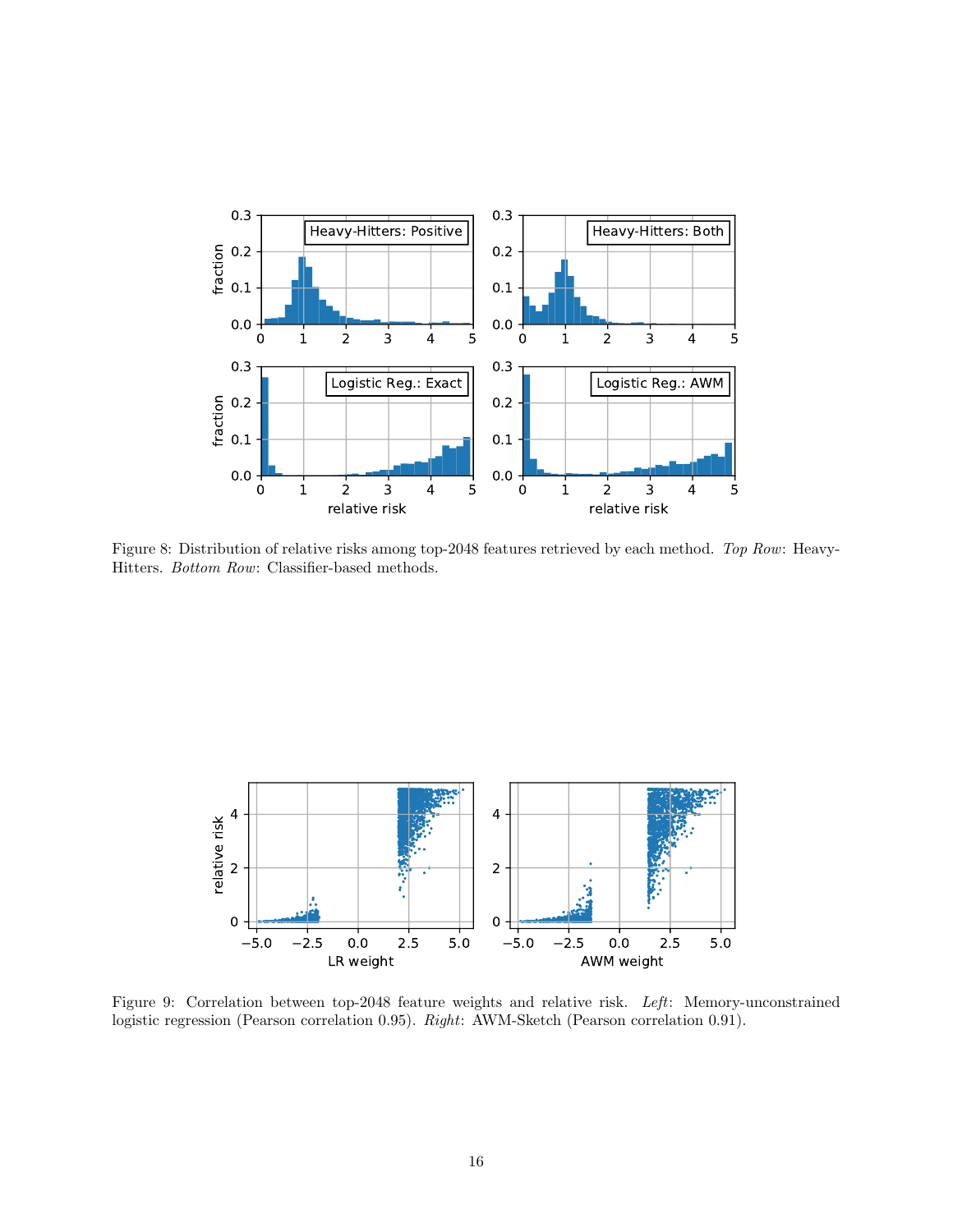<span id="page-15-0"></span>

Figure 8: Distribution of relative risks among top-2048 features retrieved by each method. Top Row: Heavy-Hitters. Bottom Row: Classifier-based methods.

<span id="page-15-1"></span>

Figure 9: Correlation between top-2048 feature weights and relative risk. Left: Memory-unconstrained logistic regression (Pearson correlation 0.95). Right: AWM-Sketch (Pearson correlation 0.91).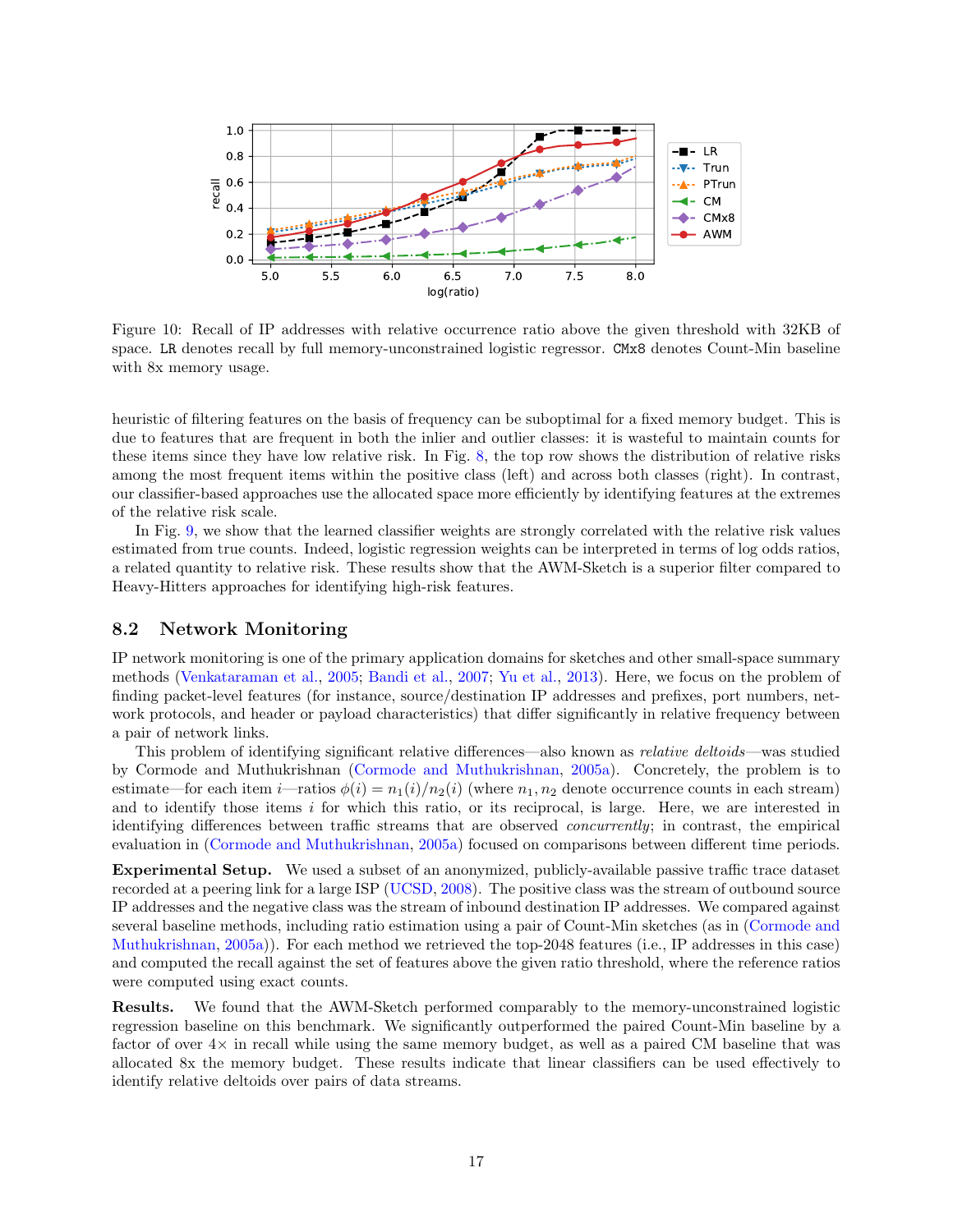

Figure 10: Recall of IP addresses with relative occurrence ratio above the given threshold with 32KB of space. LR denotes recall by full memory-unconstrained logistic regressor. CMx8 denotes Count-Min baseline with 8x memory usage.

heuristic of filtering features on the basis of frequency can be suboptimal for a fixed memory budget. This is due to features that are frequent in both the inlier and outlier classes: it is wasteful to maintain counts for these items since they have low relative risk. In Fig. [8,](#page-15-0) the top row shows the distribution of relative risks among the most frequent items within the positive class (left) and across both classes (right). In contrast, our classifier-based approaches use the allocated space more efficiently by identifying features at the extremes of the relative risk scale.

In Fig. [9,](#page-15-1) we show that the learned classifier weights are strongly correlated with the relative risk values estimated from true counts. Indeed, logistic regression weights can be interpreted in terms of log odds ratios, a related quantity to relative risk. These results show that the AWM-Sketch is a superior filter compared to Heavy-Hitters approaches for identifying high-risk features.

#### <span id="page-16-0"></span>8.2 Network Monitoring

IP network monitoring is one of the primary application domains for sketches and other small-space summary methods [\(Venkataraman et al.,](#page-23-13) [2005;](#page-23-13) [Bandi et al.,](#page-19-6) [2007;](#page-19-6) [Yu et al.,](#page-23-0) [2013\)](#page-23-0). Here, we focus on the problem of finding packet-level features (for instance, source/destination IP addresses and prefixes, port numbers, network protocols, and header or payload characteristics) that differ significantly in relative frequency between a pair of network links.

This problem of identifying significant relative differences—also known as *relative deltoids*—was studied by Cormode and Muthukrishnan [\(Cormode and Muthukrishnan,](#page-20-8) [2005a\)](#page-20-8). Concretely, the problem is to estimate—for each item i—ratios  $\phi(i) = n_1(i)/n_2(i)$  (where  $n_1, n_2$  denote occurrence counts in each stream) and to identify those items i for which this ratio, or its reciprocal, is large. Here, we are interested in identifying differences between traffic streams that are observed concurrently; in contrast, the empirical evaluation in [\(Cormode and Muthukrishnan,](#page-20-8) [2005a\)](#page-20-8) focused on comparisons between different time periods.

Experimental Setup. We used a subset of an anonymized, publicly-available passive traffic trace dataset recorded at a peering link for a large ISP [\(UCSD,](#page-23-14) [2008\)](#page-23-14). The positive class was the stream of outbound source IP addresses and the negative class was the stream of inbound destination IP addresses. We compared against several baseline methods, including ratio estimation using a pair of Count-Min sketches (as in [\(Cormode and](#page-20-8) [Muthukrishnan,](#page-20-8) [2005a\)](#page-20-8)). For each method we retrieved the top-2048 features (i.e., IP addresses in this case) and computed the recall against the set of features above the given ratio threshold, where the reference ratios were computed using exact counts.

Results. We found that the AWM-Sketch performed comparably to the memory-unconstrained logistic regression baseline on this benchmark. We significantly outperformed the paired Count-Min baseline by a factor of over  $4\times$  in recall while using the same memory budget, as well as a paired CM baseline that was allocated 8x the memory budget. These results indicate that linear classifiers can be used effectively to identify relative deltoids over pairs of data streams.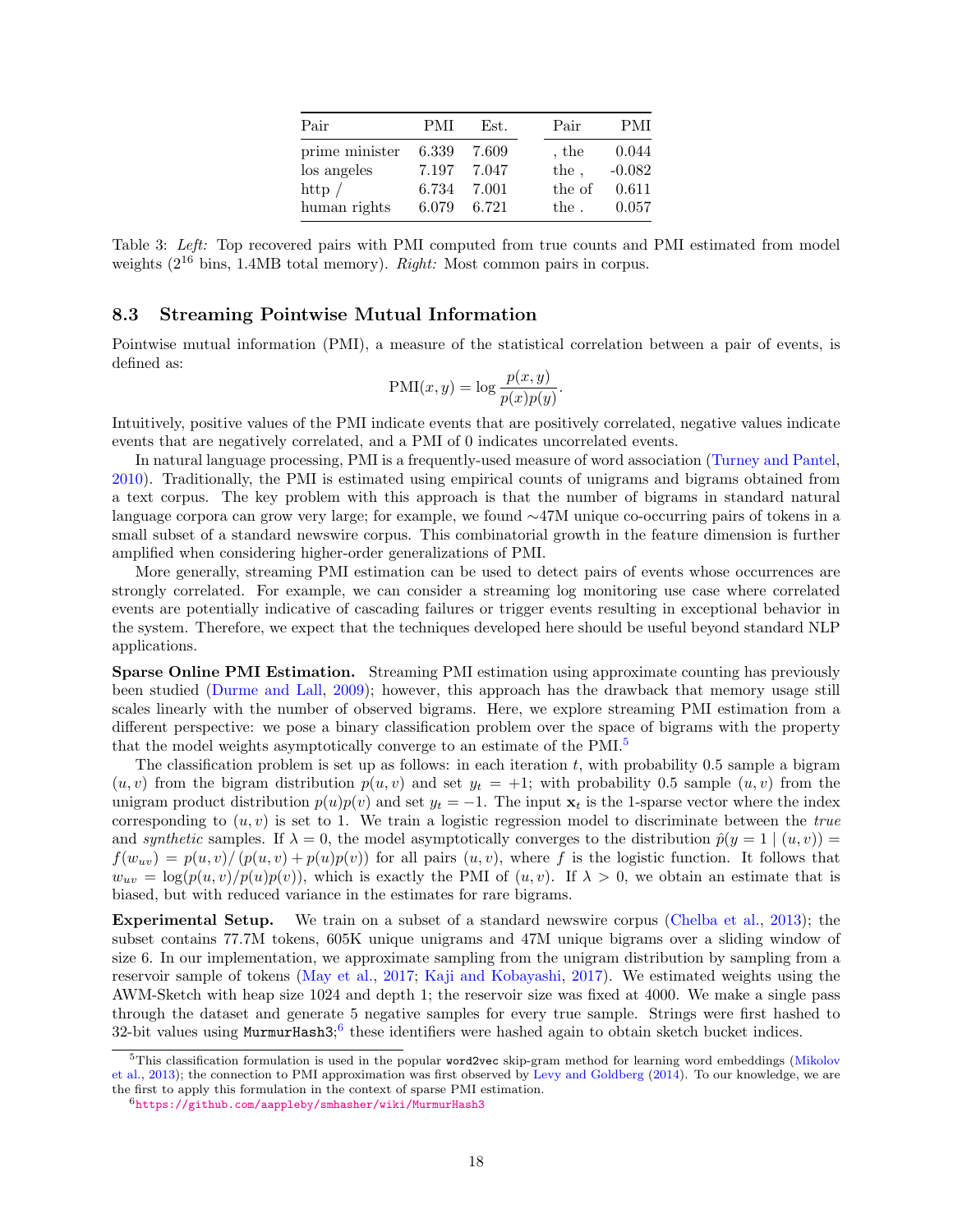| Pair           | PMI   | Est.  | Pair    | <b>PMI</b> |
|----------------|-------|-------|---------|------------|
| prime minister | 6.339 | 7.609 | $,$ the | 0.044      |
| los angeles    | 7.197 | 7.047 | the,    | $-0.082$   |
| http $/$       | 6.734 | 7.001 | the of  | 0.611      |
| human rights   | 6.079 | 6.721 | the.    | 0.057      |

<span id="page-17-1"></span>Table 3: Left: Top recovered pairs with PMI computed from true counts and PMI estimated from model weights ( $2^{16}$  bins, 1.4MB total memory). *Right:* Most common pairs in corpus.

#### <span id="page-17-0"></span>8.3 Streaming Pointwise Mutual Information

Pointwise mutual information (PMI), a measure of the statistical correlation between a pair of events, is defined as:

$$
PMI(x, y) = \log \frac{p(x, y)}{p(x)p(y)}.
$$

Intuitively, positive values of the PMI indicate events that are positively correlated, negative values indicate events that are negatively correlated, and a PMI of 0 indicates uncorrelated events.

In natural language processing, PMI is a frequently-used measure of word association [\(Turney and Pantel,](#page-23-15) [2010\)](#page-23-15). Traditionally, the PMI is estimated using empirical counts of unigrams and bigrams obtained from a text corpus. The key problem with this approach is that the number of bigrams in standard natural language corpora can grow very large; for example, we found ∼47M unique co-occurring pairs of tokens in a small subset of a standard newswire corpus. This combinatorial growth in the feature dimension is further amplified when considering higher-order generalizations of PMI.

More generally, streaming PMI estimation can be used to detect pairs of events whose occurrences are strongly correlated. For example, we can consider a streaming log monitoring use case where correlated events are potentially indicative of cascading failures or trigger events resulting in exceptional behavior in the system. Therefore, we expect that the techniques developed here should be useful beyond standard NLP applications.

Sparse Online PMI Estimation. Streaming PMI estimation using approximate counting has previously been studied [\(Durme and Lall,](#page-20-9) [2009\)](#page-20-9); however, this approach has the drawback that memory usage still scales linearly with the number of observed bigrams. Here, we explore streaming PMI estimation from a different perspective: we pose a binary classification problem over the space of bigrams with the property that the model weights asymptotically converge to an estimate of the PMI.[5](#page-0-0)

The classification problem is set up as follows: in each iteration  $t$ , with probability 0.5 sample a bigram  $(u, v)$  from the bigram distribution  $p(u, v)$  and set  $y_t = +1$ ; with probability 0.5 sample  $(u, v)$  from the unigram product distribution  $p(u)p(v)$  and set  $y_t = -1$ . The input  $x_t$  is the 1-sparse vector where the index corresponding to  $(u, v)$  is set to 1. We train a logistic regression model to discriminate between the true and synthetic samples. If  $\lambda = 0$ , the model asymptotically converges to the distribution  $\hat{p}(y = 1 \mid (u, v)) =$  $f(w_{uv}) = p(u, v)/(p(u, v) + p(u)p(v))$  for all pairs  $(u, v)$ , where f is the logistic function. It follows that  $w_{uv} = \log(p(u, v)/p(u)p(v))$ , which is exactly the PMI of  $(u, v)$ . If  $\lambda > 0$ , we obtain an estimate that is biased, but with reduced variance in the estimates for rare bigrams.

Experimental Setup. We train on a subset of a standard newswire corpus [\(Chelba et al.,](#page-20-6) [2013\)](#page-20-6); the subset contains 77.7M tokens, 605K unique unigrams and 47M unique bigrams over a sliding window of size 6. In our implementation, we approximate sampling from the unigram distribution by sampling from a reservoir sample of tokens [\(May et al.,](#page-22-10) [2017;](#page-22-10) [Kaji and Kobayashi,](#page-21-15) [2017\)](#page-21-15). We estimated weights using the AWM-Sketch with heap size 1024 and depth 1; the reservoir size was fixed at 4000. We make a single pass through the dataset and generate 5 negative samples for every true sample. Strings were first hashed to 32-bit values using  $MurmurHash3$ ; <sup>[6](#page-0-0)</sup> these identifiers were hashed again to obtain sketch bucket indices.

 $5$ This classification formulation is used in the popular word2vec skip-gram method for learning word embeddings [\(Mikolov](#page-22-11) [et al.,](#page-22-11) [2013\)](#page-22-11); the connection to PMI approximation was first observed by [Levy and Goldberg](#page-21-16) [\(2014\)](#page-21-16). To our knowledge, we are the first to apply this formulation in the context of sparse PMI estimation.

<sup>6</sup><https://github.com/aappleby/smhasher/wiki/MurmurHash3>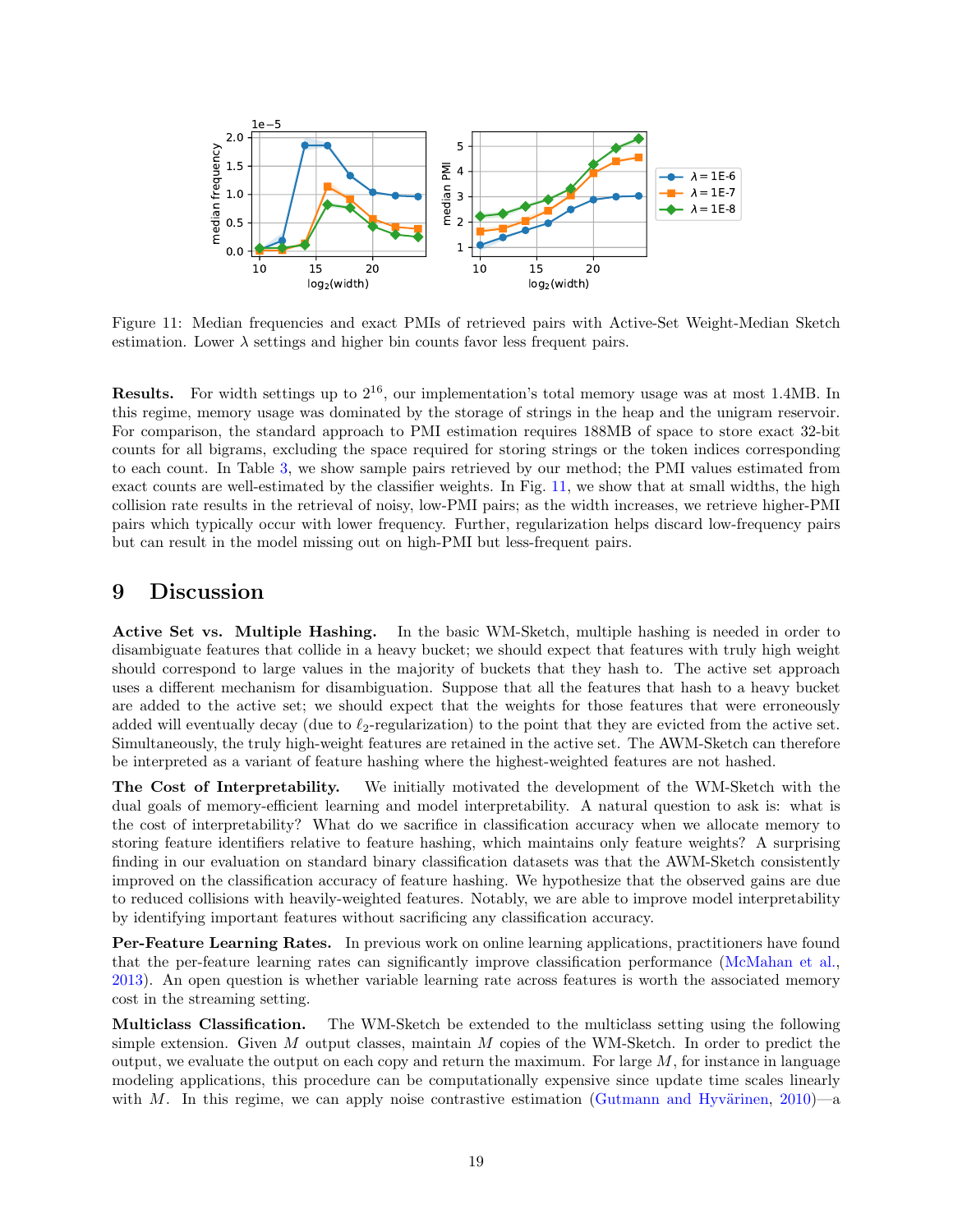<span id="page-18-0"></span>

Figure 11: Median frequencies and exact PMIs of retrieved pairs with Active-Set Weight-Median Sketch estimation. Lower  $\lambda$  settings and higher bin counts favor less frequent pairs.

**Results.** For width settings up to  $2^{16}$ , our implementation's total memory usage was at most 1.4MB. In this regime, memory usage was dominated by the storage of strings in the heap and the unigram reservoir. For comparison, the standard approach to PMI estimation requires 188MB of space to store exact 32-bit counts for all bigrams, excluding the space required for storing strings or the token indices corresponding to each count. In Table [3,](#page-17-1) we show sample pairs retrieved by our method; the PMI values estimated from exact counts are well-estimated by the classifier weights. In Fig. [11,](#page-18-0) we show that at small widths, the high collision rate results in the retrieval of noisy, low-PMI pairs; as the width increases, we retrieve higher-PMI pairs which typically occur with lower frequency. Further, regularization helps discard low-frequency pairs but can result in the model missing out on high-PMI but less-frequent pairs.

## 9 Discussion

Active Set vs. Multiple Hashing. In the basic WM-Sketch, multiple hashing is needed in order to disambiguate features that collide in a heavy bucket; we should expect that features with truly high weight should correspond to large values in the majority of buckets that they hash to. The active set approach uses a different mechanism for disambiguation. Suppose that all the features that hash to a heavy bucket are added to the active set; we should expect that the weights for those features that were erroneously added will eventually decay (due to  $\ell_2$ -regularization) to the point that they are evicted from the active set. Simultaneously, the truly high-weight features are retained in the active set. The AWM-Sketch can therefore be interpreted as a variant of feature hashing where the highest-weighted features are not hashed.

The Cost of Interpretability. We initially motivated the development of the WM-Sketch with the dual goals of memory-efficient learning and model interpretability. A natural question to ask is: what is the cost of interpretability? What do we sacrifice in classification accuracy when we allocate memory to storing feature identifiers relative to feature hashing, which maintains only feature weights? A surprising finding in our evaluation on standard binary classification datasets was that the AWM-Sketch consistently improved on the classification accuracy of feature hashing. We hypothesize that the observed gains are due to reduced collisions with heavily-weighted features. Notably, we are able to improve model interpretability by identifying important features without sacrificing any classification accuracy.

Per-Feature Learning Rates. In previous work on online learning applications, practitioners have found that the per-feature learning rates can significantly improve classification performance [\(McMahan et al.,](#page-22-12) [2013\)](#page-22-12). An open question is whether variable learning rate across features is worth the associated memory cost in the streaming setting.

Multiclass Classification. The WM-Sketch be extended to the multiclass setting using the following simple extension. Given  $M$  output classes, maintain  $M$  copies of the WM-Sketch. In order to predict the output, we evaluate the output on each copy and return the maximum. For large  $M$ , for instance in language modeling applications, this procedure can be computationally expensive since update time scales linearly with M. In this regime, we can apply noise contrastive estimation (Gutmann and Hyvärinen, [2010\)](#page-21-17)—a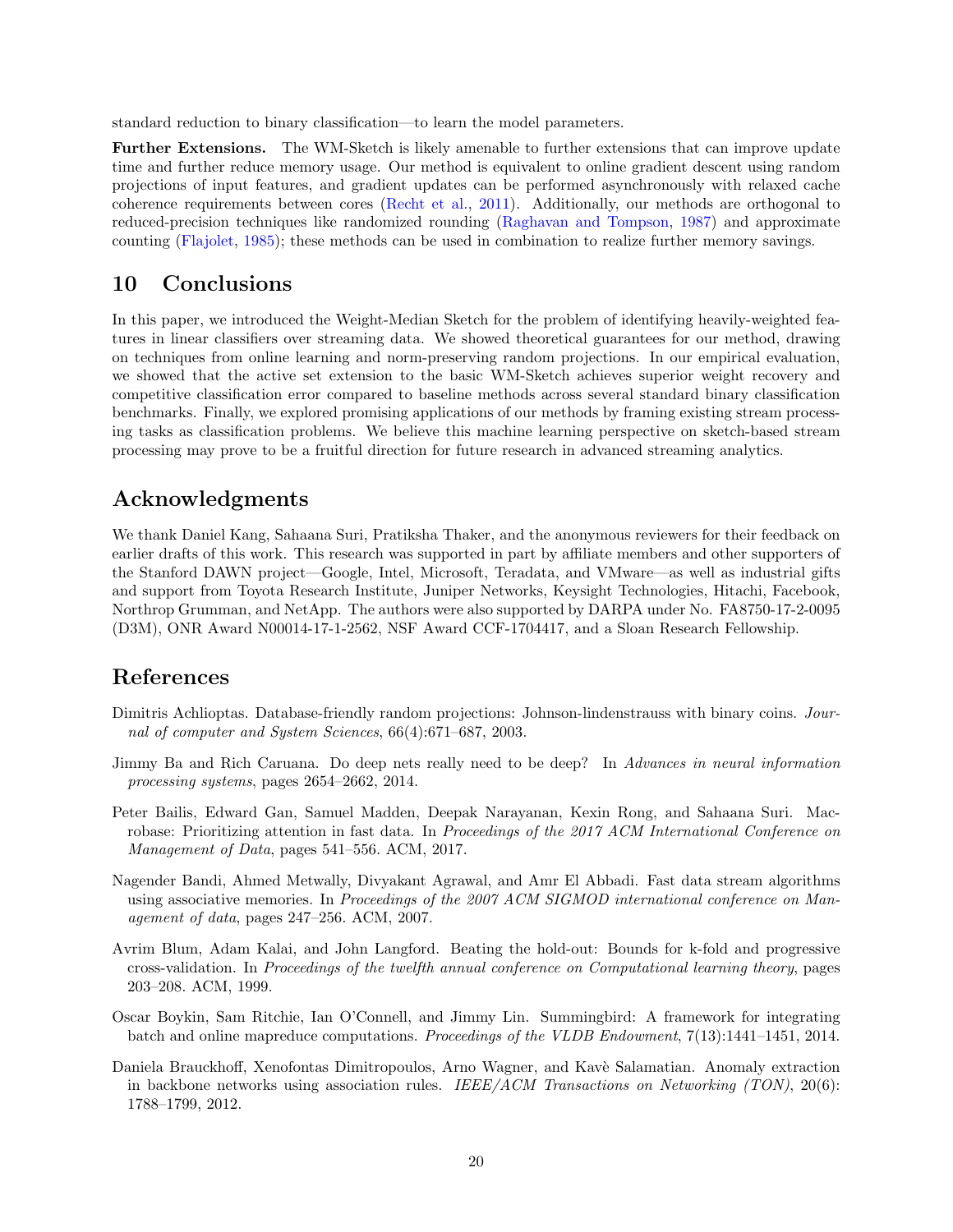standard reduction to binary classification—to learn the model parameters.

Further Extensions. The WM-Sketch is likely amenable to further extensions that can improve update time and further reduce memory usage. Our method is equivalent to online gradient descent using random projections of input features, and gradient updates can be performed asynchronously with relaxed cache coherence requirements between cores [\(Recht et al.,](#page-22-13) [2011\)](#page-22-13). Additionally, our methods are orthogonal to reduced-precision techniques like randomized rounding [\(Raghavan and Tompson,](#page-22-14) [1987\)](#page-22-14) and approximate counting [\(Flajolet,](#page-20-3) [1985\)](#page-20-3); these methods can be used in combination to realize further memory savings.

## 10 Conclusions

In this paper, we introduced the Weight-Median Sketch for the problem of identifying heavily-weighted features in linear classifiers over streaming data. We showed theoretical guarantees for our method, drawing on techniques from online learning and norm-preserving random projections. In our empirical evaluation, we showed that the active set extension to the basic WM-Sketch achieves superior weight recovery and competitive classification error compared to baseline methods across several standard binary classification benchmarks. Finally, we explored promising applications of our methods by framing existing stream processing tasks as classification problems. We believe this machine learning perspective on sketch-based stream processing may prove to be a fruitful direction for future research in advanced streaming analytics.

## Acknowledgments

We thank Daniel Kang, Sahaana Suri, Pratiksha Thaker, and the anonymous reviewers for their feedback on earlier drafts of this work. This research was supported in part by affiliate members and other supporters of the Stanford DAWN project—Google, Intel, Microsoft, Teradata, and VMware—as well as industrial gifts and support from Toyota Research Institute, Juniper Networks, Keysight Technologies, Hitachi, Facebook, Northrop Grumman, and NetApp. The authors were also supported by DARPA under No. FA8750-17-2-0095 (D3M), ONR Award N00014-17-1-2562, NSF Award CCF-1704417, and a Sloan Research Fellowship.

## References

- <span id="page-19-4"></span>Dimitris Achlioptas. Database-friendly random projections: Johnson-lindenstrauss with binary coins. Journal of computer and System Sciences, 66(4):671–687, 2003.
- <span id="page-19-3"></span>Jimmy Ba and Rich Caruana. Do deep nets really need to be deep? In Advances in neural information processing systems, pages 2654–2662, 2014.
- <span id="page-19-1"></span>Peter Bailis, Edward Gan, Samuel Madden, Deepak Narayanan, Kexin Rong, and Sahaana Suri. Macrobase: Prioritizing attention in fast data. In Proceedings of the 2017 ACM International Conference on Management of Data, pages 541–556. ACM, 2017.
- <span id="page-19-6"></span>Nagender Bandi, Ahmed Metwally, Divyakant Agrawal, and Amr El Abbadi. Fast data stream algorithms using associative memories. In Proceedings of the 2007 ACM SIGMOD international conference on Management of data, pages 247–256. ACM, 2007.
- <span id="page-19-5"></span>Avrim Blum, Adam Kalai, and John Langford. Beating the hold-out: Bounds for k-fold and progressive cross-validation. In Proceedings of the twelfth annual conference on Computational learning theory, pages 203–208. ACM, 1999.
- <span id="page-19-0"></span>Oscar Boykin, Sam Ritchie, Ian O'Connell, and Jimmy Lin. Summingbird: A framework for integrating batch and online mapreduce computations. Proceedings of the VLDB Endowment, 7(13):1441–1451, 2014.
- <span id="page-19-2"></span>Daniela Brauckhoff, Xenofontas Dimitropoulos, Arno Wagner, and Kavè Salamatian. Anomaly extraction in backbone networks using association rules. IEEE/ACM Transactions on Networking  $(TON)$ , 20(6): 1788–1799, 2012.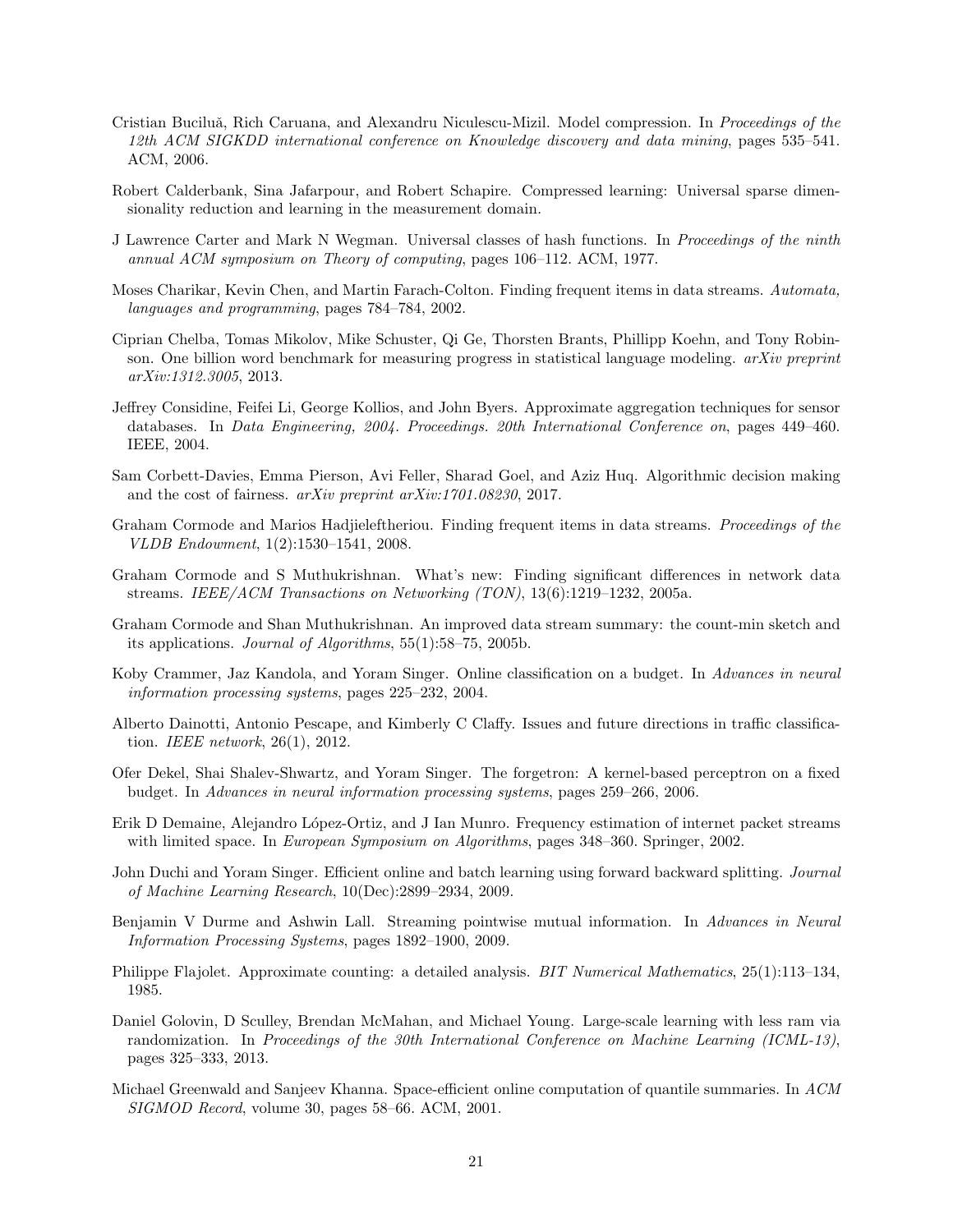- <span id="page-20-13"></span>Cristian Buciluă, Rich Caruana, and Alexandru Niculescu-Mizil. Model compression. In Proceedings of the 12th ACM SIGKDD international conference on Knowledge discovery and data mining, pages 535–541. ACM, 2006.
- <span id="page-20-15"></span>Robert Calderbank, Sina Jafarpour, and Robert Schapire. Compressed learning: Universal sparse dimensionality reduction and learning in the measurement domain.
- <span id="page-20-18"></span>J Lawrence Carter and Mark N Wegman. Universal classes of hash functions. In Proceedings of the ninth annual ACM symposium on Theory of computing, pages 106–112. ACM, 1977.
- <span id="page-20-0"></span>Moses Charikar, Kevin Chen, and Martin Farach-Colton. Finding frequent items in data streams. Automata, languages and programming, pages 784–784, 2002.
- <span id="page-20-6"></span>Ciprian Chelba, Tomas Mikolov, Mike Schuster, Qi Ge, Thorsten Brants, Phillipp Koehn, and Tony Robinson. One billion word benchmark for measuring progress in statistical language modeling. arXiv preprint arXiv:1312.3005, 2013.
- <span id="page-20-4"></span>Jeffrey Considine, Feifei Li, George Kollios, and John Byers. Approximate aggregation techniques for sensor databases. In Data Engineering, 2004. Proceedings. 20th International Conference on, pages 449–460. IEEE, 2004.
- <span id="page-20-7"></span>Sam Corbett-Davies, Emma Pierson, Avi Feller, Sharad Goel, and Aziz Huq. Algorithmic decision making and the cost of fairness. arXiv preprint arXiv:1701.08230, 2017.
- <span id="page-20-16"></span>Graham Cormode and Marios Hadjieleftheriou. Finding frequent items in data streams. Proceedings of the VLDB Endowment, 1(2):1530–1541, 2008.
- <span id="page-20-8"></span>Graham Cormode and S Muthukrishnan. What's new: Finding significant differences in network data streams. IEEE/ACM Transactions on Networking  $(TON)$ , 13(6):1219–1232, 2005a.
- <span id="page-20-1"></span>Graham Cormode and Shan Muthukrishnan. An improved data stream summary: the count-min sketch and its applications. Journal of Algorithms, 55(1):58–75, 2005b.
- <span id="page-20-11"></span>Koby Crammer, Jaz Kandola, and Yoram Singer. Online classification on a budget. In Advances in neural information processing systems, pages 225–232, 2004.
- <span id="page-20-5"></span>Alberto Dainotti, Antonio Pescape, and Kimberly C Claffy. Issues and future directions in traffic classification. IEEE network, 26(1), 2012.
- <span id="page-20-12"></span>Ofer Dekel, Shai Shalev-Shwartz, and Yoram Singer. The forgetron: A kernel-based perceptron on a fixed budget. In Advances in neural information processing systems, pages 259–266, 2006.
- <span id="page-20-10"></span>Erik D Demaine, Alejandro López-Ortiz, and J Ian Munro. Frequency estimation of internet packet streams with limited space. In *European Symposium on Algorithms*, pages 348–360. Springer, 2002.
- <span id="page-20-14"></span>John Duchi and Yoram Singer. Efficient online and batch learning using forward backward splitting. Journal of Machine Learning Research, 10(Dec):2899–2934, 2009.
- <span id="page-20-9"></span>Benjamin V Durme and Ashwin Lall. Streaming pointwise mutual information. In Advances in Neural Information Processing Systems, pages 1892–1900, 2009.
- <span id="page-20-3"></span>Philippe Flajolet. Approximate counting: a detailed analysis. BIT Numerical Mathematics, 25(1):113–134, 1985.
- <span id="page-20-17"></span>Daniel Golovin, D Sculley, Brendan McMahan, and Michael Young. Large-scale learning with less ram via randomization. In Proceedings of the 30th International Conference on Machine Learning (ICML-13), pages 325–333, 2013.
- <span id="page-20-2"></span>Michael Greenwald and Sanjeev Khanna. Space-efficient online computation of quantile summaries. In ACM SIGMOD Record, volume 30, pages 58–66. ACM, 2001.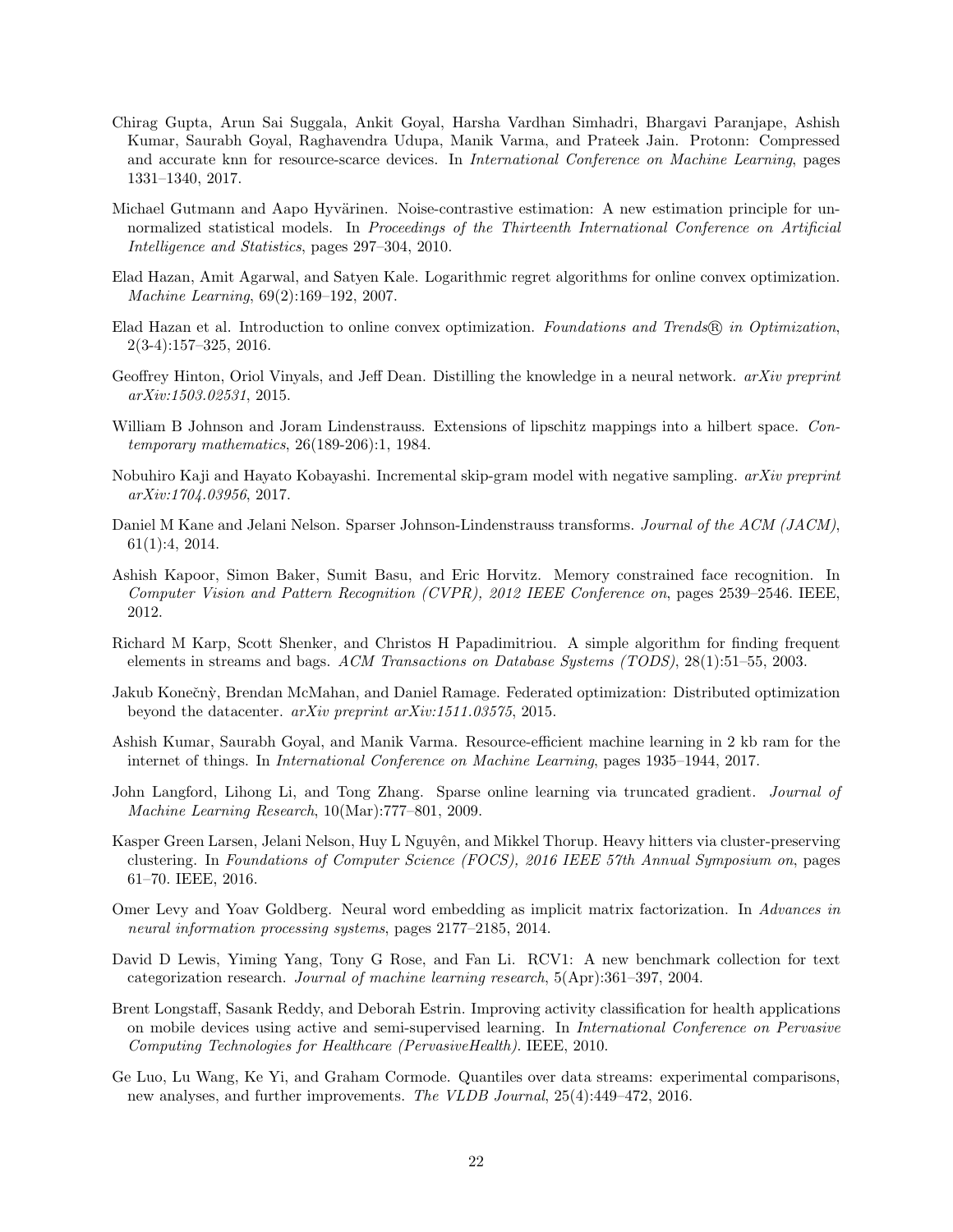- <span id="page-21-7"></span>Chirag Gupta, Arun Sai Suggala, Ankit Goyal, Harsha Vardhan Simhadri, Bhargavi Paranjape, Ashish Kumar, Saurabh Goyal, Raghavendra Udupa, Manik Varma, and Prateek Jain. Protonn: Compressed and accurate knn for resource-scarce devices. In International Conference on Machine Learning, pages 1331–1340, 2017.
- <span id="page-21-17"></span>Michael Gutmann and Aapo Hyvärinen. Noise-contrastive estimation: A new estimation principle for unnormalized statistical models. In Proceedings of the Thirteenth International Conference on Artificial Intelligence and Statistics, pages 297–304, 2010.
- <span id="page-21-13"></span>Elad Hazan, Amit Agarwal, and Satyen Kale. Logarithmic regret algorithms for online convex optimization. Machine Learning, 69(2):169–192, 2007.
- <span id="page-21-4"></span>Elad Hazan et al. Introduction to online convex optimization. Foundations and Trends® in Optimization, 2(3-4):157–325, 2016.
- <span id="page-21-9"></span>Geoffrey Hinton, Oriol Vinyals, and Jeff Dean. Distilling the knowledge in a neural network. *arXiv preprint* arXiv:1503.02531, 2015.
- <span id="page-21-11"></span>William B Johnson and Joram Lindenstrauss. Extensions of lipschitz mappings into a hilbert space. Contemporary mathematics, 26(189-206):1, 1984.
- <span id="page-21-15"></span>Nobuhiro Kaji and Hayato Kobayashi. Incremental skip-gram model with negative sampling. arXiv preprint arXiv:1704.03956, 2017.
- <span id="page-21-12"></span>Daniel M Kane and Jelani Nelson. Sparser Johnson-Lindenstrauss transforms. Journal of the ACM (JACM), 61(1):4, 2014.
- <span id="page-21-3"></span>Ashish Kapoor, Simon Baker, Sumit Basu, and Eric Horvitz. Memory constrained face recognition. In Computer Vision and Pattern Recognition (CVPR), 2012 IEEE Conference on, pages 2539–2546. IEEE, 2012.
- <span id="page-21-5"></span>Richard M Karp, Scott Shenker, and Christos H Papadimitriou. A simple algorithm for finding frequent elements in streams and bags. ACM Transactions on Database Systems (TODS), 28(1):51–55, 2003.
- <span id="page-21-6"></span>Jakub Konečnỳ, Brendan McMahan, and Daniel Ramage. Federated optimization: Distributed optimization beyond the datacenter. arXiv preprint arXiv:1511.03575, 2015.
- <span id="page-21-8"></span>Ashish Kumar, Saurabh Goyal, and Manik Varma. Resource-efficient machine learning in 2 kb ram for the internet of things. In International Conference on Machine Learning, pages 1935–1944, 2017.
- <span id="page-21-10"></span>John Langford, Lihong Li, and Tong Zhang. Sparse online learning via truncated gradient. Journal of Machine Learning Research, 10(Mar):777–801, 2009.
- <span id="page-21-0"></span>Kasper Green Larsen, Jelani Nelson, Huy L Nguyên, and Mikkel Thorup. Heavy hitters via cluster-preserving clustering. In Foundations of Computer Science (FOCS), 2016 IEEE 57th Annual Symposium on, pages 61–70. IEEE, 2016.
- <span id="page-21-16"></span>Omer Levy and Yoav Goldberg. Neural word embedding as implicit matrix factorization. In Advances in neural information processing systems, pages 2177–2185, 2014.
- <span id="page-21-14"></span>David D Lewis, Yiming Yang, Tony G Rose, and Fan Li. RCV1: A new benchmark collection for text categorization research. Journal of machine learning research, 5(Apr):361–397, 2004.
- <span id="page-21-2"></span>Brent Longstaff, Sasank Reddy, and Deborah Estrin. Improving activity classification for health applications on mobile devices using active and semi-supervised learning. In International Conference on Pervasive Computing Technologies for Healthcare (PervasiveHealth). IEEE, 2010.
- <span id="page-21-1"></span>Ge Luo, Lu Wang, Ke Yi, and Graham Cormode. Quantiles over data streams: experimental comparisons, new analyses, and further improvements. The VLDB Journal, 25(4):449–472, 2016.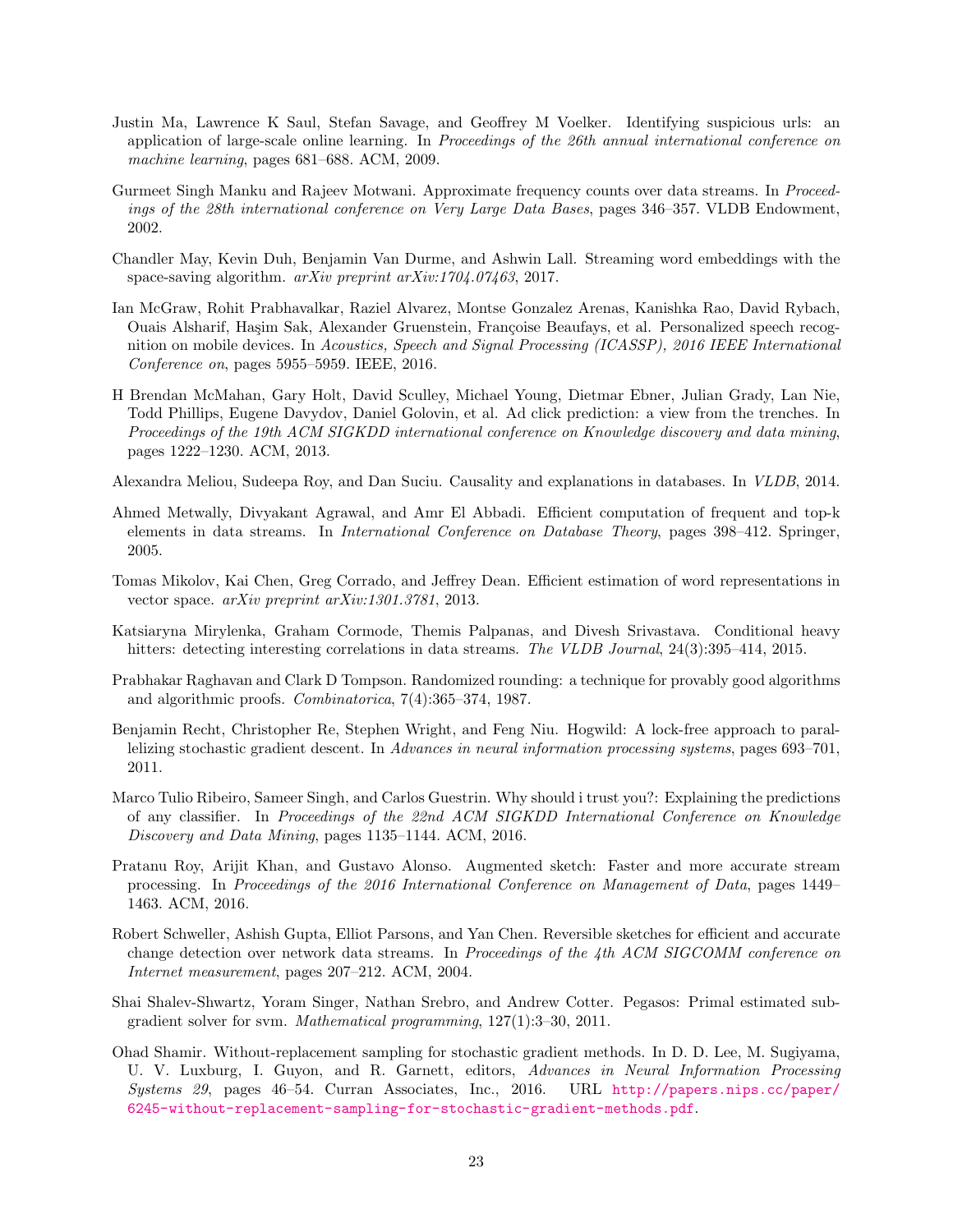- <span id="page-22-9"></span>Justin Ma, Lawrence K Saul, Stefan Savage, and Geoffrey M Voelker. Identifying suspicious urls: an application of large-scale online learning. In Proceedings of the 26th annual international conference on machine learning, pages 681–688. ACM, 2009.
- <span id="page-22-4"></span>Gurmeet Singh Manku and Rajeev Motwani. Approximate frequency counts over data streams. In Proceedings of the 28th international conference on Very Large Data Bases, pages 346–357. VLDB Endowment, 2002.
- <span id="page-22-10"></span>Chandler May, Kevin Duh, Benjamin Van Durme, and Ashwin Lall. Streaming word embeddings with the space-saving algorithm.  $arXiv$  preprint  $arXiv:1704.07463, 2017$ .
- <span id="page-22-1"></span>Ian McGraw, Rohit Prabhavalkar, Raziel Alvarez, Montse Gonzalez Arenas, Kanishka Rao, David Rybach, Ouais Alsharif, Haşim Sak, Alexander Gruenstein, Françoise Beaufays, et al. Personalized speech recognition on mobile devices. In Acoustics, Speech and Signal Processing (ICASSP), 2016 IEEE International Conference on, pages 5955–5959. IEEE, 2016.
- <span id="page-22-12"></span>H Brendan McMahan, Gary Holt, David Sculley, Michael Young, Dietmar Ebner, Julian Grady, Lan Nie, Todd Phillips, Eugene Davydov, Daniel Golovin, et al. Ad click prediction: a view from the trenches. In Proceedings of the 19th ACM SIGKDD international conference on Knowledge discovery and data mining, pages 1222–1230. ACM, 2013.
- <span id="page-22-3"></span>Alexandra Meliou, Sudeepa Roy, and Dan Suciu. Causality and explanations in databases. In VLDB, 2014.
- <span id="page-22-0"></span>Ahmed Metwally, Divyakant Agrawal, and Amr El Abbadi. Efficient computation of frequent and top-k elements in data streams. In International Conference on Database Theory, pages 398–412. Springer, 2005.
- <span id="page-22-11"></span>Tomas Mikolov, Kai Chen, Greg Corrado, and Jeffrey Dean. Efficient estimation of word representations in vector space. arXiv preprint arXiv:1301.3781, 2013.
- <span id="page-22-5"></span>Katsiaryna Mirylenka, Graham Cormode, Themis Palpanas, and Divesh Srivastava. Conditional heavy hitters: detecting interesting correlations in data streams. The VLDB Journal, 24(3):395–414, 2015.
- <span id="page-22-14"></span>Prabhakar Raghavan and Clark D Tompson. Randomized rounding: a technique for provably good algorithms and algorithmic proofs. Combinatorica, 7(4):365–374, 1987.
- <span id="page-22-13"></span>Benjamin Recht, Christopher Re, Stephen Wright, and Feng Niu. Hogwild: A lock-free approach to parallelizing stochastic gradient descent. In Advances in neural information processing systems, pages 693–701, 2011.
- <span id="page-22-2"></span>Marco Tulio Ribeiro, Sameer Singh, and Carlos Guestrin. Why should i trust you?: Explaining the predictions of any classifier. In Proceedings of the 22nd ACM SIGKDD International Conference on Knowledge Discovery and Data Mining, pages 1135–1144. ACM, 2016.
- <span id="page-22-8"></span>Pratanu Roy, Arijit Khan, and Gustavo Alonso. Augmented sketch: Faster and more accurate stream processing. In Proceedings of the 2016 International Conference on Management of Data, pages 1449– 1463. ACM, 2016.
- <span id="page-22-6"></span>Robert Schweller, Ashish Gupta, Elliot Parsons, and Yan Chen. Reversible sketches for efficient and accurate change detection over network data streams. In Proceedings of the 4th ACM SIGCOMM conference on Internet measurement, pages 207–212. ACM, 2004.
- <span id="page-22-7"></span>Shai Shalev-Shwartz, Yoram Singer, Nathan Srebro, and Andrew Cotter. Pegasos: Primal estimated subgradient solver for svm. Mathematical programming, 127(1):3–30, 2011.
- <span id="page-22-15"></span>Ohad Shamir. Without-replacement sampling for stochastic gradient methods. In D. D. Lee, M. Sugiyama, U. V. Luxburg, I. Guyon, and R. Garnett, editors, Advances in Neural Information Processing Systems 29, pages 46–54. Curran Associates, Inc., 2016. URL [http://papers.nips.cc/paper/](http://papers.nips.cc/paper/6245-without-replacement-sampling-for-stochastic-gradient-methods.pdf) [6245-without-replacement-sampling-for-stochastic-gradient-methods.pdf](http://papers.nips.cc/paper/6245-without-replacement-sampling-for-stochastic-gradient-methods.pdf).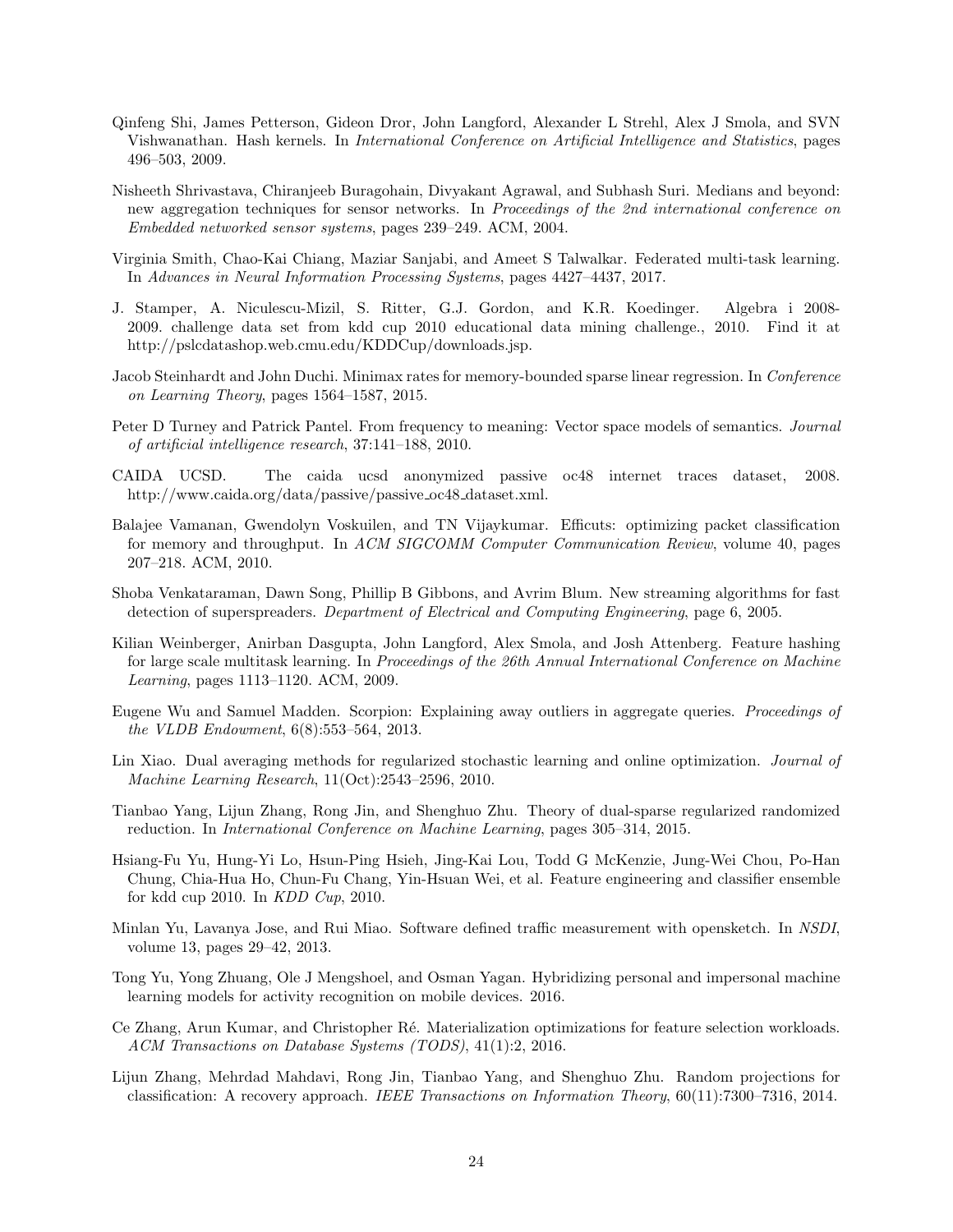- <span id="page-23-4"></span>Qinfeng Shi, James Petterson, Gideon Dror, John Langford, Alexander L Strehl, Alex J Smola, and SVN Vishwanathan. Hash kernels. In International Conference on Artificial Intelligence and Statistics, pages 496–503, 2009.
- <span id="page-23-7"></span>Nisheeth Shrivastava, Chiranjeeb Buragohain, Divyakant Agrawal, and Subhash Suri. Medians and beyond: new aggregation techniques for sensor networks. In Proceedings of the 2nd international conference on Embedded networked sensor systems, pages 239–249. ACM, 2004.
- <span id="page-23-1"></span>Virginia Smith, Chao-Kai Chiang, Maziar Sanjabi, and Ameet S Talwalkar. Federated multi-task learning. In Advances in Neural Information Processing Systems, pages 4427–4437, 2017.
- <span id="page-23-10"></span>J. Stamper, A. Niculescu-Mizil, S. Ritter, G.J. Gordon, and K.R. Koedinger. Algebra i 2008- 2009. challenge data set from kdd cup 2010 educational data mining challenge., 2010. Find it at http://pslcdatashop.web.cmu.edu/KDDCup/downloads.jsp.
- <span id="page-23-9"></span>Jacob Steinhardt and John Duchi. Minimax rates for memory-bounded sparse linear regression. In Conference on Learning Theory, pages 1564–1587, 2015.
- <span id="page-23-15"></span>Peter D Turney and Patrick Pantel. From frequency to meaning: Vector space models of semantics. Journal of artificial intelligence research, 37:141–188, 2010.
- <span id="page-23-14"></span>CAIDA UCSD. The caida ucsd anonymized passive oc48 internet traces dataset, 2008. http://www.caida.org/data/passive/passive\_oc48\_dataset.xml.
- <span id="page-23-2"></span>Balajee Vamanan, Gwendolyn Voskuilen, and TN Vijaykumar. Efficuts: optimizing packet classification for memory and throughput. In ACM SIGCOMM Computer Communication Review, volume 40, pages 207–218. ACM, 2010.
- <span id="page-23-13"></span>Shoba Venkataraman, Dawn Song, Phillip B Gibbons, and Avrim Blum. New streaming algorithms for fast detection of superspreaders. Department of Electrical and Computing Engineering, page 6, 2005.
- <span id="page-23-5"></span>Kilian Weinberger, Anirban Dasgupta, John Langford, Alex Smola, and Josh Attenberg. Feature hashing for large scale multitask learning. In Proceedings of the 26th Annual International Conference on Machine Learning, pages 1113–1120. ACM, 2009.
- <span id="page-23-12"></span>Eugene Wu and Samuel Madden. Scorpion: Explaining away outliers in aggregate queries. Proceedings of the VLDB Endowment, 6(8):553–564, 2013.
- <span id="page-23-8"></span>Lin Xiao. Dual averaging methods for regularized stochastic learning and online optimization. Journal of Machine Learning Research, 11(Oct):2543–2596, 2010.
- <span id="page-23-17"></span>Tianbao Yang, Lijun Zhang, Rong Jin, and Shenghuo Zhu. Theory of dual-sparse regularized randomized reduction. In International Conference on Machine Learning, pages 305–314, 2015.
- <span id="page-23-11"></span>Hsiang-Fu Yu, Hung-Yi Lo, Hsun-Ping Hsieh, Jing-Kai Lou, Todd G McKenzie, Jung-Wei Chou, Po-Han Chung, Chia-Hua Ho, Chun-Fu Chang, Yin-Hsuan Wei, et al. Feature engineering and classifier ensemble for kdd cup 2010. In KDD Cup, 2010.
- <span id="page-23-0"></span>Minlan Yu, Lavanya Jose, and Rui Miao. Software defined traffic measurement with opensketch. In NSDI, volume 13, pages 29–42, 2013.
- <span id="page-23-3"></span>Tong Yu, Yong Zhuang, Ole J Mengshoel, and Osman Yagan. Hybridizing personal and impersonal machine learning models for activity recognition on mobile devices. 2016.
- <span id="page-23-6"></span>Ce Zhang, Arun Kumar, and Christopher Ré. Materialization optimizations for feature selection workloads. ACM Transactions on Database Systems (TODS), 41(1):2, 2016.
- <span id="page-23-16"></span>Lijun Zhang, Mehrdad Mahdavi, Rong Jin, Tianbao Yang, and Shenghuo Zhu. Random projections for classification: A recovery approach. IEEE Transactions on Information Theory, 60(11):7300–7316, 2014.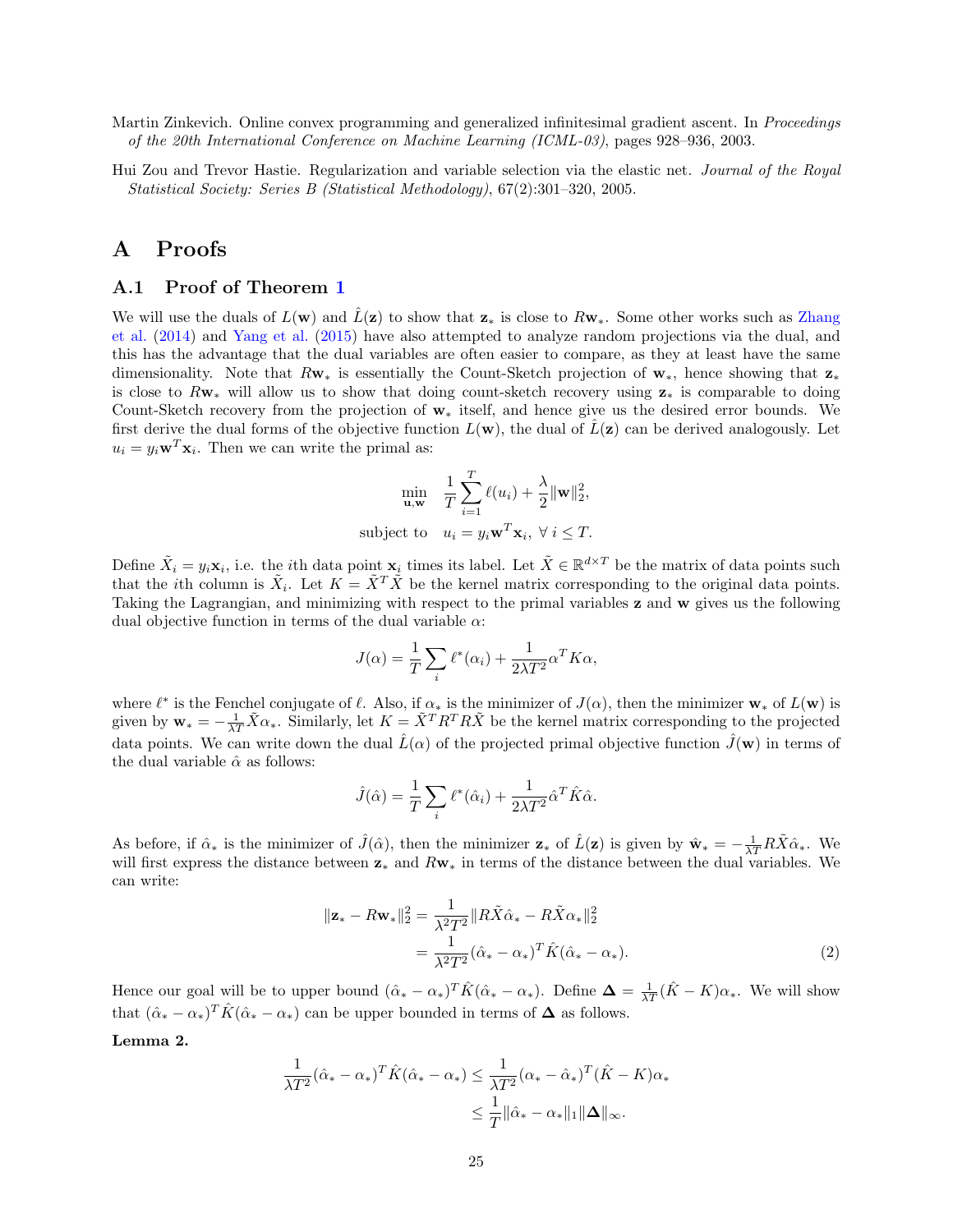- <span id="page-24-4"></span>Martin Zinkevich. Online convex programming and generalized infinitesimal gradient ascent. In Proceedings of the 20th International Conference on Machine Learning (ICML-03), pages 928–936, 2003.
- <span id="page-24-1"></span>Hui Zou and Trevor Hastie. Regularization and variable selection via the elastic net. Journal of the Royal Statistical Society: Series B (Statistical Methodology), 67(2):301–320, 2005.

## A Proofs

#### <span id="page-24-0"></span>A.1 Proof of Theorem [1](#page-8-0)

We will use the duals of  $L(\mathbf{w})$  and  $\tilde{L}(\mathbf{z})$  to show that  $\mathbf{z}_*$  is close to  $R\mathbf{w}_*$ . Some other works such as [Zhang](#page-23-16) [et al.](#page-23-16) [\(2014\)](#page-23-16) and [Yang et al.](#page-23-17) [\(2015\)](#page-23-17) have also attempted to analyze random projections via the dual, and this has the advantage that the dual variables are often easier to compare, as they at least have the same dimensionality. Note that  $R_{\mathbf{W}*}$  is essentially the Count-Sketch projection of  $\mathbf{w}_*$ , hence showing that  $\mathbf{z}_*$ is close to  $Rw_*$  will allow us to show that doing count-sketch recovery using  $z_*$  is comparable to doing Count-Sketch recovery from the projection of w<sup>∗</sup> itself, and hence give us the desired error bounds. We first derive the dual forms of the objective function  $L(\mathbf{w})$ , the dual of  $\hat{L}(\mathbf{z})$  can be derived analogously. Let  $u_i = y_i \mathbf{w}^T \mathbf{x}_i$ . Then we can write the primal as:

$$
\min_{\mathbf{u}, \mathbf{w}} \quad \frac{1}{T} \sum_{i=1}^{T} \ell(u_i) + \frac{\lambda}{2} ||\mathbf{w}||_2^2,
$$
\nsubject to 
$$
u_i = y_i \mathbf{w}^T \mathbf{x}_i, \ \forall \ i \leq T.
$$

Define  $\tilde{X}_i = y_i \mathbf{x}_i$ , i.e. the *i*th data point  $\mathbf{x}_i$  times its label. Let  $\tilde{X} \in \mathbb{R}^{d \times T}$  be the matrix of data points such that the *i*th column is  $\tilde{X}_i$ . Let  $K = \tilde{X}^T \tilde{X}$  be the kernel matrix corresponding to the original data points. Taking the Lagrangian, and minimizing with respect to the primal variables z and w gives us the following dual objective function in terms of the dual variable  $\alpha$ :

$$
J(\alpha) = \frac{1}{T} \sum_{i} \ell^*(\alpha_i) + \frac{1}{2\lambda T^2} \alpha^T K \alpha,
$$

where  $\ell^*$  is the Fenchel conjugate of  $\ell$ . Also, if  $\alpha_*$  is the minimizer of  $J(\alpha)$ , then the minimizer  $w_*$  of  $L(w)$  is given by  $\mathbf{w}_{*} = -\frac{1}{\lambda T}\tilde{X}\alpha_{*}$ . Similarly, let  $K = \tilde{X}^{T}R^{T}R\tilde{X}$  be the kernel matrix corresponding to the projected data points. We can write down the dual  $\hat{L}(\alpha)$  of the projected primal objective function  $\hat{J}(\mathbf{w})$  in terms of the dual variable  $\hat{\alpha}$  as follows:

<span id="page-24-3"></span>
$$
\hat{J}(\hat{\alpha}) = \frac{1}{T} \sum_{i} \ell^*(\hat{\alpha}_i) + \frac{1}{2\lambda T^2} \hat{\alpha}^T \hat{K} \hat{\alpha}.
$$

As before, if  $\hat{\alpha}_*$  is the minimizer of  $\hat{J}(\hat{\alpha})$ , then the minimizer  $\mathbf{z}_*$  of  $\hat{L}(\mathbf{z})$  is given by  $\hat{\mathbf{w}}_* = -\frac{1}{\lambda T}R\tilde{X}\hat{\alpha}_*$ . We will first express the distance between z<sup>∗</sup> and Rw<sup>∗</sup> in terms of the distance between the dual variables. We can write:

$$
\|\mathbf{z}_{*} - R\mathbf{w}_{*}\|_{2}^{2} = \frac{1}{\lambda^{2}T^{2}} \|R\tilde{X}\hat{\alpha}_{*} - R\tilde{X}\alpha_{*}\|_{2}^{2}
$$
  

$$
= \frac{1}{\lambda^{2}T^{2}} (\hat{\alpha}_{*} - \alpha_{*})^{T} \hat{K}(\hat{\alpha}_{*} - \alpha_{*}). \tag{2}
$$

Hence our goal will be to upper bound  $(\hat{\alpha}_* - \alpha_*)^T \hat{K} (\hat{\alpha}_* - \alpha_*)$ . Define  $\Delta = \frac{1}{\lambda T} (\hat{K} - K) \alpha_*$ . We will show that  $(\hat{\alpha}_* - \alpha_*)^T \hat{K} (\hat{\alpha}_* - \alpha_*)$  can be upper bounded in terms of  $\Delta$  as follows.

<span id="page-24-2"></span>Lemma 2.

$$
\frac{1}{\lambda T^2} (\hat{\alpha}_* - \alpha_*)^T \hat{K} (\hat{\alpha}_* - \alpha_*) \le \frac{1}{\lambda T^2} (\alpha_* - \hat{\alpha}_*)^T (\hat{K} - K) \alpha_*
$$
  

$$
\le \frac{1}{T} ||\hat{\alpha}_* - \alpha_*||_1 ||\Delta||_{\infty}.
$$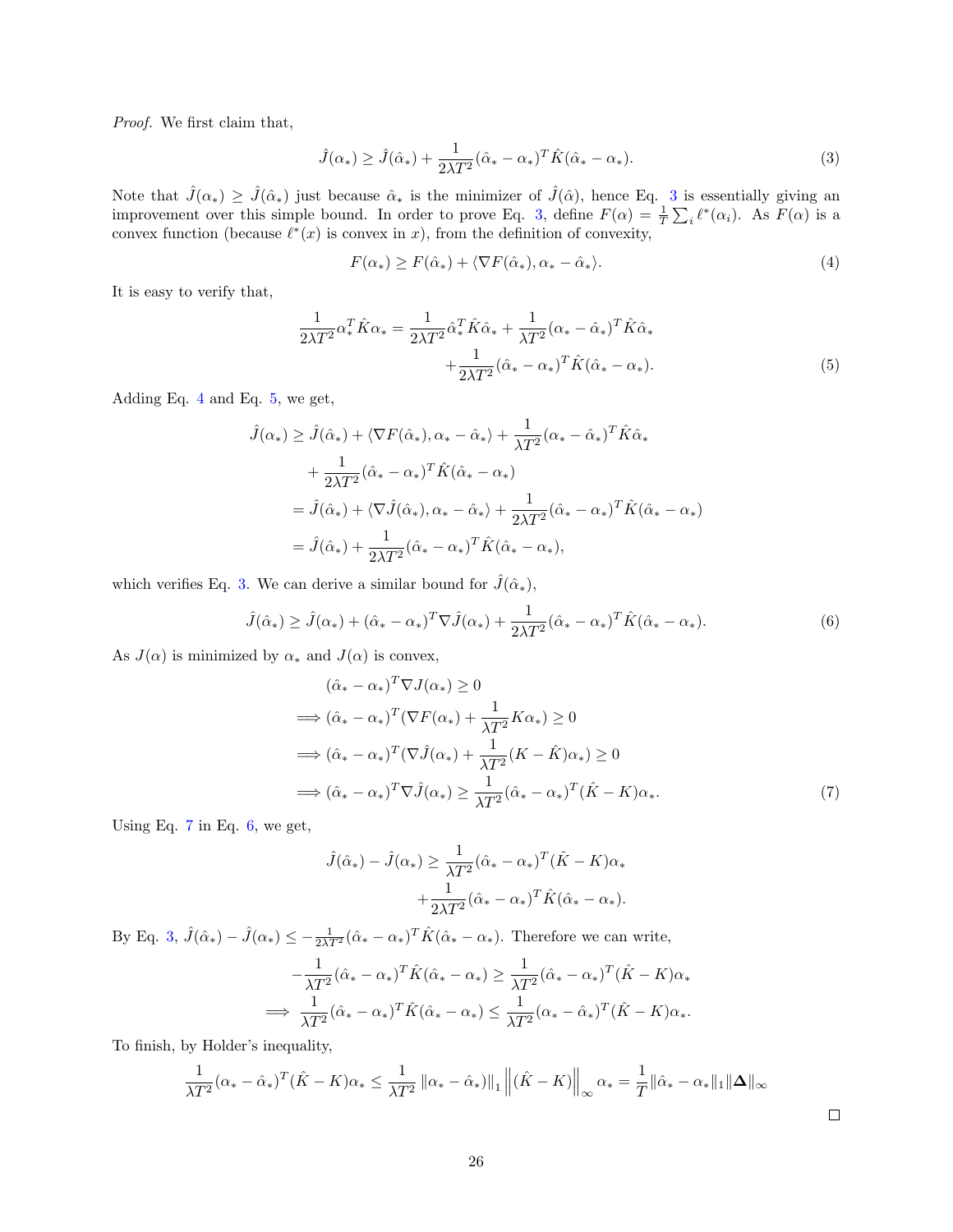Proof. We first claim that,

$$
\hat{J}(\alpha_*) \ge \hat{J}(\hat{\alpha}_*) + \frac{1}{2\lambda T^2} (\hat{\alpha}_* - \alpha_*)^T \hat{K}(\hat{\alpha}_* - \alpha_*). \tag{3}
$$

Note that  $\hat{J}(\alpha_*) \geq \hat{J}(\hat{\alpha}_*)$  just because  $\hat{\alpha}_*$  is the minimizer of  $\hat{J}(\hat{\alpha})$ , hence Eq. [3](#page-25-0) is essentially giving an improvement over this simple bound. In order to prove Eq. [3,](#page-25-0) define  $F(\alpha) = \frac{1}{T} \sum_i \ell^*(\alpha_i)$ . As  $F(\alpha)$  is a convex function (because  $\ell^*(x)$  is convex in x), from the definition of convexity,

<span id="page-25-2"></span><span id="page-25-1"></span><span id="page-25-0"></span>
$$
F(\alpha_*) \ge F(\hat{\alpha}_*) + \langle \nabla F(\hat{\alpha}_*), \alpha_* - \hat{\alpha}_* \rangle. \tag{4}
$$

It is easy to verify that,

$$
\frac{1}{2\lambda T^2} \alpha_*^T \hat{K} \alpha_* = \frac{1}{2\lambda T^2} \hat{\alpha}_*^T \hat{K} \hat{\alpha}_* + \frac{1}{\lambda T^2} (\alpha_* - \hat{\alpha}_*)^T \hat{K} \hat{\alpha}_* + \frac{1}{2\lambda T^2} (\hat{\alpha}_* - \alpha_*)^T \hat{K} (\hat{\alpha}_* - \alpha_*).
$$
\n(5)

Adding Eq. [4](#page-25-1) and Eq. [5,](#page-25-2) we get,

$$
\hat{J}(\alpha_*) \geq \hat{J}(\hat{\alpha}_*) + \langle \nabla F(\hat{\alpha}_*), \alpha_* - \hat{\alpha}_* \rangle + \frac{1}{\lambda T^2} (\alpha_* - \hat{\alpha}_*)^T \hat{K} \hat{\alpha}_*
$$
  
+ 
$$
\frac{1}{2\lambda T^2} (\hat{\alpha}_* - \alpha_*)^T \hat{K} (\hat{\alpha}_* - \alpha_*)
$$
  
= 
$$
\hat{J}(\hat{\alpha}_*) + \langle \nabla \hat{J}(\hat{\alpha}_*), \alpha_* - \hat{\alpha}_* \rangle + \frac{1}{2\lambda T^2} (\hat{\alpha}_* - \alpha_*)^T \hat{K} (\hat{\alpha}_* - \alpha_*)
$$
  
= 
$$
\hat{J}(\hat{\alpha}_*) + \frac{1}{2\lambda T^2} (\hat{\alpha}_* - \alpha_*)^T \hat{K} (\hat{\alpha}_* - \alpha_*)
$$

which verifies Eq. [3.](#page-25-0) We can derive a similar bound for  $\hat{J}(\hat{\alpha}_{*}),$ 

$$
\hat{J}(\hat{\alpha}_*) \ge \hat{J}(\alpha_*) + (\hat{\alpha}_* - \alpha_*)^T \nabla \hat{J}(\alpha_*) + \frac{1}{2\lambda T^2} (\hat{\alpha}_* - \alpha_*)^T \hat{K}(\hat{\alpha}_* - \alpha_*).
$$
\n(6)

As  $J(\alpha)$  is minimized by  $\alpha_*$  and  $J(\alpha)$  is convex,

$$
(\hat{\alpha}_* - \alpha_*)^T \nabla J(\alpha_*) \ge 0
$$
  
\n
$$
\implies (\hat{\alpha}_* - \alpha_*)^T (\nabla F(\alpha_*) + \frac{1}{\lambda T^2} K \alpha_*) \ge 0
$$
  
\n
$$
\implies (\hat{\alpha}_* - \alpha_*)^T (\nabla \hat{J}(\alpha_*) + \frac{1}{\lambda T^2} (K - \hat{K}) \alpha_*) \ge 0
$$
  
\n
$$
\implies (\hat{\alpha}_* - \alpha_*)^T \nabla \hat{J}(\alpha_*) \ge \frac{1}{\lambda T^2} (\hat{\alpha}_* - \alpha_*)^T (\hat{K} - K) \alpha_*.
$$
\n(7)

Using Eq.  $7$  in Eq.  $6$ , we get,

$$
\hat{J}(\hat{\alpha}_*) - \hat{J}(\alpha_*) \ge \frac{1}{\lambda T^2} (\hat{\alpha}_* - \alpha_*)^T (\hat{K} - K)\alpha_*
$$

$$
+ \frac{1}{2\lambda T^2} (\hat{\alpha}_* - \alpha_*)^T \hat{K} (\hat{\alpha}_* - \alpha_*).
$$

By Eq. [3,](#page-25-0)  $\hat{J}(\hat{\alpha}_*) - \hat{J}(\alpha_*) \leq -\frac{1}{2\lambda T^2}(\hat{\alpha}_* - \alpha_*)^T \hat{K}(\hat{\alpha}_* - \alpha_*)$ . Therefore we can write,

$$
-\frac{1}{\lambda T^2}(\hat{\alpha}_* - \alpha_*)^T \hat{K}(\hat{\alpha}_* - \alpha_*) \ge \frac{1}{\lambda T^2}(\hat{\alpha}_* - \alpha_*)^T (\hat{K} - K)\alpha_*
$$
  

$$
\implies \frac{1}{\lambda T^2}(\hat{\alpha}_* - \alpha_*)^T \hat{K}(\hat{\alpha}_* - \alpha_*) \le \frac{1}{\lambda T^2}(\alpha_* - \hat{\alpha}_*)^T (\hat{K} - K)\alpha_*.
$$

To finish, by Holder's inequality,

$$
\frac{1}{\lambda T^2} (\alpha_* - \hat{\alpha}_*)^T (\hat{K} - K)\alpha_* \le \frac{1}{\lambda T^2} ||\alpha_* - \hat{\alpha}_*)||_1 ||(\hat{K} - K)||_{\infty} \alpha_* = \frac{1}{T} ||\hat{\alpha}_* - \alpha_*||_1 ||\Delta||_{\infty}
$$

<span id="page-25-4"></span><span id="page-25-3"></span> $\Box$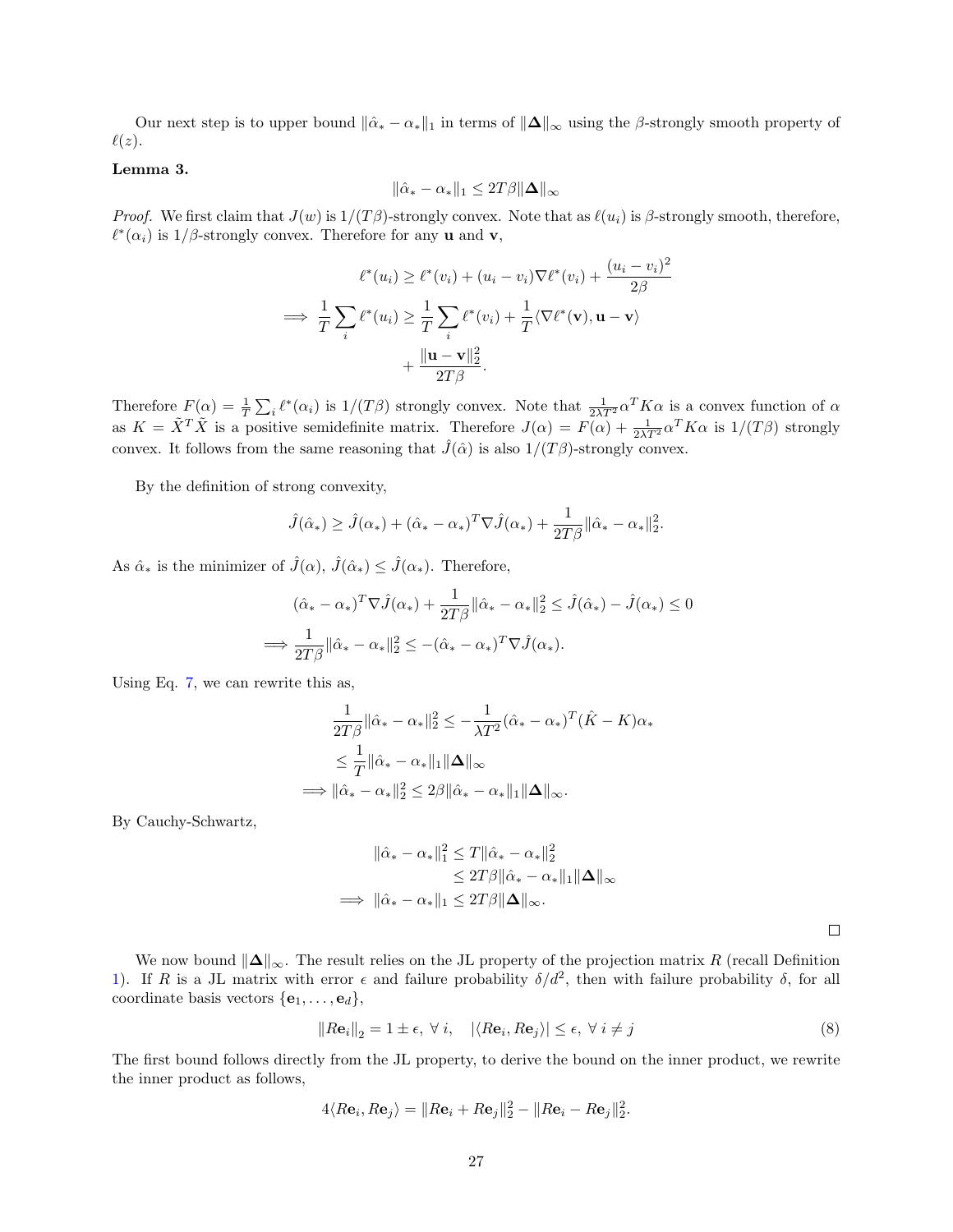Our next step is to upper bound  $\|\hat{\alpha}_* - \alpha_*\|_1$  in terms of  $\|\Delta\|_{\infty}$  using the  $\beta$ -strongly smooth property of  $\ell(z)$ .

#### <span id="page-26-1"></span>Lemma 3.

$$
\|\hat{\alpha}_* - \alpha_*\|_1 \le 2T\beta \|\mathbf{\Delta}\|_{\infty}
$$

*Proof.* We first claim that  $J(w)$  is  $1/(T\beta)$ -strongly convex. Note that as  $\ell(u_i)$  is  $\beta$ -strongly smooth, therefore,  $\ell^*(\alpha_i)$  is 1/β-strongly convex. Therefore for any **u** and **v**,

$$
\ell^*(u_i) \ge \ell^*(v_i) + (u_i - v_i)\nabla \ell^*(v_i) + \frac{(u_i - v_i)^2}{2\beta}
$$
\n
$$
\implies \frac{1}{T} \sum_i \ell^*(u_i) \ge \frac{1}{T} \sum_i \ell^*(v_i) + \frac{1}{T} \langle \nabla \ell^*(\mathbf{v}), \mathbf{u} - \mathbf{v} \rangle
$$
\n
$$
+ \frac{\|\mathbf{u} - \mathbf{v}\|_2^2}{2T\beta}.
$$

Therefore  $F(\alpha) = \frac{1}{T} \sum_i \ell^*(\alpha_i)$  is  $1/(T\beta)$  strongly convex. Note that  $\frac{1}{2\lambda T^2} \alpha^T K \alpha$  is a convex function of  $\alpha$ as  $K = \tilde{X}^T \tilde{X}$  is a positive semidefinite matrix. Therefore  $J(\alpha) = F(\alpha) + \frac{1}{2\lambda T^2} \alpha^T K \alpha$  is  $1/(T\beta)$  strongly convex. It follows from the same reasoning that  $\hat{J}(\hat{\alpha})$  is also  $1/(T\beta)$ -strongly convex.

By the definition of strong convexity,

$$
\hat{J}(\hat{\alpha}_*) \geq \hat{J}(\alpha_*) + (\hat{\alpha}_* - \alpha_*)^T \nabla \hat{J}(\alpha_*) + \frac{1}{2T\beta} ||\hat{\alpha}_* - \alpha_*||_2^2.
$$

As  $\hat{\alpha}_*$  is the minimizer of  $\hat{J}(\alpha)$ ,  $\hat{J}(\hat{\alpha}_*) \leq \hat{J}(\alpha_*)$ . Therefore,

$$
(\hat{\alpha}_* - \alpha_*)^T \nabla \hat{J}(\alpha_*) + \frac{1}{2T\beta} ||\hat{\alpha}_* - \alpha_*||_2^2 \leq \hat{J}(\hat{\alpha}_*) - \hat{J}(\alpha_*) \leq 0
$$
  

$$
\implies \frac{1}{2T\beta} ||\hat{\alpha}_* - \alpha_*||_2^2 \leq -(\hat{\alpha}_* - \alpha_*)^T \nabla \hat{J}(\alpha_*).
$$

Using Eq. [7,](#page-25-3) we can rewrite this as,

$$
\frac{1}{2T\beta} ||\hat{\alpha}_* - \alpha_*||_2^2 \le -\frac{1}{\lambda T^2} (\hat{\alpha}_* - \alpha_*)^T (\hat{K} - K)\alpha_*
$$
  

$$
\le \frac{1}{T} ||\hat{\alpha}_* - \alpha_*||_1 ||\Delta||_{\infty}
$$
  

$$
\implies ||\hat{\alpha}_* - \alpha_*||_2^2 \le 2\beta ||\hat{\alpha}_* - \alpha_*||_1 ||\Delta||_{\infty}.
$$

By Cauchy-Schwartz,

$$
\|\hat{\alpha}_* - \alpha_*\|_1^2 \le T \|\hat{\alpha}_* - \alpha_*\|_2^2
$$
  
\n
$$
\le 2T\beta \|\hat{\alpha}_* - \alpha_*\|_1 \|\Delta\|_{\infty}
$$
  
\n
$$
\implies \|\hat{\alpha}_* - \alpha_*\|_1 \le 2T\beta \|\Delta\|_{\infty}.
$$

<span id="page-26-0"></span> $\Box$ 

We now bound  $\|\Delta\|_{\infty}$ . The result relies on the JL property of the projection matrix R (recall Definition [1\)](#page-4-2). If R is a JL matrix with error  $\epsilon$  and failure probability  $\delta/d^2$ , then with failure probability  $\delta$ , for all coordinate basis vectors  $\{e_1, \ldots, e_d\},\$ 

$$
||R\mathbf{e}_i||_2 = 1 \pm \epsilon, \ \forall \ i, \quad |\langle R\mathbf{e}_i, R\mathbf{e}_j \rangle| \le \epsilon, \ \forall \ i \ne j \tag{8}
$$

The first bound follows directly from the JL property, to derive the bound on the inner product, we rewrite the inner product as follows,

$$
4\langle R\mathbf{e}_i, R\mathbf{e}_j \rangle = \|R\mathbf{e}_i + R\mathbf{e}_j\|_2^2 - \|R\mathbf{e}_i - R\mathbf{e}_j\|_2^2.
$$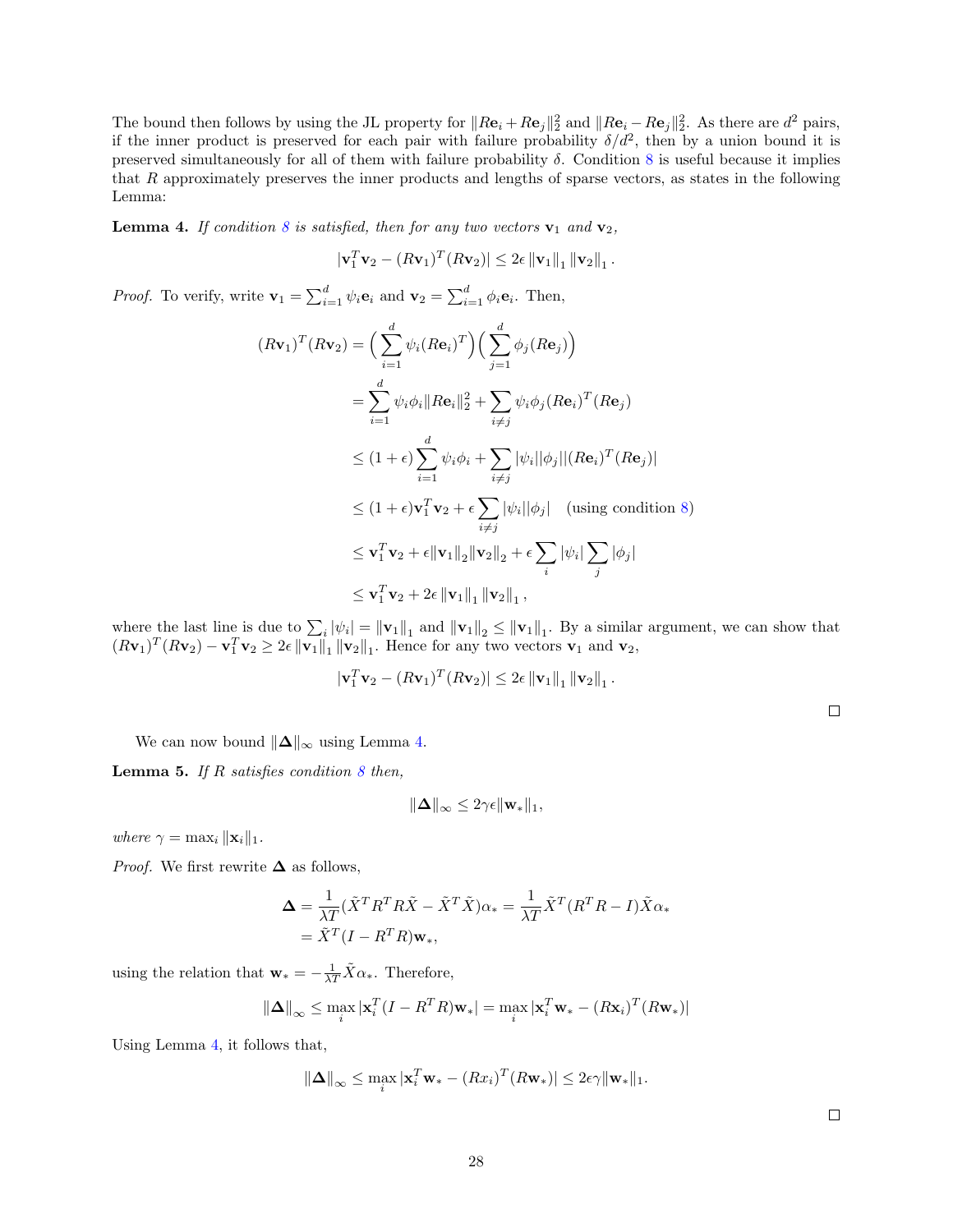The bound then follows by using the JL property for  $||R\mathbf{e}_i + R\mathbf{e}_j||_2^2$  and  $||R\mathbf{e}_i - R\mathbf{e}_j||_2^2$ . As there are  $d^2$  pairs, if the inner product is preserved for each pair with failure probability  $\delta/d^2$ , then by a union bound it is preserved simultaneously for all of them with failure probability  $\delta$ . Condition [8](#page-26-0) is useful because it implies that  $R$  approximately preserves the inner products and lengths of sparse vectors, as states in the following Lemma:

<span id="page-27-0"></span>**Lemma 4.** If condition [8](#page-26-0) is satisfied, then for any two vectors  $\mathbf{v}_1$  and  $\mathbf{v}_2$ ,

$$
|\mathbf{v}_1^T \mathbf{v}_2 - (R \mathbf{v}_1)^T (R \mathbf{v}_2)| \leq 2\epsilon \|\mathbf{v}_1\|_1 \|\mathbf{v}_2\|_1.
$$

*Proof.* To verify, write  $\mathbf{v}_1 = \sum_{i=1}^d \psi_i \mathbf{e}_i$  and  $\mathbf{v}_2 = \sum_{i=1}^d \phi_i \mathbf{e}_i$ . Then,

$$
(R\mathbf{v}_1)^T (R\mathbf{v}_2) = \left(\sum_{i=1}^d \psi_i (R\mathbf{e}_i)^T\right) \left(\sum_{j=1}^d \phi_j (R\mathbf{e}_j)\right)
$$
  
\n
$$
= \sum_{i=1}^d \psi_i \phi_i \|R\mathbf{e}_i\|_2^2 + \sum_{i \neq j} \psi_i \phi_j (R\mathbf{e}_i)^T (R\mathbf{e}_j)
$$
  
\n
$$
\leq (1+\epsilon) \sum_{i=1}^d \psi_i \phi_i + \sum_{i \neq j} |\psi_i| |\phi_j| |(R\mathbf{e}_i)^T (R\mathbf{e}_j)|
$$
  
\n
$$
\leq (1+\epsilon) \mathbf{v}_1^T \mathbf{v}_2 + \epsilon \sum_{i \neq j} |\psi_i| |\phi_j| \quad \text{(using condition 8)}
$$
  
\n
$$
\leq \mathbf{v}_1^T \mathbf{v}_2 + \epsilon \|\mathbf{v}_1\|_2 \|\mathbf{v}_2\|_2 + \epsilon \sum_i |\psi_i| \sum_j |\phi_j|
$$
  
\n
$$
\leq \mathbf{v}_1^T \mathbf{v}_2 + 2\epsilon \|\mathbf{v}_1\|_1 \|\mathbf{v}_2\|_1,
$$

where the last line is due to  $\sum_i |\psi_i| = ||\mathbf{v}_1||_1$  and  $||\mathbf{v}_1||_2 \le ||\mathbf{v}_1||_1$ . By a similar argument, we can show that  $(R\mathbf{v}_1)^T(R\mathbf{v}_2) - \mathbf{v}_1^T\mathbf{v}_2 \geq 2\epsilon \|\mathbf{v}_1\|_1 \|\mathbf{v}_2\|_1$ . Hence for any two vectors  $\mathbf{v}_1$  and  $\mathbf{v}_2$ ,

$$
|\mathbf{v}_1^T \mathbf{v}_2 - (R \mathbf{v}_1)^T (R \mathbf{v}_2)| \leq 2\epsilon \|\mathbf{v}_1\|_1 \|\mathbf{v}_2\|_1.
$$

We can now bound  $\|\Delta\|_{\infty}$  using Lemma [4.](#page-27-0)

<span id="page-27-1"></span>**Lemma 5.** If R satisfies condition  $8$  then,

$$
\|\mathbf{\Delta}\|_{\infty} \leq 2\gamma\epsilon \|\mathbf{w}_{*}\|_{1},
$$

where  $\gamma = \max_i ||\mathbf{x}_i||_1$ .

*Proof.* We first rewrite  $\Delta$  as follows,

$$
\begin{aligned} \n\Delta &= \frac{1}{\lambda T} (\tilde{X}^T R^T R \tilde{X} - \tilde{X}^T \tilde{X}) \alpha_* = \frac{1}{\lambda T} \tilde{X}^T (R^T R - I) \tilde{X} \alpha_* \\ \n&= \tilde{X}^T (I - R^T R) \mathbf{w}_*, \n\end{aligned}
$$

using the relation that  $\mathbf{w}_{*} = -\frac{1}{\lambda T} \tilde{X} \alpha_{*}$ . Therefore,

$$
\|\mathbf{\Delta}\|_{\infty} \leq \max_{i} |\mathbf{x}_i^T (I - R^T R)\mathbf{w}_*| = \max_{i} |\mathbf{x}_i^T \mathbf{w}_* - (R\mathbf{x}_i)^T (R\mathbf{w}_*)|
$$

Using Lemma [4,](#page-27-0) it follows that,

$$
\|\mathbf{\Delta}\|_{\infty} \leq \max_{i} |\mathbf{x}_i^T \mathbf{w}_* - (Rx_i)^T (R\mathbf{w}_*)| \leq 2\epsilon \gamma \|\mathbf{w}_*\|_1.
$$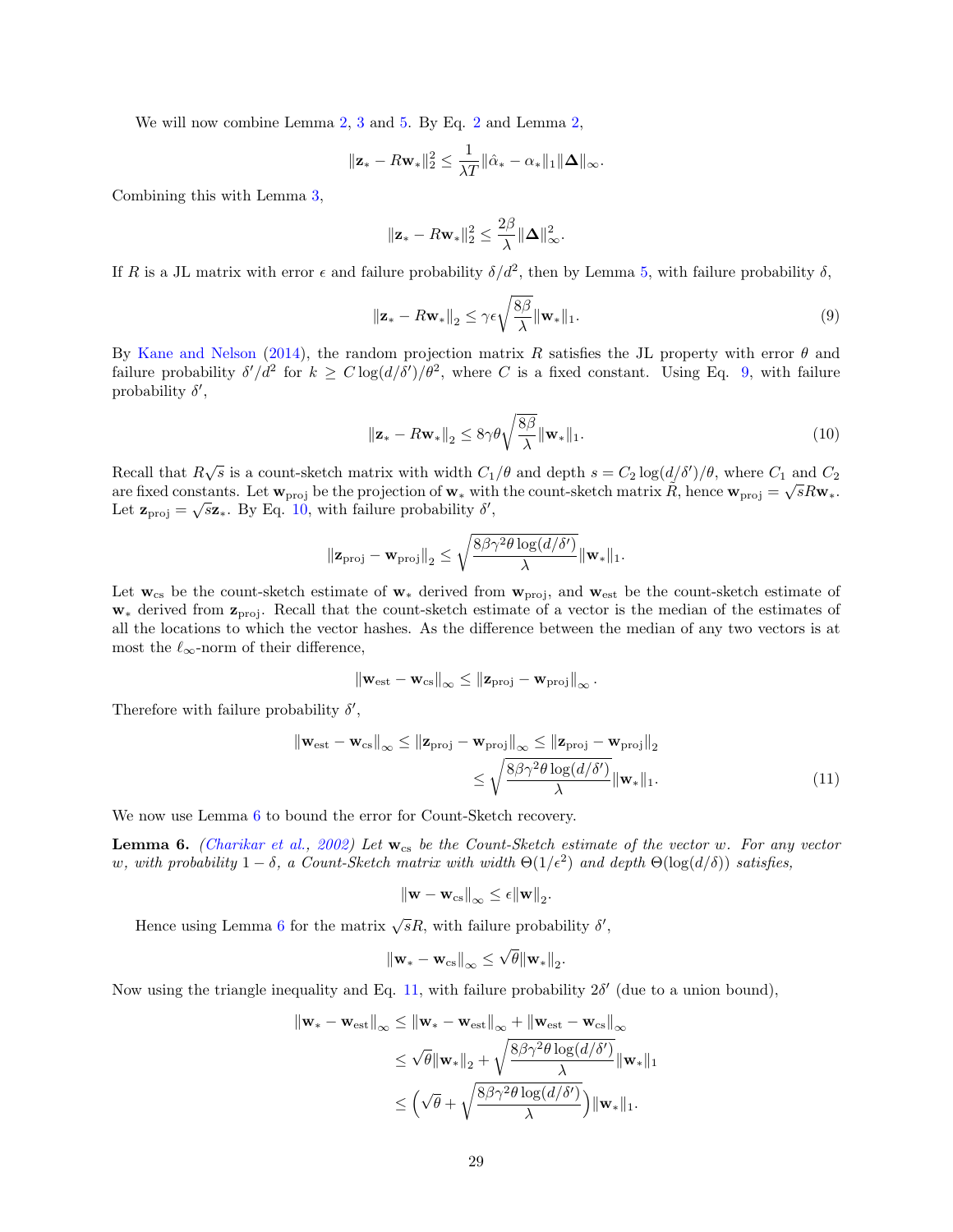We will now combine Lemma [2,](#page-24-2) [3](#page-26-1) and [5.](#page-27-1) By Eq. [2](#page-24-3) and Lemma 2,

$$
\|\mathbf{z}_{*} - R\mathbf{w}_{*}\|_{2}^{2} \leq \frac{1}{\lambda T} \|\hat{\alpha}_{*} - \alpha_{*}\|_{1} \|\mathbf{\Delta}\|_{\infty}.
$$

Combining this with Lemma [3,](#page-26-1)

<span id="page-28-1"></span>
$$
\|\mathbf{z}_{*} - R\mathbf{w}_{*}\|_{2}^{2} \leq \frac{2\beta}{\lambda} \|\mathbf{\Delta}\|_{\infty}^{2}.
$$

If R is a JL matrix with error  $\epsilon$  and failure probability  $\delta/d^2$ , then by Lemma [5,](#page-27-1) with failure probability  $\delta$ ,

$$
\|\mathbf{z}_{*} - R\mathbf{w}_{*}\|_{2} \leq \gamma \epsilon \sqrt{\frac{8\beta}{\lambda}} \|\mathbf{w}_{*}\|_{1}.
$$
\n(9)

By [Kane and Nelson](#page-21-12) [\(2014\)](#page-21-12), the random projection matrix R satisfies the JL property with error  $\theta$  and failure probability  $\delta'/d^2$  for  $k \geq C \log(d/\delta')/\theta^2$ , where C is a fixed constant. Using Eq. [9,](#page-28-1) with failure probability  $\delta'$ ,

<span id="page-28-2"></span>
$$
\|\mathbf{z}_{*} - R\mathbf{w}_{*}\|_{2} \le 8\gamma\theta\sqrt{\frac{8\beta}{\lambda}}\|\mathbf{w}_{*}\|_{1}.
$$
\n(10)

Recall that  $R\sqrt{s}$  is a count-sketch matrix with width  $C_1/\theta$  and depth  $s = C_2 \log(d/\delta')/\theta$ , where  $C_1$  and  $C_2$ are fixed constants. Let  $\mathbf{w}_{\text{proj}}$  be the projection of  $\mathbf{w}_*$  with the count-sketch matrix  $\tilde{R}$ , hence  $\mathbf{w}_{\text{proj}} = \sqrt{s}R\mathbf{w}_*$ . Let  $\mathbf{z}_{\text{proj}} = \sqrt{s} \mathbf{z}_{*}$ . By Eq. [10,](#page-28-2) with failure probability  $\delta'$ ,

$$
\|\mathbf{z}_{\text{proj}} - \mathbf{w}_{\text{proj}}\|_2 \le \sqrt{\frac{8\beta\gamma^2\theta\log(d/\delta')}{\lambda}} \|\mathbf{w}_*\|_1.
$$

Let  $w_{cs}$  be the count-sketch estimate of  $w_*$  derived from  $w_{proj}$ , and  $w_{est}$  be the count-sketch estimate of  $\mathbf{w}_*$  derived from  $\mathbf{z}_{\text{proj}}$ . Recall that the count-sketch estimate of a vector is the median of the estimates of all the locations to which the vector hashes. As the difference between the median of any two vectors is at most the  $\ell_{\infty}$ -norm of their difference,

$$
\left\|\mathbf{w}_{\rm est}-\mathbf{w}_{\rm cs}\right\|_{\infty} \leq \left\|\mathbf{z}_{\rm proj}-\mathbf{w}_{\rm proj}\right\|_{\infty}.
$$

Therefore with failure probability  $\delta'$ ,

$$
\|\mathbf{w}_{\text{est}} - \mathbf{w}_{\text{cs}}\|_{\infty} \le \|\mathbf{z}_{\text{proj}} - \mathbf{w}_{\text{proj}}\|_{\infty} \le \|\mathbf{z}_{\text{proj}} - \mathbf{w}_{\text{proj}}\|_{2}
$$

$$
\le \sqrt{\frac{8\beta\gamma^{2}\theta\log(d/\delta')}{\lambda}} \|\mathbf{w}_{*}\|_{1}.
$$
(11)

We now use Lemma [6](#page-28-0) to bound the error for Count-Sketch recovery.

<span id="page-28-0"></span>**Lemma 6.** [\(Charikar et al.,](#page-20-0) [2002\)](#page-20-0) Let  $w_{cs}$  be the Count-Sketch estimate of the vector w. For any vector w, with probability  $1 - \delta$ , a Count-Sketch matrix with width  $\Theta(1/\epsilon^2)$  and depth  $\Theta(\log(d/\delta))$  satisfies,

<span id="page-28-3"></span>
$$
\left\|\mathbf{w}-\mathbf{w}_{\text{cs}}\right\|_{\infty} \leq \epsilon \|\mathbf{w}\|_{2}.
$$

Hence using Lemma [6](#page-28-0) for the matrix  $\sqrt{s}R$ , with failure probability  $\delta'$ ,

$$
\left\|\mathbf{w}_{*}-\mathbf{w}_{\text{cs}}\right\|_{\infty} \leq \sqrt{\theta} \|\mathbf{w}_{*}\|_{2}.
$$

Now using the triangle inequality and Eq. [11,](#page-28-3) with failure probability  $2\delta'$  (due to a union bound),

$$
\|\mathbf{w}_{*} - \mathbf{w}_{est}\|_{\infty} \leq \|\mathbf{w}_{*} - \mathbf{w}_{est}\|_{\infty} + \|\mathbf{w}_{est} - \mathbf{w}_{cs}\|_{\infty}
$$
  

$$
\leq \sqrt{\theta} \|\mathbf{w}_{*}\|_{2} + \sqrt{\frac{8\beta\gamma^{2}\theta \log(d/\delta')}{\lambda}} \|\mathbf{w}_{*}\|_{1}
$$
  

$$
\leq (\sqrt{\theta} + \sqrt{\frac{8\beta\gamma^{2}\theta \log(d/\delta')}{\lambda}}) \|\mathbf{w}_{*}\|_{1}.
$$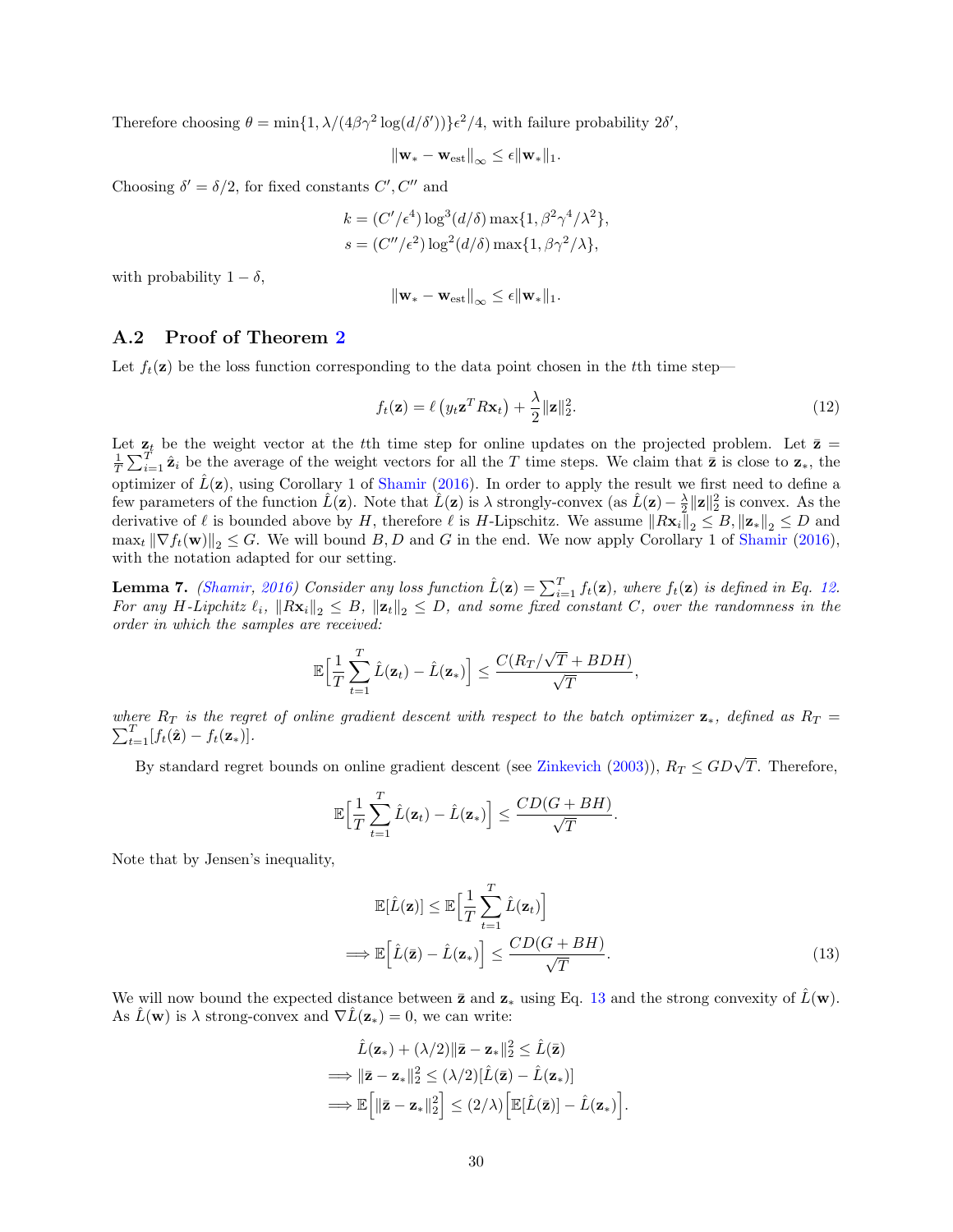Therefore choosing  $\theta = \min\{1, \lambda/(4\beta\gamma^2 \log(d/\delta'))\}\epsilon^2/4$ , with failure probability  $2\delta'$ ,

$$
\|\mathbf{w}_* - \mathbf{w}_{\text{est}}\|_{\infty} \leq \epsilon \|\mathbf{w}_*\|_1.
$$

Choosing  $\delta' = \delta/2$ , for fixed constants C', C'' and

$$
k = (C'/\epsilon^4) \log^3(d/\delta) \max\{1, \beta^2 \gamma^4 / \lambda^2\},
$$
  

$$
s = (C''/\epsilon^2) \log^2(d/\delta) \max\{1, \beta \gamma^2 / \lambda\},
$$

with probability  $1 - \delta$ ,

<span id="page-29-1"></span>
$$
\|\mathbf{w}_* - \mathbf{w}_{\text{est}}\|_{\infty} \leq \epsilon \|\mathbf{w}_*\|_1.
$$

#### <span id="page-29-0"></span>A.2 Proof of Theorem [2](#page-10-1)

Let  $f_t(\mathbf{z})$  be the loss function corresponding to the data point chosen in the tth time step—

$$
f_t(\mathbf{z}) = \ell \left( y_t \mathbf{z}^T R \mathbf{x}_t \right) + \frac{\lambda}{2} ||\mathbf{z}||_2^2.
$$
 (12)

Let  $\mathbf{z}_t$  be the weight vector at the tth time step for online updates on the projected problem. Let  $\bar{\mathbf{z}} =$  $\frac{1}{T}\sum_{i=1}^{T} \hat{\mathbf{z}}_i$  be the average of the weight vectors for all the T time steps. We claim that  $\bar{\mathbf{z}}$  is close to  $\mathbf{z}_*$ , the optimizer of  $\hat{L}(\mathbf{z})$ , using Corollary 1 of [Shamir](#page-22-15) [\(2016\)](#page-22-15). In order to apply the result we first need to define a few parameters of the function  $\hat{L}(\mathbf{z})$ . Note that  $\hat{L}(\mathbf{z})$  is  $\lambda$  strongly-convex (as  $\hat{L}(\mathbf{z}) - \frac{\lambda}{2} ||\mathbf{z}||_2^2$  is convex. As the derivative of  $\ell$  is bounded above by H, therefore  $\ell$  is H-Lipschitz. We assume  $\|R\mathbf{x}_i\|_2 \leq B$ ,  $\|\mathbf{z}_*\|_2 \leq D$  and  $\max_t \|\nabla f_t(\mathbf{w})\|_2 \leq G$ . We will bound B, D and G in the end. We now apply Corollary 1 of [Shamir](#page-22-15) [\(2016\)](#page-22-15), with the notation adapted for our setting.

**Lemma 7.** [\(Shamir,](#page-22-15) [2016\)](#page-22-15) Consider any loss function  $\hat{L}(\mathbf{z}) = \sum_{i=1}^{T} f_t(\mathbf{z})$ , where  $f_t(\mathbf{z})$  is defined in Eq. [12.](#page-29-1) For any H-Lipchitz  $\ell_i$ ,  $\|R\mathbf{x}_i\|_2 \leq B$ ,  $\|\mathbf{z}_t\|_2 \leq D$ , and some fixed constant C, over the randomness in the order in which the samples are received:

$$
\mathbb{E}\Big[\frac{1}{T}\sum_{t=1}^T \hat{L}(\mathbf{z}_t) - \hat{L}(\mathbf{z}_*)\Big] \leq \frac{C(R_T/\sqrt{T} + BDH)}{\sqrt{T}},
$$

 $\sum_{t=1}^{T} [f_t(\hat{\mathbf{z}}) - f_t(\mathbf{z}_*)].$ where  $R_T$  is the regret of online gradient descent with respect to the batch optimizer  $z_*$ , defined as  $R_T =$ 

By standard regret bounds on online gradient descent (see [Zinkevich](#page-24-4) [\(2003\)](#page-24-4)),  $R_T \leq GD\sqrt{T}$ . Therefore,

$$
\mathbb{E}\Big[\frac{1}{T}\sum_{t=1}^T \hat{L}(\mathbf{z}_t) - \hat{L}(\mathbf{z}_*)\Big] \leq \frac{CD(G + BH)}{\sqrt{T}}
$$

Note that by Jensen's inequality,

$$
\mathbb{E}[\hat{L}(\mathbf{z})] \leq \mathbb{E}\Big[\frac{1}{T}\sum_{t=1}^{T}\hat{L}(\mathbf{z}_t)\Big]
$$
  
\n
$$
\implies \mathbb{E}\Big[\hat{L}(\bar{\mathbf{z}}) - \hat{L}(\mathbf{z}_*)\Big] \leq \frac{CD(G + BH)}{\sqrt{T}}.
$$
\n(13)

<span id="page-29-2"></span>.

We will now bound the expected distance between  $\bar{z}$  and  $z_*$  using Eq. [13](#page-29-2) and the strong convexity of  $\hat{L}(\mathbf{w})$ . As  $\hat{L}(\mathbf{w})$  is  $\lambda$  strong-convex and  $\nabla \hat{L}(\mathbf{z}) = 0$ , we can write:

$$
\hat{L}(\mathbf{z}_{*}) + (\lambda/2) \|\bar{\mathbf{z}} - \mathbf{z}_{*}\|_{2}^{2} \leq \hat{L}(\bar{\mathbf{z}})
$$
\n
$$
\implies \|\bar{\mathbf{z}} - \mathbf{z}_{*}\|_{2}^{2} \leq (\lambda/2) [\hat{L}(\bar{\mathbf{z}}) - \hat{L}(\mathbf{z}_{*})]
$$
\n
$$
\implies \mathbb{E}\Big[\|\bar{\mathbf{z}} - \mathbf{z}_{*}\|_{2}^{2}\Big] \leq (2/\lambda) \Big[\mathbb{E}[\hat{L}(\bar{\mathbf{z}})] - \hat{L}(\mathbf{z}_{*})\Big].
$$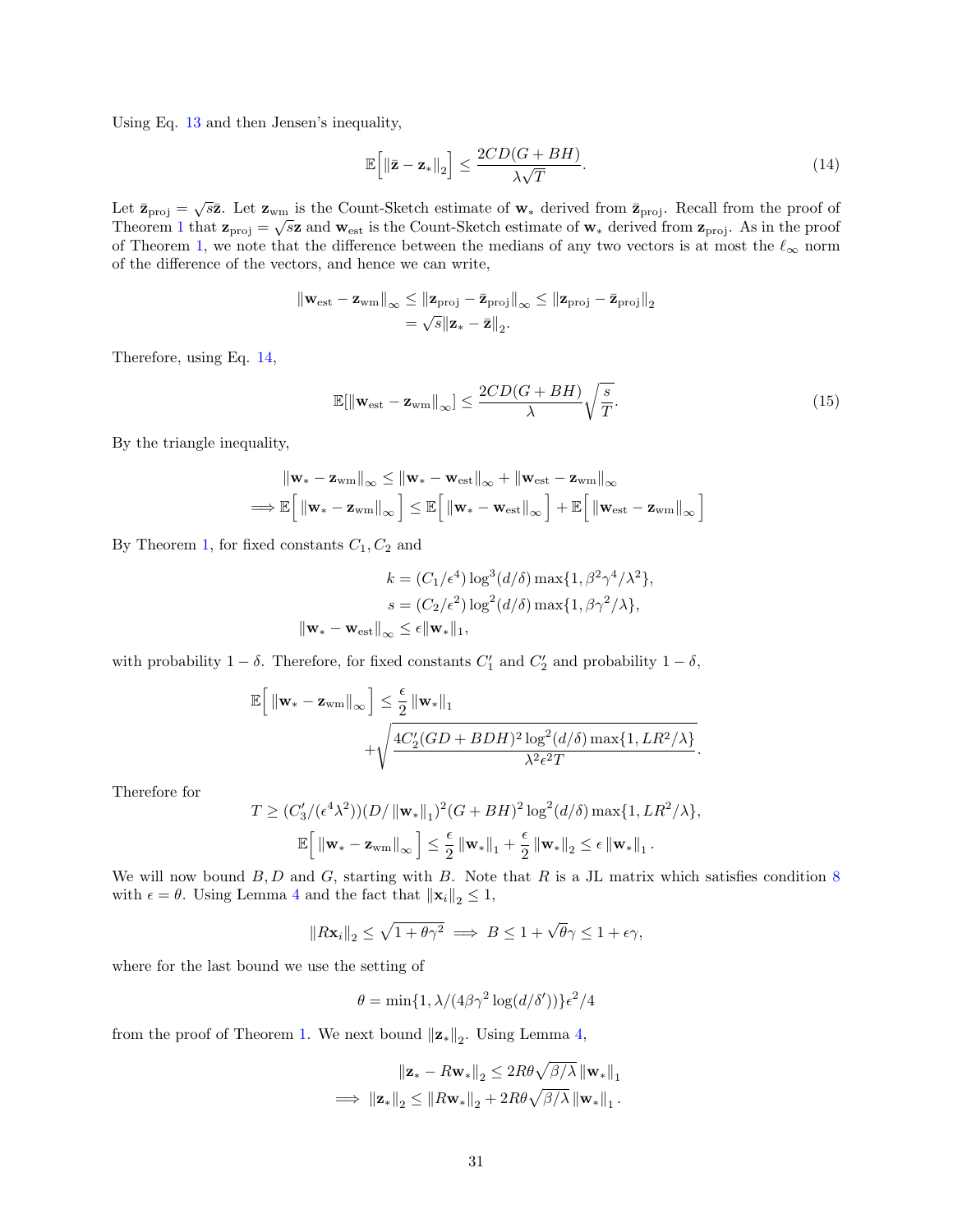Using Eq. [13](#page-29-2) and then Jensen's inequality,

$$
\mathbb{E}\Big[\|\bar{\mathbf{z}} - \mathbf{z}_*\|_2\Big] \le \frac{2CD(G + BH)}{\lambda\sqrt{T}}.\tag{14}
$$

Let  $\bar{\mathbf{z}}_{\text{proj}} = \sqrt{s}\bar{\mathbf{z}}$ . Let  $\mathbf{z}_{\text{wm}}$  is the Count-Sketch estimate of  $\mathbf{w}_{*}$  derived from  $\bar{\mathbf{z}}_{\text{proj}}$ . Recall from the proof of Theorem [1](#page-8-0) that  $\mathbf{z}_{\text{proj}} = \sqrt{s} \mathbf{z}$  and  $\mathbf{w}_{\text{est}}$  is the Count-Sketch estimate of  $\mathbf{w}_*$  derived from  $\mathbf{z}_{\text{proj}}$ . As in the proof of Theorem [1,](#page-8-0) we note that the difference between the medians of any two vectors is at most the  $\ell_{\infty}$  norm of the difference of the vectors, and hence we can write,

$$
\begin{aligned} \left\| \mathbf{w}_{\text{est}} - \mathbf{z}_{\text{wm}} \right\|_{\infty} &\leq \left\| \mathbf{z}_{\text{proj}} - \bar{\mathbf{z}}_{\text{proj}} \right\|_{\infty} \leq \left\| \mathbf{z}_{\text{proj}} - \bar{\mathbf{z}}_{\text{proj}} \right\|_{2} \\ &= \sqrt{s} \left\| \mathbf{z}_{*} - \bar{\mathbf{z}} \right\|_{2} . \end{aligned}
$$

Therefore, using Eq. [14,](#page-30-0)

$$
\mathbb{E}[\|\mathbf{w}_{\text{est}} - \mathbf{z}_{\text{wm}}\|_{\infty}] \le \frac{2CD(G + BH)}{\lambda} \sqrt{\frac{s}{T}}.
$$
\n(15)

<span id="page-30-0"></span>i

By the triangle inequality,

$$
\begin{aligned} \left\|\mathbf{w}_{*}-\mathbf{z}_{\text{wm}}\right\|_{\infty} &\leq\left\|\mathbf{w}_{*}-\mathbf{w}_{\text{est}}\right\|_{\infty}+\left\|\mathbf{w}_{\text{est}}-\mathbf{z}_{\text{wm}}\right\|_{\infty} \\ \Longrightarrow\mathbb{E}\Big[\left\|\mathbf{w}_{*}-\mathbf{z}_{\text{wm}}\right\|_{\infty}\Big]\leq\mathbb{E}\Big[\left\|\mathbf{w}_{*}-\mathbf{w}_{\text{est}}\right\|_{\infty}\Big]+ \mathbb{E}\Big[\left\|\mathbf{w}_{\text{est}}-\mathbf{z}_{\text{wm}}\right\|_{\infty} \end{aligned}
$$

By Theorem [1,](#page-8-0) for fixed constants  $C_1, C_2$  and

$$
k = (C_1/\epsilon^4) \log^3(d/\delta) \max\{1, \beta^2 \gamma^4/\lambda^2\},
$$

$$
s = (C_2/\epsilon^2) \log^2(d/\delta) \max\{1, \beta \gamma^2/\lambda\},
$$

$$
\|\mathbf{w}_* - \mathbf{w}_{est}\|_{\infty} \le \epsilon \|\mathbf{w}_*\|_1,
$$

with probability  $1 - \delta$ . Therefore, for fixed constants  $C'_1$  and  $C'_2$  and probability  $1 - \delta$ ,

$$
\mathbb{E}\Big[\left.\|\mathbf{w}_{*}-\mathbf{z}_{\text{wm}}\right\|_{\infty}\Big]\leq\frac{\epsilon}{2}\left\|\mathbf{w}_{*}\right\|_{1}+\sqrt{\frac{4C'_{2}(GD+BDH)^{2}\log^{2}(d/\delta)\max\{1,LR^{2}/\lambda\}}{\lambda^{2}\epsilon^{2}T}}.
$$

Therefore for

$$
T \ge (C_3' / (\epsilon^4 \lambda^2))(D / \|\mathbf{w}_*\|_1)^2 (G + BH)^2 \log^2(d/\delta) \max\{1, LR^2/\lambda\},\
$$

$$
\mathbb{E}\Big[\|\mathbf{w}_* - \mathbf{z}_{\text{wm}}\|_{\infty}\Big] \le \frac{\epsilon}{2} \|\mathbf{w}_*\|_1 + \frac{\epsilon}{2} \|\mathbf{w}_*\|_2 \le \epsilon \|\mathbf{w}_*\|_1.
$$

We will now bound  $B, D$  and  $G$ , starting with B. Note that R is a JL matrix which satisfies condition [8](#page-26-0) with  $\epsilon = \theta$ . Using Lemma [4](#page-27-0) and the fact that  $\|\mathbf{x}_i\|_2 \leq 1$ ,

$$
||R\mathbf{x}_i||_2 \le \sqrt{1+\theta\gamma^2} \implies B \le 1+\sqrt{\theta}\gamma \le 1+\epsilon\gamma,
$$

where for the last bound we use the setting of

$$
\theta = \min\{1, \lambda/(4\beta\gamma^2\log(d/\delta'))\}\epsilon^2/4
$$

from the proof of Theorem [1.](#page-8-0) We next bound  $\|\mathbf{z}_*\|_2$ . Using Lemma [4,](#page-27-0)

$$
\begin{aligned} \left\| \mathbf{z}_{*} - R \mathbf{w}_{*} \right\|_2 & \leq 2R \theta \sqrt{\beta/\lambda} \left\| \mathbf{w}_{*} \right\|_1 \\ \implies \left\| \mathbf{z}_{*} \right\|_2 & \leq \left\| R \mathbf{w}_{*} \right\|_2 + 2R \theta \sqrt{\beta/\lambda} \left\| \mathbf{w}_{*} \right\|_1. \end{aligned}
$$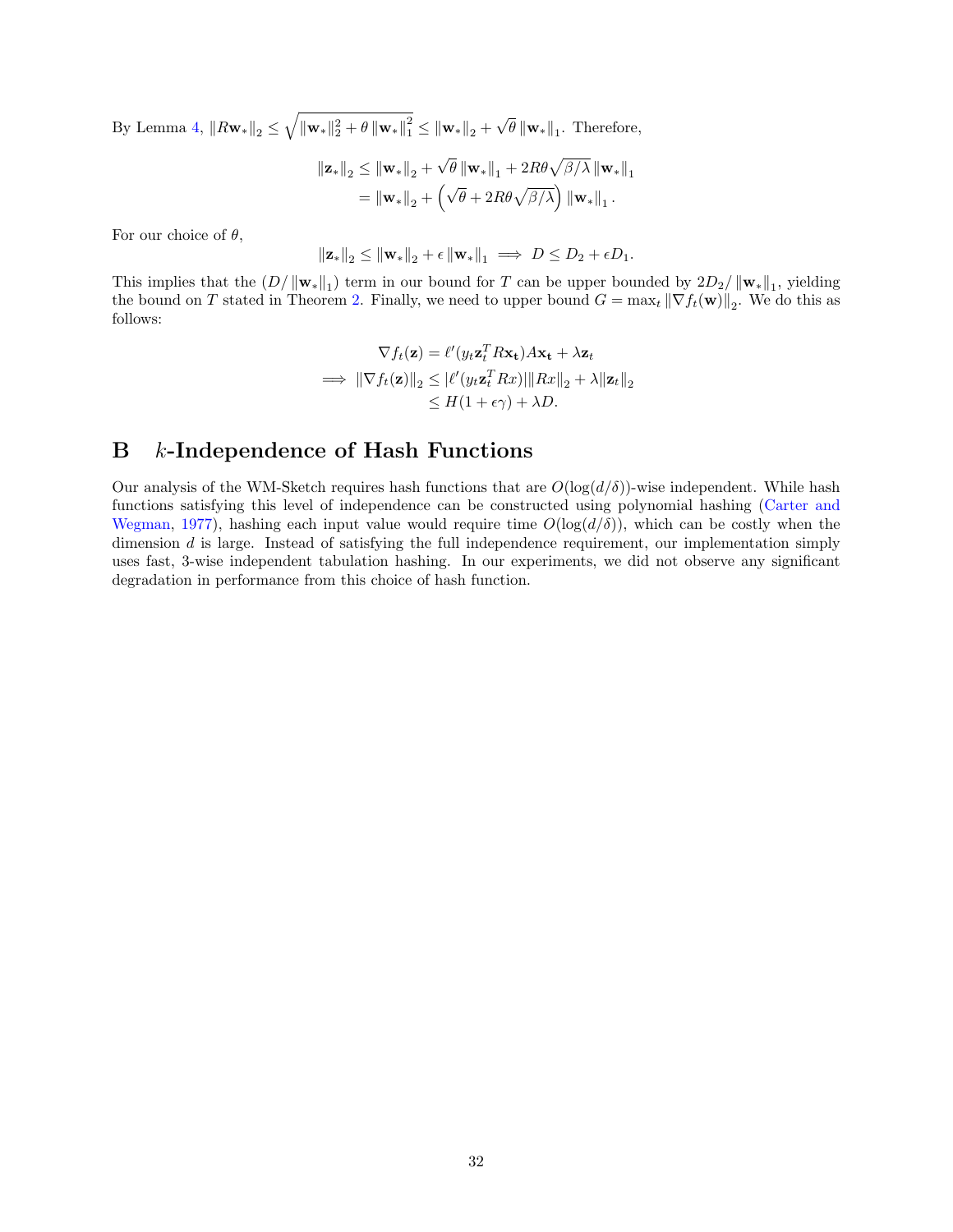By Lemma [4,](#page-27-0)  $||R\mathbf{w}_*||_2 \leq \sqrt{||\mathbf{w}_*||_2^2 + \theta ||\mathbf{w}_*||_1^2} \leq ||\mathbf{w}_*||_2 +$ √  $\theta \left\|\mathbf{w}_{*}\right\|_{1}$ . Therefore,

$$
\|\mathbf{z}_{*}\|_{2} \leq \|\mathbf{w}_{*}\|_{2} + \sqrt{\theta} \left\|\mathbf{w}_{*}\right\|_{1} + 2R\theta\sqrt{\beta/\lambda} \left\|\mathbf{w}_{*}\right\|_{1}
$$

$$
= \|\mathbf{w}_{*}\|_{2} + \left(\sqrt{\theta} + 2R\theta\sqrt{\beta/\lambda}\right) \|\mathbf{w}_{*}\|_{1}.
$$

For our choice of  $\theta$ ,

$$
\|\mathbf{z}_{*}\|_{2} \leq \|\mathbf{w}_{*}\|_{2} + \epsilon \|\mathbf{w}_{*}\|_{1} \implies D \leq D_{2} + \epsilon D_{1}.
$$

This implies that the  $(D/\|\mathbf{w}_*\|_1)$  term in our bound for T can be upper bounded by  $2D_2/\|\mathbf{w}_*\|_1$ , yielding the bound on T stated in Theorem [2.](#page-10-1) Finally, we need to upper bound  $G = \max_t ||\nabla f_t(\mathbf{w})||_2$ . We do this as follows:

$$
\nabla f_t(\mathbf{z}) = \ell'(y_t \mathbf{z}_t^T R \mathbf{x_t}) A \mathbf{x_t} + \lambda \mathbf{z}_t
$$
  
\n
$$
\implies \|\nabla f_t(\mathbf{z})\|_2 \leq |\ell'(y_t \mathbf{z}_t^T R x)| \|Rx\|_2 + \lambda \|z_t\|_2
$$
  
\n
$$
\leq H(1 + \epsilon \gamma) + \lambda D.
$$

## B k-Independence of Hash Functions

Our analysis of the WM-Sketch requires hash functions that are  $O(\log(d/\delta))$ -wise independent. While hash functions satisfying this level of independence can be constructed using polynomial hashing [\(Carter and](#page-20-18) [Wegman,](#page-20-18) [1977\)](#page-20-18), hashing each input value would require time  $O(\log(d/\delta))$ , which can be costly when the dimension d is large. Instead of satisfying the full independence requirement, our implementation simply uses fast, 3-wise independent tabulation hashing. In our experiments, we did not observe any significant degradation in performance from this choice of hash function.